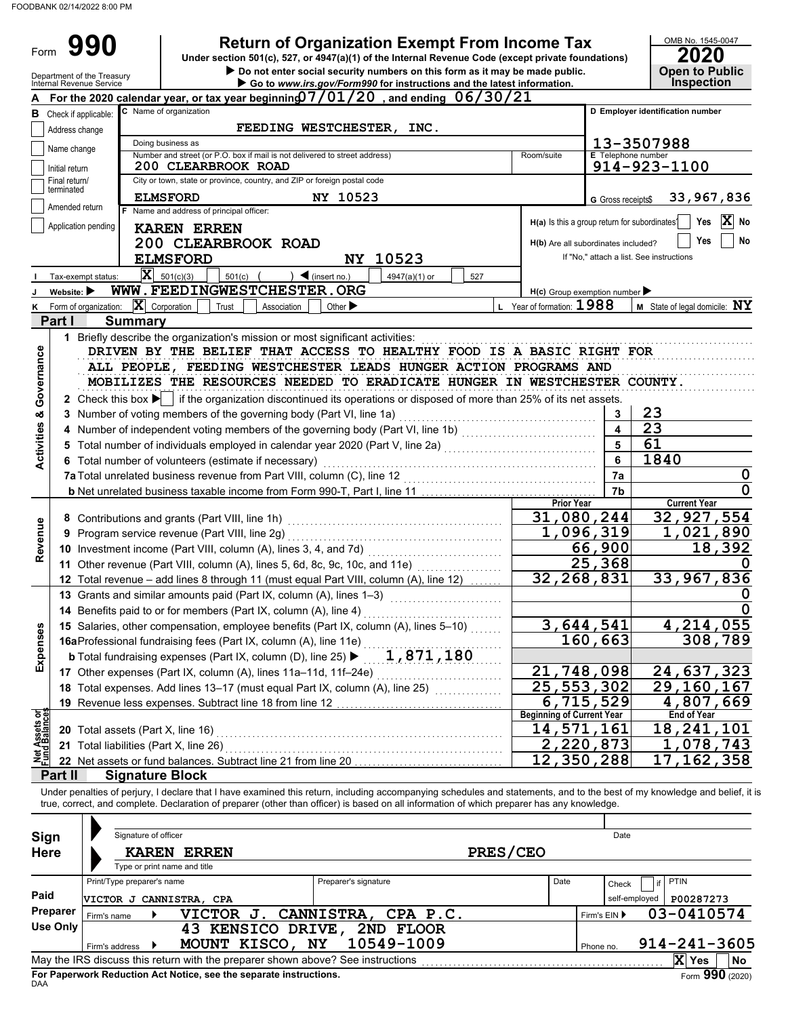Form

**Return of Organization Exempt From Income Tax**<br>
Under section 501(c), 527, or 4947(a)(1) of the Internal Revenue Code (except private foundations)<br>
Do not enter social security numbers on this form as it may be made publi **Under section 501(c), 527, or 4947(a)(1) of the Internal Revenue Code (except private foundations)**

OMB No. 1545-0047

|                                |                             | Department of the Treasury<br>Internal Revenue Service |                            |                                                                                                                                                                            | Do not enter social security numbers on this form as it may be made public.<br>Go to www.irs.gov/Form990 for instructions and the latest information. |               |          |                                     |                                  | <b>Open to Public</b><br><b>Inspection</b>                                              |  |  |  |  |
|--------------------------------|-----------------------------|--------------------------------------------------------|----------------------------|----------------------------------------------------------------------------------------------------------------------------------------------------------------------------|-------------------------------------------------------------------------------------------------------------------------------------------------------|---------------|----------|-------------------------------------|----------------------------------|-----------------------------------------------------------------------------------------|--|--|--|--|
|                                |                             |                                                        |                            | For the 2020 calendar year, or tax year beginning $07/01/20$ , and ending $06/30/21$                                                                                       |                                                                                                                                                       |               |          |                                     |                                  |                                                                                         |  |  |  |  |
| В                              |                             | Check if applicable:                                   |                            | C Name of organization                                                                                                                                                     |                                                                                                                                                       |               |          |                                     |                                  | D Employer identification number                                                        |  |  |  |  |
|                                | Address change              |                                                        |                            |                                                                                                                                                                            | FEEDING WESTCHESTER, INC.                                                                                                                             |               |          |                                     |                                  |                                                                                         |  |  |  |  |
|                                |                             |                                                        |                            | Doing business as                                                                                                                                                          |                                                                                                                                                       |               |          |                                     |                                  | 13-3507988                                                                              |  |  |  |  |
|                                | Name change                 |                                                        |                            | Number and street (or P.O. box if mail is not delivered to street address)                                                                                                 |                                                                                                                                                       |               |          | Room/suite                          | <b>E</b> Telephone number        |                                                                                         |  |  |  |  |
|                                | Initial return              |                                                        |                            | <b>200 CLEARBROOK ROAD</b>                                                                                                                                                 |                                                                                                                                                       |               |          |                                     | 914-923-1100                     |                                                                                         |  |  |  |  |
|                                | Final return/<br>terminated |                                                        |                            | City or town, state or province, country, and ZIP or foreign postal code                                                                                                   |                                                                                                                                                       |               |          |                                     |                                  |                                                                                         |  |  |  |  |
|                                | Amended return              |                                                        |                            | <b>ELMSFORD</b>                                                                                                                                                            | NY 10523                                                                                                                                              |               |          |                                     | 33,967,836<br>G Gross receipts\$ |                                                                                         |  |  |  |  |
|                                |                             |                                                        |                            | Name and address of principal officer:                                                                                                                                     |                                                                                                                                                       |               |          |                                     |                                  | $ \mathbf{X} $ No<br>Yes<br>$H(a)$ is this a group return for subordinates <sup>1</sup> |  |  |  |  |
|                                |                             | Application pending                                    |                            | <b>KAREN ERREN</b>                                                                                                                                                         |                                                                                                                                                       |               |          |                                     |                                  | Yes                                                                                     |  |  |  |  |
|                                |                             |                                                        |                            | 200 CLEARBROOK ROAD                                                                                                                                                        |                                                                                                                                                       |               |          | H(b) Are all subordinates included? |                                  | No                                                                                      |  |  |  |  |
|                                |                             |                                                        |                            | <b>ELMSFORD</b>                                                                                                                                                            |                                                                                                                                                       | NY 10523      |          |                                     |                                  | If "No," attach a list. See instructions                                                |  |  |  |  |
|                                |                             | Tax-exempt status:                                     |                            | $ \mathbf{X} $ 501(c)(3)<br>$501(c)$ (                                                                                                                                     | $\big)$ (insert no.)                                                                                                                                  | 4947(a)(1) or | 527      |                                     |                                  |                                                                                         |  |  |  |  |
|                                | Website:                    |                                                        |                            | WWW.FEEDINGWESTCHESTER.ORG                                                                                                                                                 |                                                                                                                                                       |               |          | $H(c)$ Group exemption number       |                                  |                                                                                         |  |  |  |  |
| ĸ                              |                             | Form of organization: $\ \mathbf{X}\ $ Corporation     |                            | Trust<br>Association                                                                                                                                                       | Other $\blacktriangleright$                                                                                                                           |               |          | L Year of formation: 1988           |                                  | <b>M</b> State of legal domicile: $\mathbf{NY}$                                         |  |  |  |  |
|                                | Part I                      |                                                        | <b>Summary</b>             |                                                                                                                                                                            |                                                                                                                                                       |               |          |                                     |                                  |                                                                                         |  |  |  |  |
|                                |                             |                                                        |                            | 1 Briefly describe the organization's mission or most significant activities:                                                                                              |                                                                                                                                                       |               |          |                                     |                                  |                                                                                         |  |  |  |  |
| Governance                     |                             |                                                        |                            | DRIVEN BY THE BELIEF THAT ACCESS TO HEALTHY FOOD IS A BASIC RIGHT FOR                                                                                                      |                                                                                                                                                       |               |          |                                     |                                  |                                                                                         |  |  |  |  |
|                                |                             |                                                        |                            | ALL PEOPLE, FEEDING WESTCHESTER LEADS HUNGER ACTION PROGRAMS AND                                                                                                           |                                                                                                                                                       |               |          |                                     |                                  |                                                                                         |  |  |  |  |
|                                |                             |                                                        |                            | MOBILIZES THE RESOURCES NEEDED TO ERADICATE HUNGER IN WESTCHESTER COUNTY.                                                                                                  |                                                                                                                                                       |               |          |                                     |                                  |                                                                                         |  |  |  |  |
|                                |                             |                                                        |                            | 2 Check this box $\blacktriangleright$ if the organization discontinued its operations or disposed of more than 25% of its net assets.                                     |                                                                                                                                                       |               |          |                                     |                                  |                                                                                         |  |  |  |  |
| ×                              |                             |                                                        |                            | 3 Number of voting members of the governing body (Part VI, line 1a)                                                                                                        |                                                                                                                                                       |               |          |                                     | 3                                | 23                                                                                      |  |  |  |  |
|                                |                             |                                                        |                            | Number of independent voting members of the governing body (Part VI, line 1b) [100] [100] [100] [100] [100] [1                                                             |                                                                                                                                                       |               |          |                                     | $\overline{\mathbf{4}}$          | 23                                                                                      |  |  |  |  |
| Activities                     |                             |                                                        |                            | Total number of individuals employed in calendar year 2020 (Part V, line 2a) [[[[[[[[[[[[[[[[[[[[[[[[[[[[[[[[                                                              |                                                                                                                                                       |               |          |                                     | 5                                | 61                                                                                      |  |  |  |  |
|                                |                             |                                                        |                            | 6 Total number of volunteers (estimate if necessary)                                                                                                                       |                                                                                                                                                       | 6             | 1840     |                                     |                                  |                                                                                         |  |  |  |  |
|                                |                             |                                                        |                            | 7a Total unrelated business revenue from Part VIII, column (C), line 12                                                                                                    |                                                                                                                                                       | 7a            | 0        |                                     |                                  |                                                                                         |  |  |  |  |
|                                |                             |                                                        |                            |                                                                                                                                                                            |                                                                                                                                                       |               |          |                                     | 7b                               | $\mathbf 0$                                                                             |  |  |  |  |
|                                |                             |                                                        |                            |                                                                                                                                                                            |                                                                                                                                                       |               |          | <b>Prior Year</b><br>31,080,244     |                                  | <b>Current Year</b><br>32, 927, 554                                                     |  |  |  |  |
| Revenue                        |                             |                                                        |                            |                                                                                                                                                                            |                                                                                                                                                       |               |          |                                     | 1,096,319                        | 1,021,890                                                                               |  |  |  |  |
|                                | 9                           |                                                        |                            | Program service revenue (Part VIII, line 2g)                                                                                                                               |                                                                                                                                                       |               |          |                                     | 66,900                           | 18,392                                                                                  |  |  |  |  |
|                                |                             |                                                        |                            |                                                                                                                                                                            |                                                                                                                                                       |               |          |                                     | 25,368                           |                                                                                         |  |  |  |  |
|                                |                             |                                                        |                            | 12 Total revenue - add lines 8 through 11 (must equal Part VIII, column (A), line 12)                                                                                      |                                                                                                                                                       |               |          | 32, 268, 831                        |                                  | 33,967,836                                                                              |  |  |  |  |
|                                |                             |                                                        |                            | 13 Grants and similar amounts paid (Part IX, column (A), lines 1-3)                                                                                                        |                                                                                                                                                       |               |          |                                     |                                  |                                                                                         |  |  |  |  |
|                                |                             |                                                        |                            | 14 Benefits paid to or for members (Part IX, column (A), line 4)                                                                                                           |                                                                                                                                                       |               |          |                                     |                                  |                                                                                         |  |  |  |  |
|                                |                             |                                                        |                            | 15 Salaries, other compensation, employee benefits (Part IX, column (A), lines 5-10)                                                                                       |                                                                                                                                                       |               |          |                                     | 3,644,541                        | 4,214,055                                                                               |  |  |  |  |
| <b>Ses</b>                     |                             |                                                        |                            | 16aProfessional fundraising fees (Part IX, column (A), line 11e)                                                                                                           |                                                                                                                                                       |               |          |                                     | 160, 663                         | 308,789                                                                                 |  |  |  |  |
|                                |                             |                                                        |                            | <b>b</b> Total fundraising expenses (Part IX, column (D), line 25) $\blacktriangleright$ 1, 871, 180                                                                       |                                                                                                                                                       |               |          |                                     |                                  |                                                                                         |  |  |  |  |
| Exper                          |                             |                                                        |                            | 17 Other expenses (Part IX, column (A), lines 11a-11d, 11f-24e)                                                                                                            |                                                                                                                                                       |               |          | 21,748,098                          |                                  | 24,637,323                                                                              |  |  |  |  |
|                                |                             |                                                        |                            | 18 Total expenses. Add lines 13-17 (must equal Part IX, column (A), line 25)                                                                                               |                                                                                                                                                       |               |          | 25,553,302                          |                                  | 29, 160, 167                                                                            |  |  |  |  |
|                                |                             |                                                        |                            | 19 Revenue less expenses. Subtract line 18 from line 12                                                                                                                    |                                                                                                                                                       |               |          |                                     | 6,715,529                        | 4,807,669                                                                               |  |  |  |  |
|                                |                             |                                                        |                            |                                                                                                                                                                            |                                                                                                                                                       |               |          | <b>Beginning of Current Year</b>    |                                  | <b>End of Year</b>                                                                      |  |  |  |  |
| Net Assets or<br>Fund Balances |                             |                                                        |                            | 20 Total assets (Part X, line 16)                                                                                                                                          |                                                                                                                                                       |               |          | 14,571,161                          |                                  | 18, 241, 101                                                                            |  |  |  |  |
|                                |                             |                                                        |                            | 21 Total liabilities (Part X, line 26)                                                                                                                                     |                                                                                                                                                       |               |          |                                     | 2,220,873                        | 1,078,743                                                                               |  |  |  |  |
|                                |                             |                                                        |                            | 22 Net assets or fund balances. Subtract line 21 from line 20                                                                                                              |                                                                                                                                                       |               |          | 12,350,288                          |                                  | $\overline{17}$ , 162, 358                                                              |  |  |  |  |
|                                | Part II                     |                                                        |                            | <b>Signature Block</b>                                                                                                                                                     |                                                                                                                                                       |               |          |                                     |                                  |                                                                                         |  |  |  |  |
|                                |                             |                                                        |                            | Under penalties of perjury, I declare that I have examined this return, including accompanying schedules and statements, and to the best of my knowledge and belief, it is |                                                                                                                                                       |               |          |                                     |                                  |                                                                                         |  |  |  |  |
|                                |                             |                                                        |                            | true, correct, and complete. Declaration of preparer (other than officer) is based on all information of which preparer has any knowledge.                                 |                                                                                                                                                       |               |          |                                     |                                  |                                                                                         |  |  |  |  |
|                                |                             |                                                        |                            |                                                                                                                                                                            |                                                                                                                                                       |               |          |                                     |                                  |                                                                                         |  |  |  |  |
| Sign                           |                             |                                                        | Signature of officer       |                                                                                                                                                                            |                                                                                                                                                       |               |          |                                     | Date                             |                                                                                         |  |  |  |  |
| <b>Here</b>                    |                             |                                                        |                            | <b>KAREN ERREN</b>                                                                                                                                                         |                                                                                                                                                       |               | PRES/CEO |                                     |                                  |                                                                                         |  |  |  |  |
|                                |                             |                                                        |                            | Type or print name and title                                                                                                                                               |                                                                                                                                                       |               |          |                                     |                                  |                                                                                         |  |  |  |  |
|                                |                             |                                                        | Print/Type preparer's name |                                                                                                                                                                            | Preparer's signature                                                                                                                                  |               |          | Date                                | Check                            | <b>PTIN</b><br>if                                                                       |  |  |  |  |
| Paid                           |                             |                                                        |                            | VICTOR J CANNISTRA, CPA                                                                                                                                                    |                                                                                                                                                       |               |          |                                     |                                  | P00287273<br>self-employed                                                              |  |  |  |  |
|                                | Preparer                    | VICTOR J. CANNISTRA, CPA P.C.<br>Firm's name           |                            |                                                                                                                                                                            |                                                                                                                                                       |               |          | Firm's EIN ▶                        | 03-0410574                       |                                                                                         |  |  |  |  |
|                                | <b>Use Only</b>             | 43 KENSICO DRIVE, 2ND FLOOR                            |                            |                                                                                                                                                                            |                                                                                                                                                       |               |          |                                     |                                  |                                                                                         |  |  |  |  |
|                                |                             | Firm's address ▶                                       |                            | MOUNT KISCO, NY                                                                                                                                                            |                                                                                                                                                       | 10549-1009    |          |                                     | Phone no.                        | $914 - 241 - 3605$                                                                      |  |  |  |  |
|                                |                             |                                                        |                            | May the IRS discuss this return with the preparer shown above? See instructions                                                                                            |                                                                                                                                                       |               |          |                                     |                                  | $ X $ Yes<br>No.                                                                        |  |  |  |  |

| Sign        |                            | Signature of officer |                                                                                 |                               |                            |           | Date          |  |                    |                 |
|-------------|----------------------------|----------------------|---------------------------------------------------------------------------------|-------------------------------|----------------------------|-----------|---------------|--|--------------------|-----------------|
| <b>Here</b> |                            | <b>KAREN</b>         | <b>ERREN</b><br>Type or print name and title                                    | PRES/CEO                      |                            |           |               |  |                    |                 |
|             | Print/Type preparer's name |                      |                                                                                 | Preparer's signature          | Date                       |           | Check         |  | <b>PTIN</b>        |                 |
| Paid        | VICTOR J                   |                      | CANNISTRA, CPA                                                                  |                               |                            |           | self-employed |  | P00287273          |                 |
| Preparer    | Firm's name                |                      | <b>VICTOR</b><br>J.                                                             | <b>CANNISTRA,</b><br>CPA P.C. | 03-0410574<br>Firm's $EIN$ |           |               |  |                    |                 |
| Use Only    | Firm's address             |                      | KENSICO DRIVE,<br>43<br><b>MOUNT KISCO</b>                                      | 2ND FLOOR<br>10549-1009<br>NY |                            | Phone no. |               |  | $914 - 241 - 3605$ |                 |
|             |                            |                      | May the IRS discuss this return with the preparer shown above? See instructions |                               |                            |           |               |  | X<br><b>Yes</b>    | <b>No</b>       |
| DAA         |                            |                      | For Paperwork Reduction Act Notice, see the separate instructions.              |                               |                            |           |               |  |                    | Form 990 (2020) |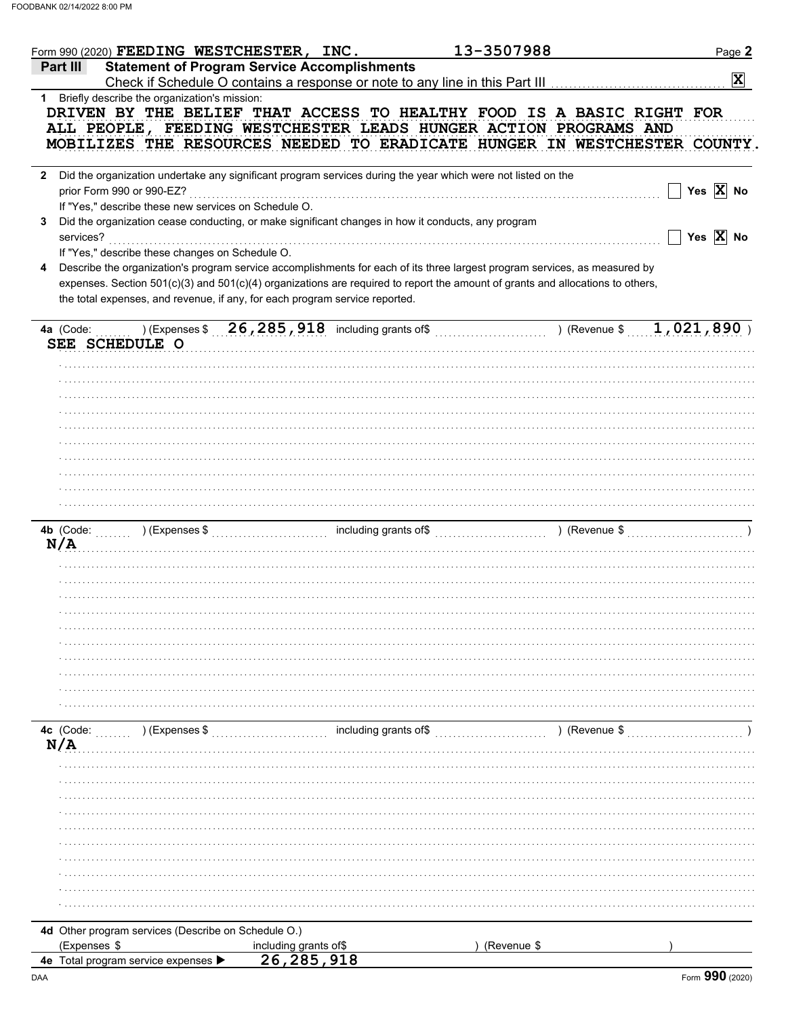| Form 990 (2020) FEEDING WESTCHESTER, INC.                                                                                                                                                                                                                                   |                                                     |                       | 13-3507988                                                                                                                                                                                                                                                   | Page 2                |
|-----------------------------------------------------------------------------------------------------------------------------------------------------------------------------------------------------------------------------------------------------------------------------|-----------------------------------------------------|-----------------------|--------------------------------------------------------------------------------------------------------------------------------------------------------------------------------------------------------------------------------------------------------------|-----------------------|
| Part III                                                                                                                                                                                                                                                                    | <b>Statement of Program Service Accomplishments</b> |                       |                                                                                                                                                                                                                                                              |                       |
|                                                                                                                                                                                                                                                                             |                                                     |                       | Check if Schedule O contains a response or note to any line in this Part III [111] [11] [11] [11] [11] [11] [1                                                                                                                                               | $\mathbf{x}$          |
| Briefly describe the organization's mission:<br>1.<br>DRIVEN BY THE BELIEF THAT ACCESS TO HEALTHY FOOD IS A BASIC RIGHT FOR<br>ALL PEOPLE, FEEDING WESTCHESTER LEADS HUNGER ACTION PROGRAMS AND<br>MOBILIZES THE RESOURCES NEEDED TO ERADICATE HUNGER IN WESTCHESTER COUNTY |                                                     |                       |                                                                                                                                                                                                                                                              |                       |
| Did the organization undertake any significant program services during the year which were not listed on the<br>$\mathbf{2}$<br>prior Form 990 or 990-EZ?                                                                                                                   |                                                     |                       |                                                                                                                                                                                                                                                              | Yes $\overline{X}$ No |
| If "Yes," describe these new services on Schedule O.<br>Did the organization cease conducting, or make significant changes in how it conducts, any program<br>3                                                                                                             |                                                     |                       |                                                                                                                                                                                                                                                              |                       |
| services?<br>If "Yes," describe these changes on Schedule O.                                                                                                                                                                                                                |                                                     |                       |                                                                                                                                                                                                                                                              | Yes $\overline{X}$ No |
| 4<br>the total expenses, and revenue, if any, for each program service reported.                                                                                                                                                                                            |                                                     |                       | Describe the organization's program service accomplishments for each of its three largest program services, as measured by<br>expenses. Section 501(c)(3) and 501(c)(4) organizations are required to report the amount of grants and allocations to others, |                       |
| 4a (Code:                                                                                                                                                                                                                                                                   |                                                     |                       | ) (Expenses \$ 26, 285, 918 including grants of \$ (Revenue \$ $1,021,890$ )                                                                                                                                                                                 |                       |
| SEE SCHEDULE O                                                                                                                                                                                                                                                              |                                                     |                       |                                                                                                                                                                                                                                                              |                       |
|                                                                                                                                                                                                                                                                             |                                                     |                       |                                                                                                                                                                                                                                                              |                       |
|                                                                                                                                                                                                                                                                             |                                                     |                       |                                                                                                                                                                                                                                                              |                       |
|                                                                                                                                                                                                                                                                             |                                                     |                       |                                                                                                                                                                                                                                                              |                       |
|                                                                                                                                                                                                                                                                             |                                                     |                       |                                                                                                                                                                                                                                                              |                       |
|                                                                                                                                                                                                                                                                             |                                                     |                       |                                                                                                                                                                                                                                                              |                       |
|                                                                                                                                                                                                                                                                             |                                                     |                       |                                                                                                                                                                                                                                                              |                       |
|                                                                                                                                                                                                                                                                             |                                                     |                       |                                                                                                                                                                                                                                                              |                       |
|                                                                                                                                                                                                                                                                             |                                                     |                       |                                                                                                                                                                                                                                                              |                       |
|                                                                                                                                                                                                                                                                             |                                                     |                       |                                                                                                                                                                                                                                                              |                       |
|                                                                                                                                                                                                                                                                             |                                                     |                       |                                                                                                                                                                                                                                                              |                       |
|                                                                                                                                                                                                                                                                             |                                                     |                       |                                                                                                                                                                                                                                                              |                       |
| 4b (Code:                                                                                                                                                                                                                                                                   |                                                     |                       | $(\textsf{Expenses $ }$                                                                                                                                                                                                                                      |                       |
| N/A                                                                                                                                                                                                                                                                         |                                                     |                       |                                                                                                                                                                                                                                                              |                       |
|                                                                                                                                                                                                                                                                             |                                                     |                       |                                                                                                                                                                                                                                                              |                       |
|                                                                                                                                                                                                                                                                             |                                                     |                       |                                                                                                                                                                                                                                                              |                       |
|                                                                                                                                                                                                                                                                             |                                                     |                       |                                                                                                                                                                                                                                                              |                       |
|                                                                                                                                                                                                                                                                             |                                                     |                       |                                                                                                                                                                                                                                                              |                       |
|                                                                                                                                                                                                                                                                             |                                                     |                       |                                                                                                                                                                                                                                                              |                       |
|                                                                                                                                                                                                                                                                             |                                                     |                       |                                                                                                                                                                                                                                                              |                       |
|                                                                                                                                                                                                                                                                             |                                                     |                       |                                                                                                                                                                                                                                                              |                       |
|                                                                                                                                                                                                                                                                             |                                                     |                       |                                                                                                                                                                                                                                                              |                       |
|                                                                                                                                                                                                                                                                             |                                                     |                       |                                                                                                                                                                                                                                                              |                       |
|                                                                                                                                                                                                                                                                             |                                                     |                       |                                                                                                                                                                                                                                                              |                       |
| 4c (Code:<br>) (Expenses \$                                                                                                                                                                                                                                                 |                                                     | including grants of\$ | ) (Revenue \$                                                                                                                                                                                                                                                |                       |
| N/A                                                                                                                                                                                                                                                                         |                                                     |                       |                                                                                                                                                                                                                                                              |                       |
|                                                                                                                                                                                                                                                                             |                                                     |                       |                                                                                                                                                                                                                                                              |                       |
|                                                                                                                                                                                                                                                                             |                                                     |                       |                                                                                                                                                                                                                                                              |                       |
|                                                                                                                                                                                                                                                                             |                                                     |                       |                                                                                                                                                                                                                                                              |                       |
|                                                                                                                                                                                                                                                                             |                                                     |                       |                                                                                                                                                                                                                                                              |                       |
|                                                                                                                                                                                                                                                                             |                                                     |                       |                                                                                                                                                                                                                                                              |                       |
|                                                                                                                                                                                                                                                                             |                                                     |                       |                                                                                                                                                                                                                                                              |                       |
|                                                                                                                                                                                                                                                                             |                                                     |                       |                                                                                                                                                                                                                                                              |                       |
|                                                                                                                                                                                                                                                                             |                                                     |                       |                                                                                                                                                                                                                                                              |                       |
|                                                                                                                                                                                                                                                                             |                                                     |                       |                                                                                                                                                                                                                                                              |                       |
|                                                                                                                                                                                                                                                                             |                                                     |                       |                                                                                                                                                                                                                                                              |                       |
|                                                                                                                                                                                                                                                                             |                                                     |                       |                                                                                                                                                                                                                                                              |                       |
| 4d Other program services (Describe on Schedule O.)                                                                                                                                                                                                                         |                                                     |                       |                                                                                                                                                                                                                                                              |                       |
| (Expenses \$                                                                                                                                                                                                                                                                | including grants of\$                               |                       | (Revenue \$                                                                                                                                                                                                                                                  |                       |
| 4e Total program service expenses >                                                                                                                                                                                                                                         | 26, 285, 918                                        |                       |                                                                                                                                                                                                                                                              |                       |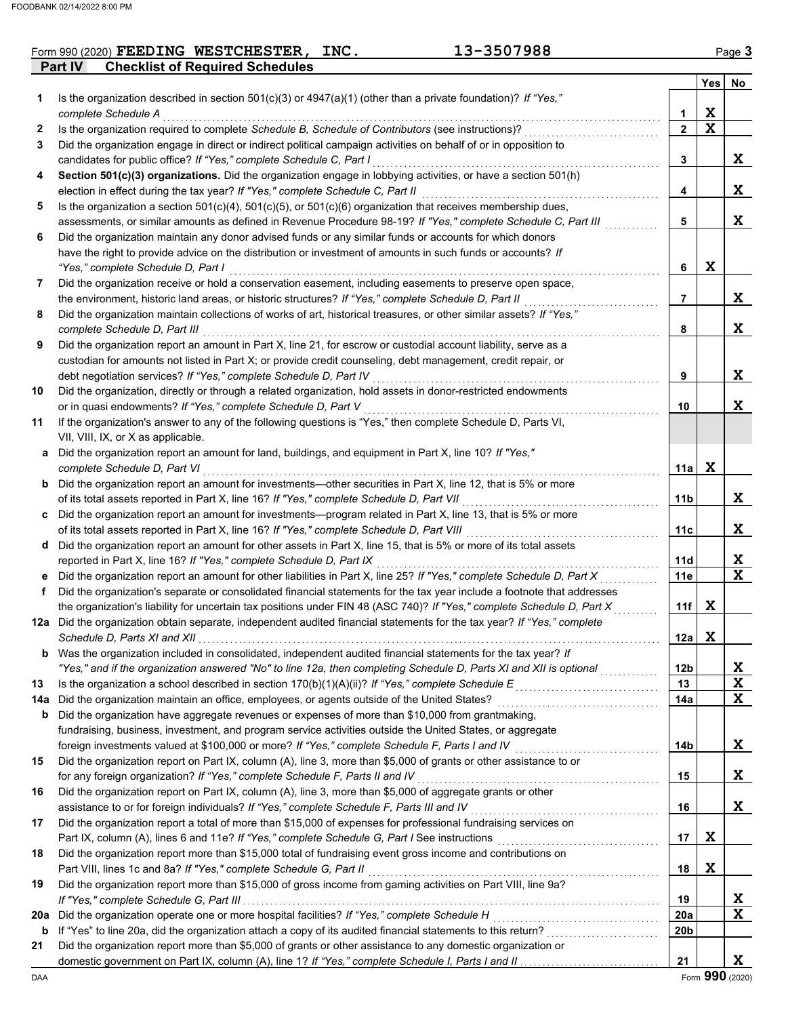|                | Form 990 (2020) FEEDING WESTCHESTER,   | <b>INC.</b> | 13-3507988 | Page $\ddot{\bm{\cdot}}$ |  |
|----------------|----------------------------------------|-------------|------------|--------------------------|--|
| <b>Part IV</b> | <b>Checklist of Required Schedules</b> |             |            |                          |  |
|                |                                        |             |            | <b>Yes</b><br>No         |  |

|     |                                                                                                                                                                                                               |              | <b>Yes</b>  | No |
|-----|---------------------------------------------------------------------------------------------------------------------------------------------------------------------------------------------------------------|--------------|-------------|----|
| 1   | Is the organization described in section $501(c)(3)$ or $4947(a)(1)$ (other than a private foundation)? If "Yes,"                                                                                             |              |             |    |
|     | complete Schedule A                                                                                                                                                                                           | 1            | X           |    |
| 2   | Is the organization required to complete Schedule B, Schedule of Contributors (see instructions)?                                                                                                             | $\mathbf{2}$ | $\mathbf x$ |    |
| 3   | Did the organization engage in direct or indirect political campaign activities on behalf of or in opposition to                                                                                              |              |             |    |
|     | candidates for public office? If "Yes," complete Schedule C, Part I                                                                                                                                           | 3            |             | X. |
| 4   | Section 501(c)(3) organizations. Did the organization engage in lobbying activities, or have a section 501(h)                                                                                                 |              |             |    |
|     | election in effect during the tax year? If "Yes," complete Schedule C, Part II                                                                                                                                | 4            |             | X. |
| 5   | Is the organization a section $501(c)(4)$ , $501(c)(5)$ , or $501(c)(6)$ organization that receives membership dues,                                                                                          |              |             |    |
|     | assessments, or similar amounts as defined in Revenue Procedure 98-19? If "Yes," complete Schedule C, Part III                                                                                                | 5            |             | X  |
| 6   | Did the organization maintain any donor advised funds or any similar funds or accounts for which donors                                                                                                       |              |             |    |
|     | have the right to provide advice on the distribution or investment of amounts in such funds or accounts? If                                                                                                   |              |             |    |
|     | "Yes," complete Schedule D, Part I                                                                                                                                                                            | 6            | X           |    |
| 7   | Did the organization receive or hold a conservation easement, including easements to preserve open space,                                                                                                     |              |             |    |
|     | the environment, historic land areas, or historic structures? If "Yes," complete Schedule D, Part II                                                                                                          | 7            |             | X. |
| 8   | Did the organization maintain collections of works of art, historical treasures, or other similar assets? If "Yes,"                                                                                           |              |             |    |
|     | complete Schedule D, Part III                                                                                                                                                                                 | 8            |             | X. |
| 9   | Did the organization report an amount in Part X, line 21, for escrow or custodial account liability, serve as a                                                                                               |              |             |    |
|     | custodian for amounts not listed in Part X; or provide credit counseling, debt management, credit repair, or                                                                                                  | 9            |             | X. |
| 10  | debt negotiation services? If "Yes," complete Schedule D, Part IV<br>Did the organization, directly or through a related organization, hold assets in donor-restricted endowments                             |              |             |    |
|     | or in quasi endowments? If "Yes," complete Schedule D, Part V                                                                                                                                                 | 10           |             | X. |
| 11  | If the organization's answer to any of the following questions is "Yes," then complete Schedule D, Parts VI,                                                                                                  |              |             |    |
|     | VII, VIII, IX, or X as applicable.                                                                                                                                                                            |              |             |    |
| а   | Did the organization report an amount for land, buildings, and equipment in Part X, line 10? If "Yes,"                                                                                                        |              |             |    |
|     | complete Schedule D, Part VI                                                                                                                                                                                  | 11a          | X           |    |
| b   | Did the organization report an amount for investments—other securities in Part X, line 12, that is 5% or more                                                                                                 |              |             |    |
|     | of its total assets reported in Part X, line 16? If "Yes," complete Schedule D, Part VII                                                                                                                      | 11b          |             | X. |
| c   | Did the organization report an amount for investments—program related in Part X, line 13, that is 5% or more                                                                                                  |              |             |    |
|     | of its total assets reported in Part X, line 16? If "Yes," complete Schedule D, Part VIII [[[[[[[[[[[[[[[[[[[                                                                                                 | 11c          |             | X. |
| d   | Did the organization report an amount for other assets in Part X, line 15, that is 5% or more of its total assets                                                                                             |              |             |    |
|     | reported in Part X, line 16? If "Yes," complete Schedule D, Part IX                                                                                                                                           | 11d          |             | X  |
|     | Did the organization report an amount for other liabilities in Part X, line 25? If "Yes," complete Schedule D, Part X                                                                                         | 11e          |             | X  |
| f   | Did the organization's separate or consolidated financial statements for the tax year include a footnote that addresses                                                                                       |              |             |    |
|     | the organization's liability for uncertain tax positions under FIN 48 (ASC 740)? If "Yes," complete Schedule D, Part X                                                                                        | 11f          | X           |    |
|     | 12a Did the organization obtain separate, independent audited financial statements for the tax year? If "Yes," complete                                                                                       |              |             |    |
|     |                                                                                                                                                                                                               | 12a          | X           |    |
|     | Was the organization included in consolidated, independent audited financial statements for the tax year? If                                                                                                  |              |             |    |
|     | "Yes," and if the organization answered "No" to line 12a, then completing Schedule D, Parts XI and XII is optional                                                                                            | 12b          |             | X  |
| 13  |                                                                                                                                                                                                               | 13           |             | X  |
| 14a | Did the organization maintain an office, employees, or agents outside of the United States?                                                                                                                   | 14a          |             | X  |
| b   | Did the organization have aggregate revenues or expenses of more than \$10,000 from grantmaking,<br>fundraising, business, investment, and program service activities outside the United States, or aggregate |              |             |    |
|     | foreign investments valued at \$100,000 or more? If "Yes," complete Schedule F, Parts I and IV [[[[[[[[[[[[[[[                                                                                                | 14b          |             | X  |
| 15  | Did the organization report on Part IX, column (A), line 3, more than \$5,000 of grants or other assistance to or                                                                                             |              |             |    |
|     | for any foreign organization? If "Yes," complete Schedule F, Parts II and IV                                                                                                                                  | 15           |             | X  |
| 16  | Did the organization report on Part IX, column (A), line 3, more than \$5,000 of aggregate grants or other                                                                                                    |              |             |    |
|     | assistance to or for foreign individuals? If "Yes," complete Schedule F, Parts III and IV                                                                                                                     | 16           |             | X  |
| 17  | Did the organization report a total of more than \$15,000 of expenses for professional fundraising services on                                                                                                |              |             |    |
|     |                                                                                                                                                                                                               | 17           | X           |    |
| 18  | Did the organization report more than \$15,000 total of fundraising event gross income and contributions on                                                                                                   |              |             |    |
|     | Part VIII, lines 1c and 8a? If "Yes," complete Schedule G, Part II                                                                                                                                            | 18           | X           |    |
| 19  | Did the organization report more than \$15,000 of gross income from gaming activities on Part VIII, line 9a?                                                                                                  |              |             |    |
|     |                                                                                                                                                                                                               | 19           |             | X  |
| 20a |                                                                                                                                                                                                               | 20a          |             | X  |
| b   |                                                                                                                                                                                                               | 20b          |             |    |
| 21  | Did the organization report more than \$5,000 of grants or other assistance to any domestic organization or                                                                                                   |              |             |    |
|     |                                                                                                                                                                                                               | 21           |             | X  |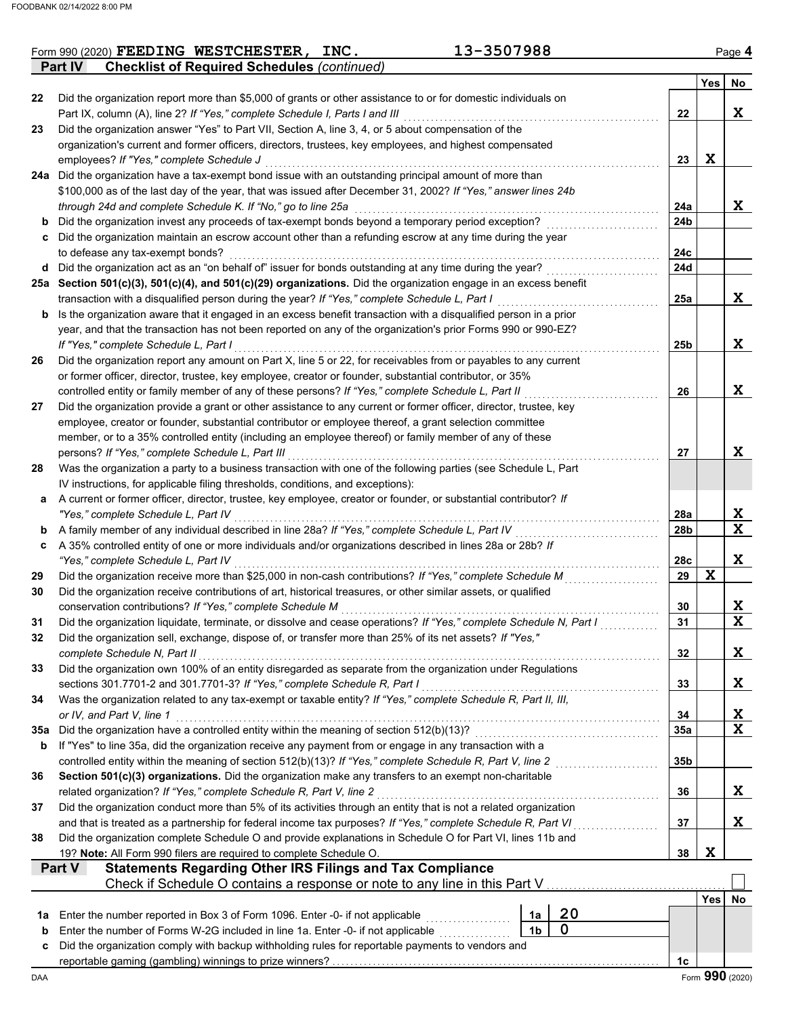|     | <b>Checklist of Required Schedules (continued)</b><br>Part IV                                                      |                 |                 |                              |
|-----|--------------------------------------------------------------------------------------------------------------------|-----------------|-----------------|------------------------------|
|     |                                                                                                                    |                 | Yes             | No                           |
| 22  | Did the organization report more than \$5,000 of grants or other assistance to or for domestic individuals on      |                 |                 |                              |
|     | Part IX, column (A), line 2? If "Yes," complete Schedule I, Parts I and III                                        | 22              |                 | X                            |
| 23  | Did the organization answer "Yes" to Part VII, Section A, line 3, 4, or 5 about compensation of the                |                 |                 |                              |
|     | organization's current and former officers, directors, trustees, key employees, and highest compensated            |                 |                 |                              |
|     | employees? If "Yes," complete Schedule J                                                                           | 23              | X               |                              |
|     | 24a Did the organization have a tax-exempt bond issue with an outstanding principal amount of more than            |                 |                 |                              |
|     | \$100,000 as of the last day of the year, that was issued after December 31, 2002? If "Yes," answer lines 24b      |                 |                 |                              |
|     | through 24d and complete Schedule K. If "No," go to line 25a                                                       | 24a             |                 | X                            |
| b   | Did the organization invest any proceeds of tax-exempt bonds beyond a temporary period exception?                  | 24 <sub>b</sub> |                 |                              |
| c   | Did the organization maintain an escrow account other than a refunding escrow at any time during the year          |                 |                 |                              |
|     | to defease any tax-exempt bonds?                                                                                   | 24c             |                 |                              |
| d   | Did the organization act as an "on behalf of" issuer for bonds outstanding at any time during the year?            | 24d             |                 |                              |
|     | 25a Section 501(c)(3), 501(c)(4), and 501(c)(29) organizations. Did the organization engage in an excess benefit   |                 |                 |                              |
|     | transaction with a disqualified person during the year? If "Yes," complete Schedule L, Part I                      | 25a             |                 | X                            |
| b   | Is the organization aware that it engaged in an excess benefit transaction with a disqualified person in a prior   |                 |                 |                              |
|     | year, and that the transaction has not been reported on any of the organization's prior Forms 990 or 990-EZ?       |                 |                 |                              |
|     | If "Yes," complete Schedule L, Part I                                                                              | 25 <sub>b</sub> |                 | X                            |
| 26  | Did the organization report any amount on Part X, line 5 or 22, for receivables from or payables to any current    |                 |                 |                              |
|     | or former officer, director, trustee, key employee, creator or founder, substantial contributor, or 35%            |                 |                 |                              |
|     | controlled entity or family member of any of these persons? If "Yes," complete Schedule L, Part II                 | 26              |                 | X                            |
| 27  | Did the organization provide a grant or other assistance to any current or former officer, director, trustee, key  |                 |                 |                              |
|     | employee, creator or founder, substantial contributor or employee thereof, a grant selection committee             |                 |                 |                              |
|     | member, or to a 35% controlled entity (including an employee thereof) or family member of any of these             |                 |                 |                              |
|     | persons? If "Yes," complete Schedule L, Part III                                                                   | 27              |                 | X                            |
| 28  | Was the organization a party to a business transaction with one of the following parties (see Schedule L, Part     |                 |                 |                              |
|     | IV instructions, for applicable filing thresholds, conditions, and exceptions):                                    |                 |                 |                              |
| а   | A current or former officer, director, trustee, key employee, creator or founder, or substantial contributor? If   |                 |                 |                              |
|     | "Yes," complete Schedule L, Part IV                                                                                | 28a             |                 | X                            |
| b   | A family member of any individual described in line 28a? If "Yes," complete Schedule L, Part IV                    | 28b             |                 | $\overline{\mathbf{x}}$      |
| c   | A 35% controlled entity of one or more individuals and/or organizations described in lines 28a or 28b? If          |                 |                 |                              |
|     |                                                                                                                    |                 |                 | X                            |
|     | "Yes," complete Schedule L, Part IV                                                                                | 28c             | $\mathbf x$     |                              |
| 29  | Did the organization receive more than \$25,000 in non-cash contributions? If "Yes," complete Schedule M           | 29              |                 |                              |
| 30  | Did the organization receive contributions of art, historical treasures, or other similar assets, or qualified     |                 |                 |                              |
|     | conservation contributions? If "Yes," complete Schedule M                                                          | 30              |                 | X<br>$\overline{\mathbf{x}}$ |
| 31  | Did the organization liquidate, terminate, or dissolve and cease operations? If "Yes," complete Schedule N, Part I | 31              |                 |                              |
| 32  | Did the organization sell, exchange, dispose of, or transfer more than 25% of its net assets? If "Yes,"            |                 |                 |                              |
|     | complete Schedule N, Part II                                                                                       | 32              |                 | X                            |
| 33  | Did the organization own 100% of an entity disregarded as separate from the organization under Regulations         |                 |                 |                              |
|     | sections 301.7701-2 and 301.7701-3? If "Yes," complete Schedule R, Part I                                          | 33              |                 | X                            |
| 34  | Was the organization related to any tax-exempt or taxable entity? If "Yes," complete Schedule R, Part II, III,     |                 |                 |                              |
|     | or IV, and Part V, line 1                                                                                          | 34              |                 | <u>x</u>                     |
| 35а | Did the organization have a controlled entity within the meaning of section 512(b)(13)?                            | 35a             |                 | $\overline{\mathbf{x}}$      |
| b   | If "Yes" to line 35a, did the organization receive any payment from or engage in any transaction with a            |                 |                 |                              |
|     | controlled entity within the meaning of section 512(b)(13)? If "Yes," complete Schedule R, Part V, line 2          | 35b             |                 |                              |
| 36  | Section 501(c)(3) organizations. Did the organization make any transfers to an exempt non-charitable               |                 |                 |                              |
|     | related organization? If "Yes," complete Schedule R, Part V, line 2                                                | 36              |                 | X                            |
| 37  | Did the organization conduct more than 5% of its activities through an entity that is not a related organization   |                 |                 |                              |
|     | and that is treated as a partnership for federal income tax purposes? If "Yes," complete Schedule R, Part VI       | 37              |                 | X                            |
| 38  | Did the organization complete Schedule O and provide explanations in Schedule O for Part VI, lines 11b and         |                 |                 |                              |
|     | 19? Note: All Form 990 filers are required to complete Schedule O.                                                 | 38              | X               |                              |
|     | <b>Statements Regarding Other IRS Filings and Tax Compliance</b><br>Part V                                         |                 |                 |                              |
|     | Check if Schedule O contains a response or note to any line in this Part V                                         |                 |                 |                              |
|     |                                                                                                                    |                 | Yes             | No                           |
| 1a  | 20<br>Enter the number reported in Box 3 of Form 1096. Enter -0- if not applicable<br>1a                           |                 |                 |                              |
| b   | $\mathbf 0$<br>Enter the number of Forms W-2G included in line 1a. Enter -0- if not applicable<br>1b               |                 |                 |                              |
| c   | Did the organization comply with backup withholding rules for reportable payments to vendors and                   |                 |                 |                              |
|     |                                                                                                                    | 1c              |                 |                              |
| DAA |                                                                                                                    |                 | Form 990 (2020) |                              |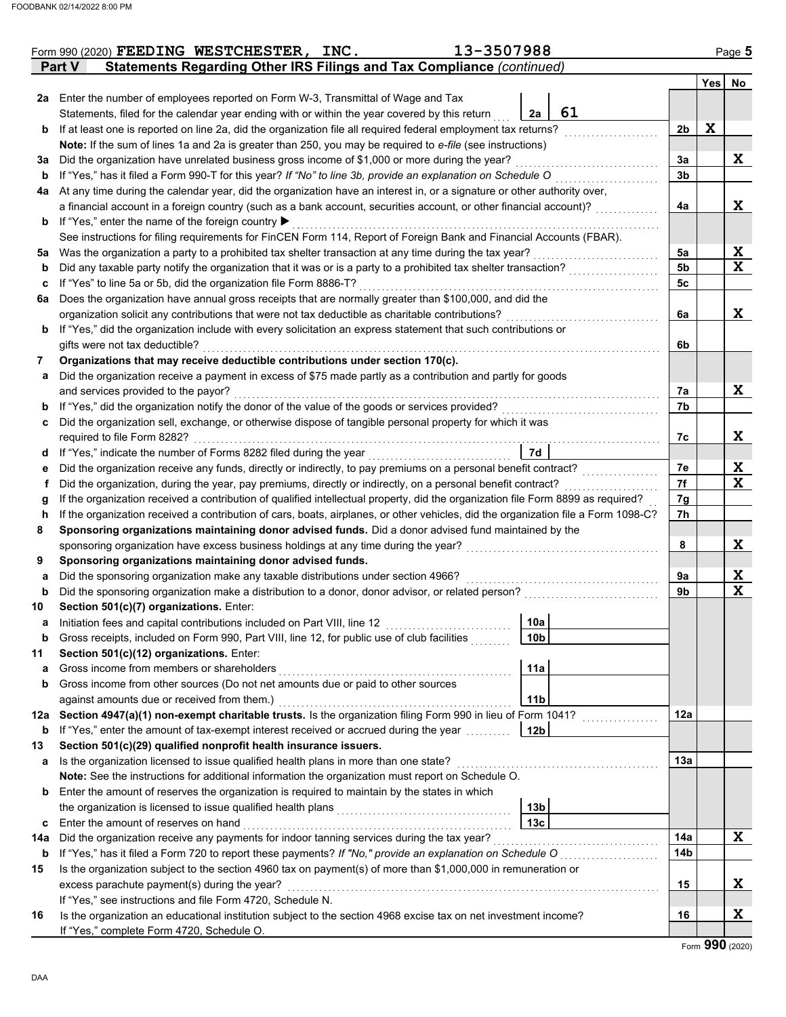|     | 13-3507988<br>Form 990 (2020) FEEDING WESTCHESTER, INC.                                                                                                      |    |                |        | Page 5      |
|-----|--------------------------------------------------------------------------------------------------------------------------------------------------------------|----|----------------|--------|-------------|
|     | Statements Regarding Other IRS Filings and Tax Compliance (continued)<br><b>Part V</b>                                                                       |    |                |        |             |
|     |                                                                                                                                                              |    |                | Yes No |             |
|     | 2a Enter the number of employees reported on Form W-3, Transmittal of Wage and Tax                                                                           |    |                |        |             |
|     | Statements, filed for the calendar year ending with or within the year covered by this return<br>2a                                                          | 61 |                |        |             |
| b   | If at least one is reported on line 2a, did the organization file all required federal employment tax returns?                                               |    | 2b             | X      |             |
|     | Note: If the sum of lines 1a and 2a is greater than 250, you may be required to e-file (see instructions)                                                    |    |                |        |             |
| За  | Did the organization have unrelated business gross income of \$1,000 or more during the year?                                                                |    | 3a             |        | X           |
| b   | If "Yes," has it filed a Form 990-T for this year? If "No" to line 3b, provide an explanation on Schedule O                                                  |    | 3 <sub>b</sub> |        |             |
| 4a  | At any time during the calendar year, did the organization have an interest in, or a signature or other authority over,                                      |    |                |        |             |
|     | a financial account in a foreign country (such as a bank account, securities account, or other financial account)?                                           |    | 4a             |        | X           |
| b   | If "Yes," enter the name of the foreign country ▶                                                                                                            |    |                |        |             |
|     | See instructions for filing requirements for FinCEN Form 114, Report of Foreign Bank and Financial Accounts (FBAR).                                          |    |                |        |             |
| 5a  | Was the organization a party to a prohibited tax shelter transaction at any time during the tax year?                                                        |    | 5a             |        | X<br>X      |
| b   | Did any taxable party notify the organization that it was or is a party to a prohibited tax shelter transaction?                                             |    | 5b<br>5c       |        |             |
| c   | If "Yes" to line 5a or 5b, did the organization file Form 8886-T?                                                                                            |    |                |        |             |
| 6a  | Does the organization have annual gross receipts that are normally greater than \$100,000, and did the                                                       |    |                |        |             |
|     | organization solicit any contributions that were not tax deductible as charitable contributions?                                                             |    | 6a             |        | X           |
| b   | If "Yes," did the organization include with every solicitation an express statement that such contributions or<br>gifts were not tax deductible?             |    | 6b             |        |             |
| 7   | Organizations that may receive deductible contributions under section 170(c).                                                                                |    |                |        |             |
| а   | Did the organization receive a payment in excess of \$75 made partly as a contribution and partly for goods                                                  |    |                |        |             |
|     | and services provided to the payor?                                                                                                                          |    | 7a             |        | X           |
| b   | If "Yes," did the organization notify the donor of the value of the goods or services provided?                                                              |    | 7b             |        |             |
| c   | Did the organization sell, exchange, or otherwise dispose of tangible personal property for which it was                                                     |    |                |        |             |
|     | required to file Form 8282?                                                                                                                                  |    | 7c             |        | X           |
| d   | 7d<br>If "Yes," indicate the number of Forms 8282 filed during the year                                                                                      |    |                |        |             |
| е   | Did the organization receive any funds, directly or indirectly, to pay premiums on a personal benefit contract?                                              |    | 7e             |        | X           |
| f   | Did the organization, during the year, pay premiums, directly or indirectly, on a personal benefit contract?                                                 |    | 7f             |        | X           |
| g   | If the organization received a contribution of qualified intellectual property, did the organization file Form 8899 as required?                             |    | 7g             |        |             |
| h   | If the organization received a contribution of cars, boats, airplanes, or other vehicles, did the organization file a Form 1098-C?                           |    | 7h             |        |             |
| 8   | Sponsoring organizations maintaining donor advised funds. Did a donor advised fund maintained by the                                                         |    |                |        |             |
|     | sponsoring organization have excess business holdings at any time during the year?                                                                           |    | 8              |        | X           |
| 9   | Sponsoring organizations maintaining donor advised funds.                                                                                                    |    |                |        |             |
| а   | Did the sponsoring organization make any taxable distributions under section 4966?                                                                           |    | 9а             |        | X           |
| b   | Did the sponsoring organization make a distribution to a donor, donor advisor, or related person?                                                            |    | 9b             |        | $\mathbf x$ |
| 10  | Section 501(c)(7) organizations. Enter:                                                                                                                      |    |                |        |             |
|     | 10a<br>Initiation fees and capital contributions included on Part VIII, line 12                                                                              |    |                |        |             |
| b   | Gross receipts, included on Form 990, Part VIII, line 12, for public use of club facilities<br>10 <sub>b</sub>                                               |    |                |        |             |
| 11  | Section 501(c)(12) organizations. Enter:                                                                                                                     |    |                |        |             |
| a   | 11a<br>Gross income from members or shareholders                                                                                                             |    |                |        |             |
| b   | Gross income from other sources (Do not net amounts due or paid to other sources                                                                             |    |                |        |             |
|     | 11 <sub>b</sub><br>against amounts due or received from them.)                                                                                               |    |                |        |             |
| 12a | Section 4947(a)(1) non-exempt charitable trusts. Is the organization filing Form 990 in lieu of Form 1041?                                                   |    | 12a            |        |             |
| b   | If "Yes," enter the amount of tax-exempt interest received or accrued during the year<br>12 <sub>b</sub>                                                     |    |                |        |             |
| 13  | Section 501(c)(29) qualified nonprofit health insurance issuers.                                                                                             |    |                |        |             |
| а   | Is the organization licensed to issue qualified health plans in more than one state?                                                                         |    | 13a            |        |             |
|     | Note: See the instructions for additional information the organization must report on Schedule O.                                                            |    |                |        |             |
| b   | Enter the amount of reserves the organization is required to maintain by the states in which                                                                 |    |                |        |             |
|     | the organization is licensed to issue qualified health plans<br>13b                                                                                          |    |                |        |             |
| c   | 13 <sub>c</sub><br>Enter the amount of reserves on hand                                                                                                      |    |                |        |             |
| 14a | Did the organization receive any payments for indoor tanning services during the tax year?                                                                   |    | 14a            |        | X           |
| b   | If "Yes," has it filed a Form 720 to report these payments? If "No," provide an explanation on Schedule O                                                    |    | 14b            |        |             |
| 15  | Is the organization subject to the section 4960 tax on payment(s) of more than \$1,000,000 in remuneration or                                                |    |                |        |             |
|     | excess parachute payment(s) during the year?                                                                                                                 |    | 15             |        | X           |
|     | If "Yes," see instructions and file Form 4720, Schedule N.                                                                                                   |    |                |        |             |
|     |                                                                                                                                                              |    |                |        | X           |
| 16  | Is the organization an educational institution subject to the section 4968 excise tax on net investment income?<br>If "Yes," complete Form 4720, Schedule O. |    | 16             |        |             |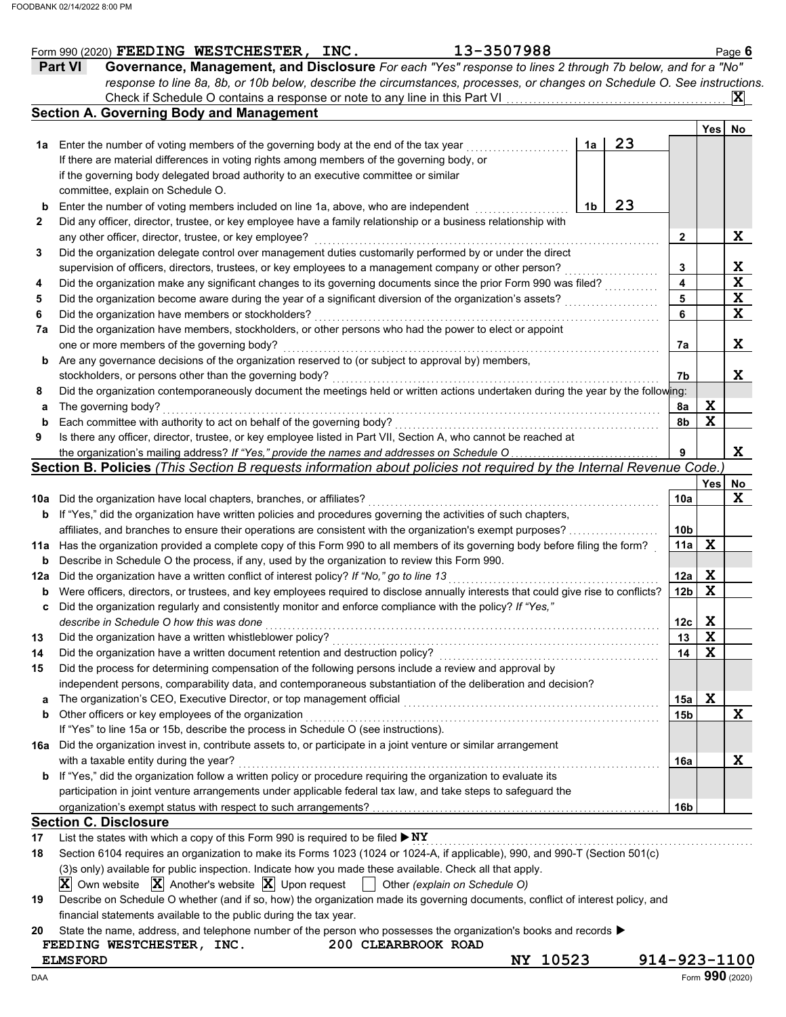|     | 13-3507988<br>Form 990 (2020) FEEDING WESTCHESTER, INC.                                                                              |    |    |                 |             | Page 6                          |
|-----|--------------------------------------------------------------------------------------------------------------------------------------|----|----|-----------------|-------------|---------------------------------|
|     | Governance, Management, and Disclosure For each "Yes" response to lines 2 through 7b below, and for a "No"<br><b>Part VI</b>         |    |    |                 |             |                                 |
|     | response to line 8a, 8b, or 10b below, describe the circumstances, processes, or changes on Schedule O. See instructions.            |    |    |                 |             |                                 |
|     |                                                                                                                                      |    |    |                 |             | $ \mathbf{x} $                  |
|     | <b>Section A. Governing Body and Management</b>                                                                                      |    |    |                 |             |                                 |
|     |                                                                                                                                      |    |    |                 | <b>Yes</b>  | No                              |
|     | 1a Enter the number of voting members of the governing body at the end of the tax year                                               | 1a | 23 |                 |             |                                 |
|     | If there are material differences in voting rights among members of the governing body, or                                           |    |    |                 |             |                                 |
|     | if the governing body delegated broad authority to an executive committee or similar                                                 |    |    |                 |             |                                 |
|     | committee, explain on Schedule O.                                                                                                    |    |    |                 |             |                                 |
| b   | Enter the number of voting members included on line 1a, above, who are independent                                                   | 1b | 23 |                 |             |                                 |
|     | Did any officer, director, trustee, or key employee have a family relationship or a business relationship with                       |    |    |                 |             |                                 |
|     | any other officer, director, trustee, or key employee?                                                                               |    |    | 2               |             | X                               |
|     | Did the organization delegate control over management duties customarily performed by or under the direct                            |    |    |                 |             |                                 |
|     | supervision of officers, directors, trustees, or key employees to a management company or other person?                              |    |    | 3               |             | $\frac{\mathbf{X}}{\mathbf{X}}$ |
|     | Did the organization make any significant changes to its governing documents since the prior Form 990 was filed?                     |    |    | 4               |             |                                 |
|     | Did the organization become aware during the year of a significant diversion of the organization's assets?                           |    |    | 5               |             | $\overline{\mathbf{x}}$         |
|     | Did the organization have members or stockholders?                                                                                   |    |    | 6               |             | $\overline{\mathbf{x}}$         |
| 7a  | Did the organization have members, stockholders, or other persons who had the power to elect or appoint                              |    |    |                 |             |                                 |
|     | one or more members of the governing body?                                                                                           |    |    | 7a              |             | X                               |
|     | <b>b</b> Are any governance decisions of the organization reserved to (or subject to approval by) members,                           |    |    |                 |             |                                 |
|     | stockholders, or persons other than the governing body?                                                                              |    |    | 7b              |             | X                               |
|     | Did the organization contemporaneously document the meetings held or written actions undertaken during the year by the following:    |    |    |                 |             |                                 |
| а   | The governing body?                                                                                                                  |    |    | 8a              | X           |                                 |
|     | Each committee with authority to act on behalf of the governing body?                                                                |    |    | 8b              | $\mathbf x$ |                                 |
|     | Is there any officer, director, trustee, or key employee listed in Part VII, Section A, who cannot be reached at                     |    |    |                 |             |                                 |
|     | the organization's mailing address? If "Yes," provide the names and addresses on Schedule O                                          |    |    | 9               |             | X                               |
|     | Section B. Policies (This Section B requests information about policies not required by the Internal Revenue Code.)                  |    |    |                 |             |                                 |
|     |                                                                                                                                      |    |    |                 | Yes         | No                              |
|     |                                                                                                                                      |    |    | 10a             |             | X                               |
|     | 10a Did the organization have local chapters, branches, or affiliates?                                                               |    |    |                 |             |                                 |
|     | <b>b</b> If "Yes," did the organization have written policies and procedures governing the activities of such chapters,              |    |    |                 |             |                                 |
|     | affiliates, and branches to ensure their operations are consistent with the organization's exempt purposes?                          |    |    | 10b             |             |                                 |
|     | 11a Has the organization provided a complete copy of this Form 990 to all members of its governing body before filing the form?      |    |    | 11a             | X           |                                 |
| b   | Describe in Schedule O the process, if any, used by the organization to review this Form 990.                                        |    |    |                 |             |                                 |
| 12a | Did the organization have a written conflict of interest policy? If "No," go to line 13                                              |    |    | 12a             | X           |                                 |
| b   | Were officers, directors, or trustees, and key employees required to disclose annually interests that could give rise to conflicts?  |    |    | 12 <sub>b</sub> | X           |                                 |
|     | Did the organization regularly and consistently monitor and enforce compliance with the policy? If "Yes,"                            |    |    |                 |             |                                 |
|     | describe in Schedule O how this was done                                                                                             |    |    | 12с             | x           |                                 |
|     | Did the organization have a written whistleblower policy?                                                                            |    |    | 13              | X           |                                 |
|     | Did the organization have a written document retention and destruction policy?                                                       |    |    | 14              | $\mathbf x$ |                                 |
|     | Did the process for determining compensation of the following persons include a review and approval by                               |    |    |                 |             |                                 |
|     | independent persons, comparability data, and contemporaneous substantiation of the deliberation and decision?                        |    |    |                 |             |                                 |
| a   | The organization's CEO, Executive Director, or top management official                                                               |    |    | 15a             | X           |                                 |
| b   | Other officers or key employees of the organization                                                                                  |    |    | 15b             |             | X                               |
|     | If "Yes" to line 15a or 15b, describe the process in Schedule O (see instructions).                                                  |    |    |                 |             |                                 |
|     | 16a Did the organization invest in, contribute assets to, or participate in a joint venture or similar arrangement                   |    |    |                 |             |                                 |
|     | with a taxable entity during the year?                                                                                               |    |    | 16a             |             | X                               |
| b   | If "Yes," did the organization follow a written policy or procedure requiring the organization to evaluate its                       |    |    |                 |             |                                 |
|     | participation in joint venture arrangements under applicable federal tax law, and take steps to safeguard the                        |    |    |                 |             |                                 |
|     |                                                                                                                                      |    |    | 16b             |             |                                 |
|     | <b>Section C. Disclosure</b>                                                                                                         |    |    |                 |             |                                 |
|     |                                                                                                                                      |    |    |                 |             |                                 |
|     | List the states with which a copy of this Form 990 is required to be filed $\triangleright$ NY                                       |    |    |                 |             |                                 |
|     | Section 6104 requires an organization to make its Forms 1023 (1024 or 1024-A, if applicable), 990, and 990-T (Section 501(c)         |    |    |                 |             |                                 |
|     | (3)s only) available for public inspection. Indicate how you made these available. Check all that apply.                             |    |    |                 |             |                                 |
|     | Own website $ \mathbf{X} $ Another's website $ \mathbf{X} $ Upon request $\Box$ Other (explain on Schedule O)                        |    |    |                 |             |                                 |
|     | Describe on Schedule O whether (and if so, how) the organization made its governing documents, conflict of interest policy, and      |    |    |                 |             |                                 |
|     | financial statements available to the public during the tax year.                                                                    |    |    |                 |             |                                 |
|     | State the name, address, and telephone number of the person who possesses the organization's books and records $\blacktriangleright$ |    |    |                 |             |                                 |
|     | 200 CLEARBROOK ROAD<br>FEEDING WESTCHESTER, INC.                                                                                     |    |    |                 |             |                                 |
|     | NY 10523<br><b>ELMSFORD</b>                                                                                                          |    |    | 914-923-1100    |             |                                 |

**ELMSFORD NY 10523 914-923-1100**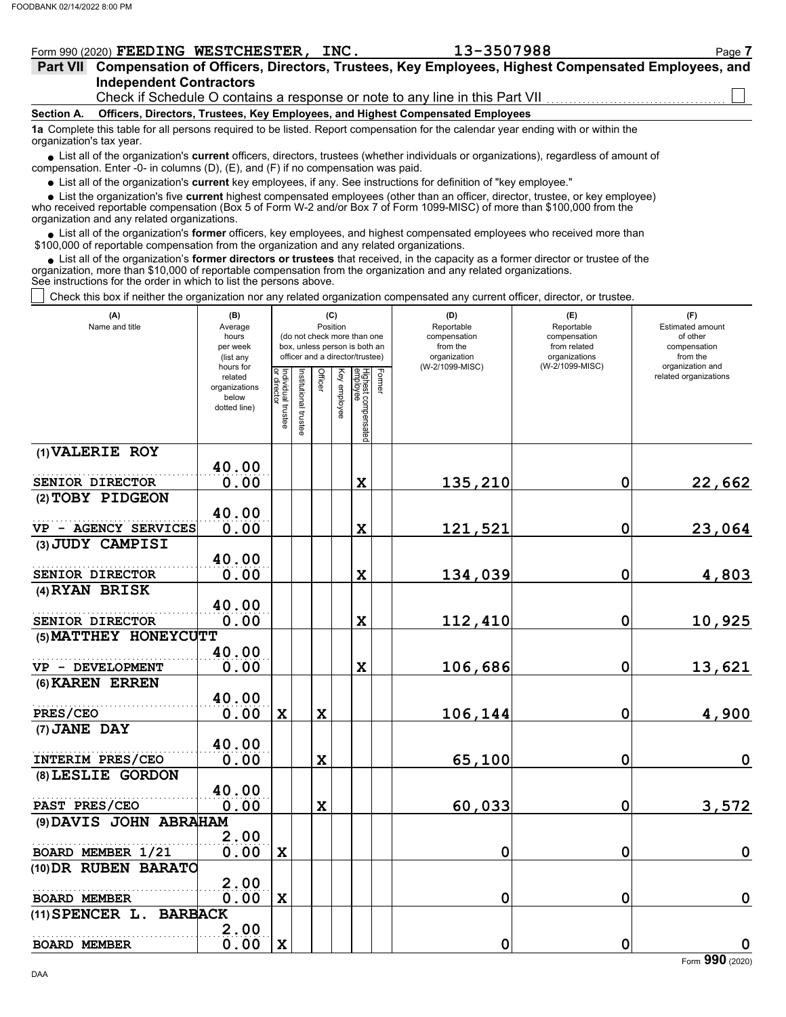|                                                                                                                                                                                                                             | 13-3507988<br>Form 990 (2020) FEEDING WESTCHESTER, INC.                                                                                                       | Page 7 |  |  |  |  |  |  |  |  |  |  |
|-----------------------------------------------------------------------------------------------------------------------------------------------------------------------------------------------------------------------------|---------------------------------------------------------------------------------------------------------------------------------------------------------------|--------|--|--|--|--|--|--|--|--|--|--|
|                                                                                                                                                                                                                             | Part VII Compensation of Officers, Directors, Trustees, Key Employees, Highest Compensated Employees, and                                                     |        |  |  |  |  |  |  |  |  |  |  |
|                                                                                                                                                                                                                             | <b>Independent Contractors</b>                                                                                                                                |        |  |  |  |  |  |  |  |  |  |  |
|                                                                                                                                                                                                                             | Check if Schedule O contains a response or note to any line in this Part VII                                                                                  |        |  |  |  |  |  |  |  |  |  |  |
| <b>Section A.</b>                                                                                                                                                                                                           | Officers, Directors, Trustees, Key Employees, and Highest Compensated Employees                                                                               |        |  |  |  |  |  |  |  |  |  |  |
|                                                                                                                                                                                                                             | 1a Complete this table for all persons required to be listed. Report compensation for the calendar year ending with or within the<br>organization's tax year. |        |  |  |  |  |  |  |  |  |  |  |
| • List all of the organization's current officers, directors, trustees (whether individuals or organizations), regardless of amount of<br>compensation. Enter -0- in columns (D), (E), and (F) if no compensation was paid. |                                                                                                                                                               |        |  |  |  |  |  |  |  |  |  |  |

List all of the organization's **current** key employees, if any. See instructions for definition of "key employee."

■ List all of the organization's **current** key employees, if any. See instructions for definition of "key employee."<br>■ List the organization's five **current** highest compensated employees (other than an officer, director,

who received reportable compensation (Box 5 of Form W-2 and/or Box 7 of Form 1099-MISC) of more than \$100,000 from the organization and any related organizations.

• List all of the organization's **former** officers, key employees, and highest compensated employees who received more than<br>00,000 of reportable compensation from the organization and any related erganizations. \$100,000 of reportable compensation from the organization and any related organizations.

• List all of the organization's **former directors or trustees** that received, in the capacity as a former director or trustee of the anization more than \$10,000 of reportable compensation from the organization and any rel organization, more than \$10,000 of reportable compensation from the organization and any related organizations. See instructions for the order in which to list the persons above.

Check this box if neither the organization nor any related organization compensated any current officer, director, or trustee.

| (A)<br>Name and title               | (B)<br>Average<br>hours<br>per week<br>(list any<br>hours for |                                   |                      | (C)<br>Position         | (do not check more than one<br>box, unless person is both an<br>officer and a director/trustee) |        | (D)<br>Reportable<br>compensation<br>from the<br>organization<br>(W-2/1099-MISC) | (E)<br>Reportable<br>compensation<br>from related<br>organizations<br>(W-2/1099-MISC) | (F)<br>Estimated amount<br>of other<br>compensation<br>from the<br>organization and |
|-------------------------------------|---------------------------------------------------------------|-----------------------------------|----------------------|-------------------------|-------------------------------------------------------------------------------------------------|--------|----------------------------------------------------------------------------------|---------------------------------------------------------------------------------------|-------------------------------------------------------------------------------------|
|                                     | related<br>organizations<br>below<br>dotted line)             | Individual trustee<br>or director | nstitutional trustee | Officer<br>Key employee | Highest compensated<br>employee                                                                 | Former |                                                                                  |                                                                                       | related organizations                                                               |
| (1) VALERIE ROY                     | 40.00                                                         |                                   |                      |                         |                                                                                                 |        |                                                                                  |                                                                                       |                                                                                     |
| SENIOR DIRECTOR                     | 0.00                                                          |                                   |                      |                         | $\mathbf x$                                                                                     |        | 135,210                                                                          | $\mathbf 0$                                                                           | 22,662                                                                              |
| (2) TOBY PIDGEON                    |                                                               |                                   |                      |                         |                                                                                                 |        |                                                                                  |                                                                                       |                                                                                     |
|                                     | 40.00                                                         |                                   |                      |                         |                                                                                                 |        |                                                                                  |                                                                                       |                                                                                     |
| VP - AGENCY SERVICES                | 0.00                                                          |                                   |                      |                         | $\mathbf x$                                                                                     |        | 121,521                                                                          | 0                                                                                     | 23,064                                                                              |
| (3) JUDY CAMPISI                    |                                                               |                                   |                      |                         |                                                                                                 |        |                                                                                  |                                                                                       |                                                                                     |
|                                     | 40.00                                                         |                                   |                      |                         |                                                                                                 |        |                                                                                  |                                                                                       |                                                                                     |
| SENIOR DIRECTOR                     | 0.00                                                          |                                   |                      |                         | $\mathbf x$                                                                                     |        | 134,039                                                                          | 0                                                                                     | 4,803                                                                               |
| (4) RYAN BRISK                      |                                                               |                                   |                      |                         |                                                                                                 |        |                                                                                  |                                                                                       |                                                                                     |
|                                     | 40.00                                                         |                                   |                      |                         |                                                                                                 |        |                                                                                  |                                                                                       |                                                                                     |
| SENIOR DIRECTOR                     | 0.00                                                          |                                   |                      |                         | $\mathbf x$                                                                                     |        | 112,410                                                                          | $\mathbf 0$                                                                           | 10,925                                                                              |
| (5) MATTHEY HONEYCUTT               |                                                               |                                   |                      |                         |                                                                                                 |        |                                                                                  |                                                                                       |                                                                                     |
|                                     | 40.00                                                         |                                   |                      |                         |                                                                                                 |        |                                                                                  |                                                                                       |                                                                                     |
| VP - DEVELOPMENT                    | 0.00                                                          |                                   |                      |                         | $\mathbf x$                                                                                     |        | 106,686                                                                          | $\mathbf 0$                                                                           | 13,621                                                                              |
| (6) KAREN ERREN                     |                                                               |                                   |                      |                         |                                                                                                 |        |                                                                                  |                                                                                       |                                                                                     |
| PRES/CEO                            | 40.00<br>0.00                                                 | $\mathbf x$                       |                      | $\mathbf x$             |                                                                                                 |        |                                                                                  | 0                                                                                     |                                                                                     |
| (7) JANE DAY                        |                                                               |                                   |                      |                         |                                                                                                 |        | 106,144                                                                          |                                                                                       | 4,900                                                                               |
|                                     | 40.00                                                         |                                   |                      |                         |                                                                                                 |        |                                                                                  |                                                                                       |                                                                                     |
| INTERIM PRES/CEO                    | 0.00                                                          |                                   |                      | $\mathbf x$             |                                                                                                 |        | 65,100                                                                           | 0                                                                                     | $\mathbf 0$                                                                         |
| (8) LESLIE GORDON                   |                                                               |                                   |                      |                         |                                                                                                 |        |                                                                                  |                                                                                       |                                                                                     |
|                                     | 40.00                                                         |                                   |                      |                         |                                                                                                 |        |                                                                                  |                                                                                       |                                                                                     |
| PAST PRES/CEO                       | 0.00                                                          |                                   |                      | $\mathbf x$             |                                                                                                 |        | 60,033                                                                           | 0                                                                                     | 3,572                                                                               |
| (9) DAVIS JOHN ABRAHAM              |                                                               |                                   |                      |                         |                                                                                                 |        |                                                                                  |                                                                                       |                                                                                     |
|                                     | 2.00                                                          |                                   |                      |                         |                                                                                                 |        |                                                                                  |                                                                                       |                                                                                     |
| BOARD MEMBER 1/21                   | 0.00                                                          | $\mathbf x$                       |                      |                         |                                                                                                 |        | 0                                                                                | $\mathbf 0$                                                                           | $\mathbf 0$                                                                         |
| (10) DR RUBEN BARATO                |                                                               |                                   |                      |                         |                                                                                                 |        |                                                                                  |                                                                                       |                                                                                     |
|                                     | 2.00                                                          |                                   |                      |                         |                                                                                                 |        |                                                                                  |                                                                                       |                                                                                     |
| <b>BOARD MEMBER</b>                 | 0.00                                                          | $\mathbf x$                       |                      |                         |                                                                                                 |        | 0                                                                                | 0                                                                                     | $\mathbf 0$                                                                         |
| <b>BARBACK</b><br>$(11)$ SPENCER L. |                                                               |                                   |                      |                         |                                                                                                 |        |                                                                                  |                                                                                       |                                                                                     |
| <b>BOARD MEMBER</b>                 | 2.00<br>0.00                                                  | $\mathbf x$                       |                      |                         |                                                                                                 |        | 0                                                                                | $\mathbf 0$                                                                           | $\mathbf 0$                                                                         |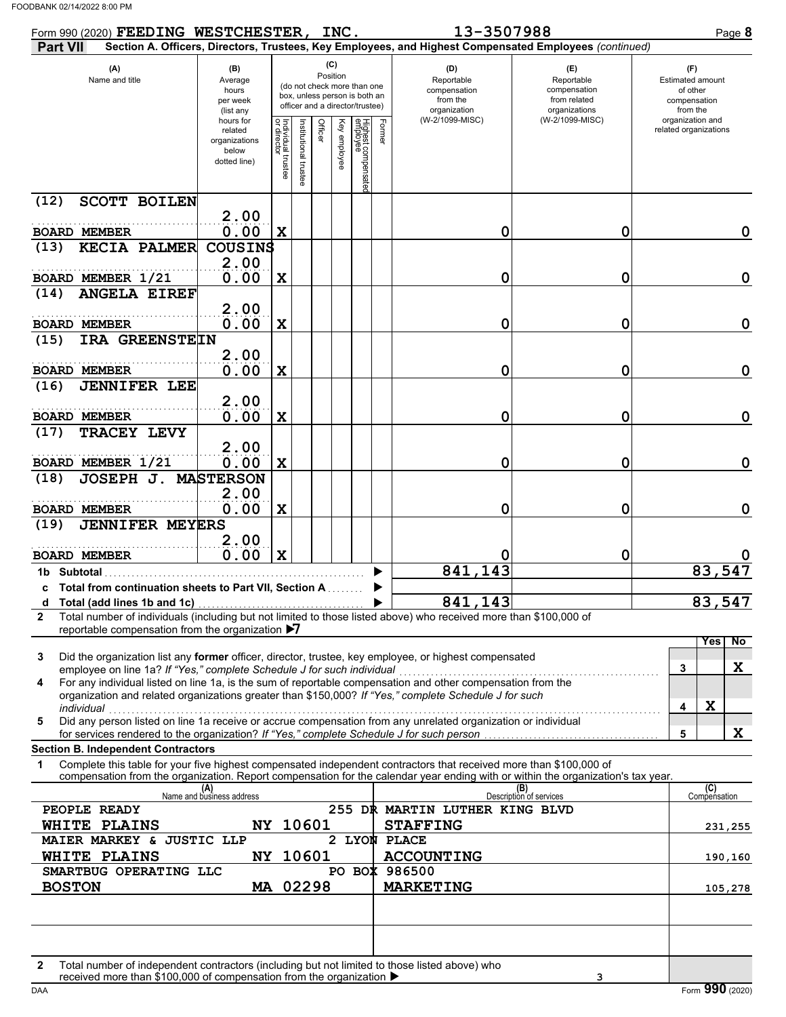| Form 990 (2020) FEEDING WESTCHESTER,                                                                                                                                                                                                                        |                                                                |                                   |                           |                                                                                                                    | INC.         |                                |        | 13-3507988                                                                                             |                                                                    | Page 8                                                          |
|-------------------------------------------------------------------------------------------------------------------------------------------------------------------------------------------------------------------------------------------------------------|----------------------------------------------------------------|-----------------------------------|---------------------------|--------------------------------------------------------------------------------------------------------------------|--------------|--------------------------------|--------|--------------------------------------------------------------------------------------------------------|--------------------------------------------------------------------|-----------------------------------------------------------------|
| <b>Part VII</b>                                                                                                                                                                                                                                             |                                                                |                                   |                           |                                                                                                                    |              |                                |        | Section A. Officers, Directors, Trustees, Key Employees, and Highest Compensated Employees (continued) |                                                                    |                                                                 |
| (A)<br>Name and title                                                                                                                                                                                                                                       | (B)<br>Average<br>hours<br>per week<br>(list any               |                                   |                           | (C)<br>Position<br>(do not check more than one<br>box, unless person is both an<br>officer and a director/trustee) |              |                                |        | (D)<br>Reportable<br>compensation<br>from the<br>organization                                          | (E)<br>Reportable<br>compensation<br>from related<br>organizations | (F)<br>Estimated amount<br>of other<br>compensation<br>from the |
|                                                                                                                                                                                                                                                             | hours for<br>related<br>organizations<br>below<br>dotted line) | Individual trustee<br>or director | Institutional<br>ltrustee | Officer                                                                                                            | Key employee | Highest compensate<br>employee | Former | (W-2/1099-MISC)                                                                                        | (W-2/1099-MISC)                                                    | organization and<br>related organizations                       |
| <b>SCOTT BOILEN</b><br>(12)                                                                                                                                                                                                                                 |                                                                |                                   |                           |                                                                                                                    |              |                                |        |                                                                                                        |                                                                    |                                                                 |
| <b>BOARD MEMBER</b>                                                                                                                                                                                                                                         | 2.00<br>0.00                                                   | $\mathbf X$                       |                           |                                                                                                                    |              |                                |        | 0                                                                                                      | 0                                                                  | $\mathbf 0$                                                     |
| <b>KECIA PALMER</b><br>(13)                                                                                                                                                                                                                                 | <b>COUSINS</b>                                                 |                                   |                           |                                                                                                                    |              |                                |        |                                                                                                        |                                                                    |                                                                 |
|                                                                                                                                                                                                                                                             | 2.00                                                           |                                   |                           |                                                                                                                    |              |                                |        |                                                                                                        |                                                                    |                                                                 |
| BOARD MEMBER 1/21                                                                                                                                                                                                                                           | 0.00                                                           | $\mathbf X$                       |                           |                                                                                                                    |              |                                |        | 0                                                                                                      | 0                                                                  | $\mathbf 0$                                                     |
| <b>ANGELA EIREF</b><br>(14)                                                                                                                                                                                                                                 | 2.00                                                           |                                   |                           |                                                                                                                    |              |                                |        |                                                                                                        |                                                                    |                                                                 |
| <b>BOARD MEMBER</b>                                                                                                                                                                                                                                         | 0.00                                                           | $\mathbf X$                       |                           |                                                                                                                    |              |                                |        | 0                                                                                                      | 0                                                                  | $\mathbf 0$                                                     |
| IRA GREENSTEIN<br>(15)                                                                                                                                                                                                                                      |                                                                |                                   |                           |                                                                                                                    |              |                                |        |                                                                                                        |                                                                    |                                                                 |
|                                                                                                                                                                                                                                                             | 2.00                                                           |                                   |                           |                                                                                                                    |              |                                |        |                                                                                                        |                                                                    |                                                                 |
| <b>BOARD MEMBER</b><br>(16)<br><b>JENNIFER LEE</b>                                                                                                                                                                                                          | 0.00                                                           | $\mathbf X$                       |                           |                                                                                                                    |              |                                |        | 0                                                                                                      | 0                                                                  | $\mathbf 0$                                                     |
|                                                                                                                                                                                                                                                             | 2.00                                                           |                                   |                           |                                                                                                                    |              |                                |        |                                                                                                        |                                                                    |                                                                 |
| <b>BOARD MEMBER</b>                                                                                                                                                                                                                                         | 0.00                                                           | $\mathbf X$                       |                           |                                                                                                                    |              |                                |        | 0                                                                                                      | 0                                                                  | $\mathbf 0$                                                     |
| TRACEY LEVY<br>(17)                                                                                                                                                                                                                                         |                                                                |                                   |                           |                                                                                                                    |              |                                |        |                                                                                                        |                                                                    |                                                                 |
| BOARD MEMBER 1/21                                                                                                                                                                                                                                           | 2.00<br>0.00                                                   | $\mathbf X$                       |                           |                                                                                                                    |              |                                |        | 0                                                                                                      | 0                                                                  | $\mathbf 0$                                                     |
| <b>JOSEPH J. MASTERSON</b><br>(18)                                                                                                                                                                                                                          |                                                                |                                   |                           |                                                                                                                    |              |                                |        |                                                                                                        |                                                                    |                                                                 |
|                                                                                                                                                                                                                                                             | 2.00                                                           |                                   |                           |                                                                                                                    |              |                                |        |                                                                                                        |                                                                    |                                                                 |
| <b>BOARD MEMBER</b><br><b>JENNIFER MEYERS</b><br>(19)                                                                                                                                                                                                       | 0.00                                                           | X                                 |                           |                                                                                                                    |              |                                |        | 0                                                                                                      | 0                                                                  | 0                                                               |
|                                                                                                                                                                                                                                                             | 2.00                                                           |                                   |                           |                                                                                                                    |              |                                |        |                                                                                                        |                                                                    |                                                                 |
| <b>BOARD MEMBER</b>                                                                                                                                                                                                                                         | 0.00                                                           | $\mathbf x$                       |                           |                                                                                                                    |              |                                |        |                                                                                                        | 0                                                                  |                                                                 |
| 1b Subtotal                                                                                                                                                                                                                                                 |                                                                |                                   |                           |                                                                                                                    |              |                                |        | 841,143                                                                                                |                                                                    | 83,547                                                          |
| c Total from continuation sheets to Part VII, Section A                                                                                                                                                                                                     |                                                                |                                   |                           |                                                                                                                    |              |                                |        | 841, 143                                                                                               |                                                                    | 83,547                                                          |
| Total number of individuals (including but not limited to those listed above) who received more than \$100,000 of<br>$\mathbf{2}$                                                                                                                           |                                                                |                                   |                           |                                                                                                                    |              |                                |        |                                                                                                        |                                                                    |                                                                 |
| reportable compensation from the organization $\blacktriangleright$ 7                                                                                                                                                                                       |                                                                |                                   |                           |                                                                                                                    |              |                                |        |                                                                                                        |                                                                    | Yes<br>N <sub>o</sub>                                           |
| Did the organization list any former officer, director, trustee, key employee, or highest compensated<br>3                                                                                                                                                  |                                                                |                                   |                           |                                                                                                                    |              |                                |        |                                                                                                        |                                                                    |                                                                 |
| employee on line 1a? If "Yes," complete Schedule J for such individual                                                                                                                                                                                      |                                                                |                                   |                           |                                                                                                                    |              |                                |        |                                                                                                        |                                                                    | X<br>3                                                          |
| For any individual listed on line 1a, is the sum of reportable compensation and other compensation from the<br>4<br>organization and related organizations greater than \$150,000? If "Yes," complete Schedule J for such                                   |                                                                |                                   |                           |                                                                                                                    |              |                                |        |                                                                                                        |                                                                    |                                                                 |
| individual<br>Did any person listed on line 1a receive or accrue compensation from any unrelated organization or individual                                                                                                                                 |                                                                |                                   |                           |                                                                                                                    |              |                                |        |                                                                                                        |                                                                    | X<br>4                                                          |
| 5<br>for services rendered to the organization? If "Yes," complete Schedule J for such person                                                                                                                                                               |                                                                |                                   |                           |                                                                                                                    |              |                                |        |                                                                                                        |                                                                    | X<br>5                                                          |
| <b>Section B. Independent Contractors</b>                                                                                                                                                                                                                   |                                                                |                                   |                           |                                                                                                                    |              |                                |        |                                                                                                        |                                                                    |                                                                 |
| Complete this table for your five highest compensated independent contractors that received more than \$100,000 of<br>1<br>compensation from the organization. Report compensation for the calendar year ending with or within the organization's tax year. |                                                                |                                   |                           |                                                                                                                    |              |                                |        |                                                                                                        |                                                                    |                                                                 |
|                                                                                                                                                                                                                                                             | (A)<br>Name and business address                               |                                   |                           |                                                                                                                    |              |                                |        |                                                                                                        | (B)<br>Description of services                                     | (C)<br>Compensation                                             |
| PEOPLE READY                                                                                                                                                                                                                                                |                                                                |                                   |                           |                                                                                                                    |              |                                |        | 255 DR MARTIN LUTHER KING BLVD                                                                         |                                                                    |                                                                 |
| WHITE PLAINS                                                                                                                                                                                                                                                | NY 10601                                                       |                                   |                           |                                                                                                                    |              |                                |        | <b>STAFFING</b>                                                                                        |                                                                    | 231,255                                                         |
| MAIER MARKEY & JUSTIC LLP<br>WHITE PLAINS                                                                                                                                                                                                                   | NY 10601                                                       |                                   |                           |                                                                                                                    |              |                                |        | 2 LYON PLACE<br><b>ACCOUNTING</b>                                                                      |                                                                    |                                                                 |
| SMARTBUG OPERATING LLC                                                                                                                                                                                                                                      |                                                                |                                   |                           |                                                                                                                    |              |                                |        | PO BOX 986500                                                                                          |                                                                    | 190,160                                                         |
| <b>BOSTON</b>                                                                                                                                                                                                                                               | MA 02298                                                       |                                   |                           |                                                                                                                    |              |                                |        | <b>MARKETING</b>                                                                                       |                                                                    | 105,278                                                         |
|                                                                                                                                                                                                                                                             |                                                                |                                   |                           |                                                                                                                    |              |                                |        |                                                                                                        |                                                                    |                                                                 |
|                                                                                                                                                                                                                                                             |                                                                |                                   |                           |                                                                                                                    |              |                                |        |                                                                                                        |                                                                    |                                                                 |
|                                                                                                                                                                                                                                                             |                                                                |                                   |                           |                                                                                                                    |              |                                |        |                                                                                                        |                                                                    |                                                                 |
| Total number of independent contractors (including but not limited to those listed above) who<br>$\mathbf{2}$                                                                                                                                               |                                                                |                                   |                           |                                                                                                                    |              |                                |        |                                                                                                        |                                                                    |                                                                 |
| received more than \$100,000 of compensation from the organization ▶                                                                                                                                                                                        |                                                                |                                   |                           |                                                                                                                    |              |                                |        |                                                                                                        | 3                                                                  |                                                                 |

DAA Form **990** (2020)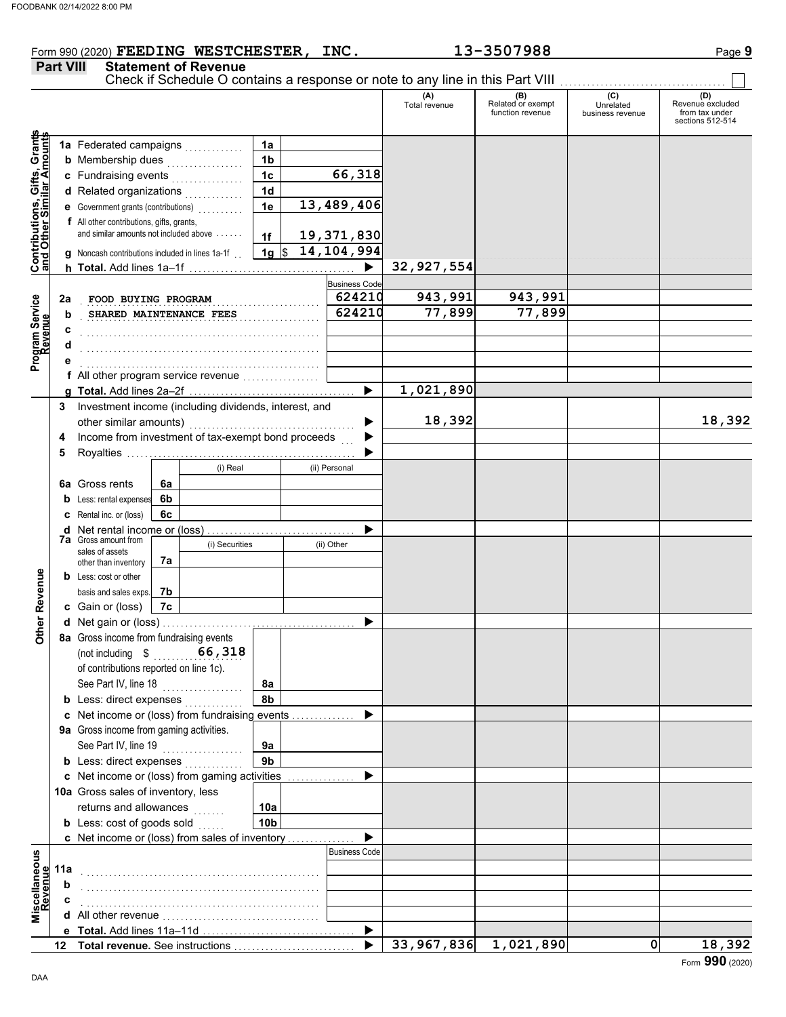#### Form 990 (2020) FEEDING WESTCHESTER, INC. 13-3507988 Page 9

**Part VIII Statement of Revenue**

Check if Schedule O contains a response or note to any line in this Part VIII ................................

 $\Box$ 

|                                                                  |        |                                                                                     |    |                |                 |   |                                                                            | (A)<br>Total revenue | (B)<br>Related or exempt<br>function revenue | (C)<br>Unrelated<br>business revenue | (D)<br>Revenue excluded<br>from tax under |
|------------------------------------------------------------------|--------|-------------------------------------------------------------------------------------|----|----------------|-----------------|---|----------------------------------------------------------------------------|----------------------|----------------------------------------------|--------------------------------------|-------------------------------------------|
|                                                                  |        |                                                                                     |    |                |                 |   |                                                                            |                      |                                              |                                      | sections 512-514                          |
| <b>Contributions, Gifts, Grants</b><br>and Other Similar Amounts |        | 1a Federated campaigns                                                              |    |                | 1a              |   |                                                                            |                      |                                              |                                      |                                           |
|                                                                  |        | <b>b</b> Membership dues                                                            |    | .              | 1 <sub>b</sub>  |   |                                                                            |                      |                                              |                                      |                                           |
|                                                                  |        | 1 <sub>c</sub><br>c Fundraising events                                              |    |                |                 |   | 66,318                                                                     |                      |                                              |                                      |                                           |
|                                                                  |        | d Related organizations                                                             |    | .              | 1 <sub>d</sub>  |   |                                                                            |                      |                                              |                                      |                                           |
|                                                                  |        | <b>e</b> Government grants (contributions)                                          |    |                | 1e              |   | 13,489,406                                                                 |                      |                                              |                                      |                                           |
|                                                                  |        | f All other contributions, gifts, grants,<br>and similar amounts not included above |    |                |                 |   |                                                                            |                      |                                              |                                      |                                           |
|                                                                  |        |                                                                                     |    |                | 1f              |   | 19,371,830                                                                 |                      |                                              |                                      |                                           |
|                                                                  |        | <b>g</b> Noncash contributions included in lines 1a-1f                              |    |                |                 |   | $\begin{array}{ c c c c c } \hline 1g & S & 14,104,994 \hline \end{array}$ |                      |                                              |                                      |                                           |
|                                                                  |        |                                                                                     |    |                |                 |   |                                                                            | 32, 927, 554         |                                              |                                      |                                           |
|                                                                  |        |                                                                                     |    |                |                 |   | <b>Business Code</b><br>624210                                             | 943,991              |                                              |                                      |                                           |
|                                                                  | 2a     | FOOD BUYING PROGRAM                                                                 |    |                |                 | . | 624210                                                                     | 77,899               | 943,991<br>77,899                            |                                      |                                           |
| Program Service<br>Revenue                                       | b      | SHARED MAINTENANCE FEES                                                             |    |                |                 | . |                                                                            |                      |                                              |                                      |                                           |
|                                                                  | c<br>d |                                                                                     |    |                |                 |   |                                                                            |                      |                                              |                                      |                                           |
|                                                                  |        |                                                                                     |    |                |                 |   |                                                                            |                      |                                              |                                      |                                           |
|                                                                  | е      |                                                                                     |    |                |                 |   |                                                                            |                      |                                              |                                      |                                           |
|                                                                  |        |                                                                                     |    |                |                 |   | ▶                                                                          | 1,021,890            |                                              |                                      |                                           |
|                                                                  | 3      | Investment income (including dividends, interest, and                               |    |                |                 |   |                                                                            |                      |                                              |                                      |                                           |
|                                                                  |        | other similar amounts)                                                              |    |                |                 |   |                                                                            | 18,392               |                                              |                                      | 18,392                                    |
|                                                                  | 4      | Income from investment of tax-exempt bond proceeds                                  |    |                |                 |   |                                                                            |                      |                                              |                                      |                                           |
|                                                                  | 5      |                                                                                     |    |                |                 |   |                                                                            |                      |                                              |                                      |                                           |
|                                                                  |        |                                                                                     |    | (i) Real       |                 |   | (ii) Personal                                                              |                      |                                              |                                      |                                           |
|                                                                  |        | <b>6a</b> Gross rents                                                               | 6a |                |                 |   |                                                                            |                      |                                              |                                      |                                           |
|                                                                  |        | <b>b</b> Less: rental expenses                                                      | 6b |                |                 |   |                                                                            |                      |                                              |                                      |                                           |
|                                                                  |        | C Rental inc. or (loss)                                                             | 6c |                |                 |   |                                                                            |                      |                                              |                                      |                                           |
|                                                                  |        |                                                                                     |    |                |                 |   |                                                                            |                      |                                              |                                      |                                           |
|                                                                  |        | 7a Gross amount from<br>sales of assets                                             |    | (i) Securities |                 |   | (ii) Other                                                                 |                      |                                              |                                      |                                           |
|                                                                  |        | other than inventory                                                                | 7а |                |                 |   |                                                                            |                      |                                              |                                      |                                           |
|                                                                  |        | <b>b</b> Less: cost or other                                                        |    |                |                 |   |                                                                            |                      |                                              |                                      |                                           |
|                                                                  |        | basis and sales exps.                                                               | 7b |                |                 |   |                                                                            |                      |                                              |                                      |                                           |
| Other Revenue                                                    |        | c Gain or (loss)                                                                    | 7c |                |                 |   |                                                                            |                      |                                              |                                      |                                           |
|                                                                  |        |                                                                                     |    |                |                 |   |                                                                            |                      |                                              |                                      |                                           |
|                                                                  |        | 8a Gross income from fundraising events                                             |    |                |                 |   |                                                                            |                      |                                              |                                      |                                           |
|                                                                  |        |                                                                                     |    |                |                 |   |                                                                            |                      |                                              |                                      |                                           |
|                                                                  |        | of contributions reported on line 1c).                                              |    |                |                 |   |                                                                            |                      |                                              |                                      |                                           |
|                                                                  |        | See Part IV, line 18                                                                |    |                | 8a<br>8b        |   |                                                                            |                      |                                              |                                      |                                           |
|                                                                  |        | <b>b</b> Less: direct expenses<br>c Net income or (loss) from fundraising events    |    |                |                 |   |                                                                            |                      |                                              |                                      |                                           |
|                                                                  |        | 9a Gross income from gaming activities.                                             |    |                |                 |   |                                                                            |                      |                                              |                                      |                                           |
|                                                                  |        | See Part IV, line 19                                                                |    |                | 9a              |   |                                                                            |                      |                                              |                                      |                                           |
|                                                                  |        | <b>b</b> Less: direct expenses                                                      |    | .              | 9 <sub>b</sub>  |   |                                                                            |                      |                                              |                                      |                                           |
|                                                                  |        | c Net income or (loss) from gaming activities                                       |    |                |                 |   |                                                                            |                      |                                              |                                      |                                           |
|                                                                  |        | 10a Gross sales of inventory, less                                                  |    |                |                 |   |                                                                            |                      |                                              |                                      |                                           |
|                                                                  |        | returns and allowances                                                              |    |                | 10a             |   |                                                                            |                      |                                              |                                      |                                           |
|                                                                  |        | <b>b</b> Less: cost of goods sold                                                   |    | .              | 10 <sub>b</sub> |   |                                                                            |                      |                                              |                                      |                                           |
|                                                                  |        | c Net income or (loss) from sales of inventory                                      |    |                |                 |   |                                                                            |                      |                                              |                                      |                                           |
|                                                                  |        |                                                                                     |    |                |                 |   | <b>Business Code</b>                                                       |                      |                                              |                                      |                                           |
| Miscellaneous<br>Revenue                                         | 11a    |                                                                                     |    |                |                 |   |                                                                            |                      |                                              |                                      |                                           |
|                                                                  | b      |                                                                                     |    |                |                 |   |                                                                            |                      |                                              |                                      |                                           |
|                                                                  | c      |                                                                                     |    |                |                 |   |                                                                            |                      |                                              |                                      |                                           |
|                                                                  | d      |                                                                                     |    |                |                 |   |                                                                            |                      |                                              |                                      |                                           |
|                                                                  |        |                                                                                     |    |                |                 |   | ▶                                                                          |                      |                                              |                                      |                                           |
|                                                                  | 12     | Total revenue. See instructions                                                     |    |                |                 |   |                                                                            | 33,967,836           | 1,021,890                                    | 0                                    | 18,392                                    |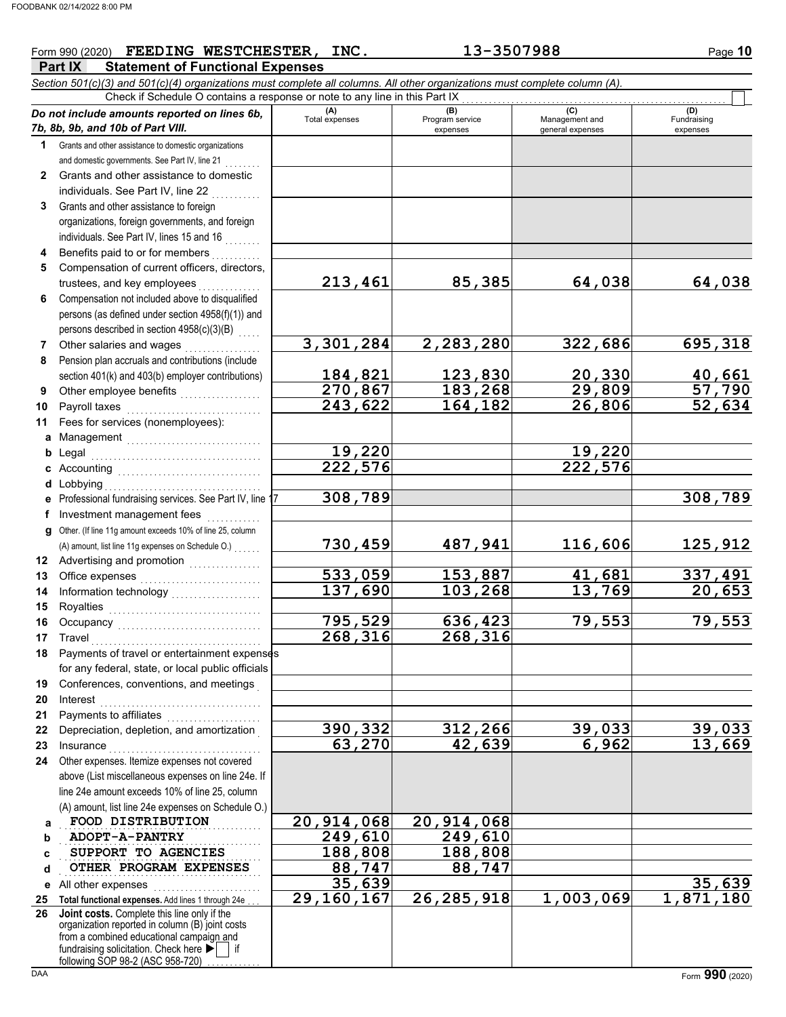#### **Part IX Statement of Functional Expenses** Form 990 (2020) FEEDING WESTCHESTER, INC. 13-3507988 Page 10 *Section 501(c)(3) and 501(c)(4) organizations must complete all columns. All other organizations must complete column (A). Do not include amounts reported on lines 6b, 7b, 8b, 9b, and 10b of Part VIII.* **1 2 3 4 5 6 7 8 9 10 11 a** Management .............................. **b** Legal **c** Accounting . . . . . . . . . . . . . . . . . . . . . . . . . . . . . . . . **d** Lobbying . . . . . . . . . . . . . . . . . . . . . . . . . . . . . . . . . . . **e f g** Other. (If line 11g amount exceeds 10% of line 25, column **12** Advertising and promotion **. . . . . . . . . . . .** . . **13 14 15 16 17 18 19 20 21 22 23 24 a b** Grants and other assistance to domestic organizations and domestic governments. See Part IV, line 21 Grants and other assistance to domestic individuals. See Part IV, line 22 Grants and other assistance to foreign organizations, foreign governments, and foreign individuals. See Part IV, lines 15 and 16 Benefits paid to or for members . . . . . . . . . . Compensation of current officers, directors, trustees, and key employees ......... Compensation not included above to disqualified persons (as defined under section 4958(f)(1)) and persons described in section 4958(c)(3)(B) Other salaries and wages .................. Pension plan accruals and contributions (include section 401(k) and 403(b) employer contributions) Other employee benefits . . . . . . . . . . . . . . . . . . Payroll taxes Fees for services (nonemployees): Legal . . . . . . . . . . . . . . . . . . . . . . . . . . . . . . . . . . . . . . Professional fundraising services. See Part IV, line 17 Investment management fees ............. Office expenses . . . . . . . . . . . . . . . . . . . . . . . . . . . Information technology . . . . . . . . . . . . . . . . . . . . Royalties . . . . . . . . . . . . . . . . . . . . . . . . . . . . . . . . . . Occupancy . . . . . . . . . . . . . . . . . . . . . . . . . . . . . . . . Travel . . . . . . . . . . . . . . . . . . . . . . . . . . . . . . . . . . . . . . Payments of travel or entertainment expenses for any federal, state, or local public officials Conferences, conventions, and meetings . Interest . . . . . . . . . . . . . . . . . . . . . . . . . . . . . . . . . . . . Payments to affiliates . . . . . . . . . . . . . . . . Depreciation, depletion, and amortization . Insurance . . . . . . . . . . . . . . . . . . . . . . . . . . . . . . . . . . Other expenses. Itemize expenses not covered above (List miscellaneous expenses on line 24e. If line 24e amount exceeds 10% of line 25, column (A) amount, list line 24e expenses on Schedule O.) **(A) (B)** (B) (B) (C) (C) (A) (D)<br>Total expenses Program service Management and Fundrai expenses and general expenses (D)<br>Fundraising expenses . . . . . . . . . . . . . . . . . . . . . . . . . . . . . . . . . . . . . . . . . . . . . **FOOD DISTRIBUTION 20,914,068 20,914,068** . . . . . . . . . . . . . . . . . . . . . . . . . . . . . . . . . . . . . . . . . . . . . **ADOPT-A-PANTRY 249,610 249,610** Check if Schedule O contains a response or note to any line in this Part IX (A) amount, list line 11g expenses on Schedule O.) . . . . . . . **213,461 85,385 64,038 64,038 3,301,284 2,283,280 322,686 695,318 184,821 123,830 20,330 40,661 270,867 183,268 29,809 57,790 243,622 164,182 26,806 52,634 19,220 19,220 222,576 222,576 308,789 308,789 730,459 487,941 116,606 125,912 533,059 153,887 41,681 337,491 137,690 795,529 636,423 79,553 79,553 268,316 268,316 390,332 312,266 39,033 39,033 63,270 42,639 6,962 13,669**

**e** All other expenses . . . . . . . . . . . . . . . . . . . . . . . .

**25 Total functional expenses.** Add lines 1 through 24e . . . **26** fundraising solicitation. Check here  $\blacktriangleright$  | if organization reported in column (B) joint costs from a combined educational campaign and following SOP 98-2 (ASC 958-720) **Joint costs.** Complete this line only if the

**35,639 35,639**

**29,160,167 26,285,918 1,003,069 1,871,180**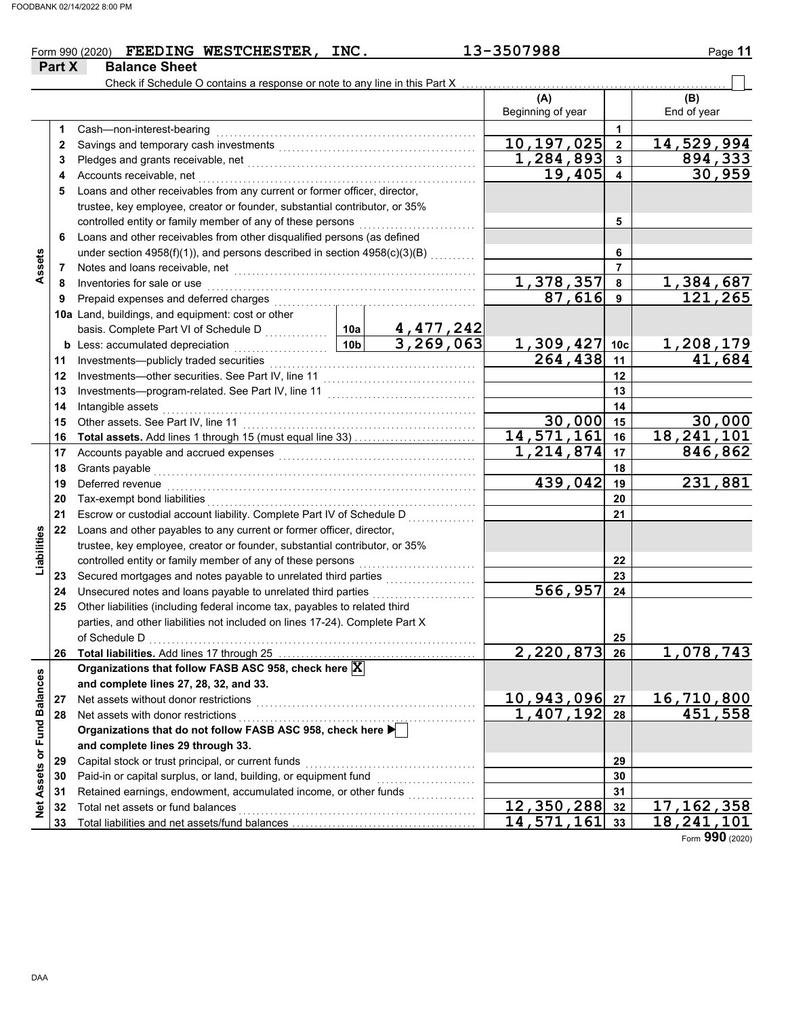|                         |          | FEEDING WESTCHESTER, INC.<br>Form 990 (2020)                                                                                                                                                                                  |                      |                                                                                                                                                                                                                                | 13-3507988              |                | Page 11      |
|-------------------------|----------|-------------------------------------------------------------------------------------------------------------------------------------------------------------------------------------------------------------------------------|----------------------|--------------------------------------------------------------------------------------------------------------------------------------------------------------------------------------------------------------------------------|-------------------------|----------------|--------------|
|                         | Part X   | <b>Balance Sheet</b><br>Check if Schedule O contains a response or note to any line in this Part X                                                                                                                            |                      |                                                                                                                                                                                                                                |                         |                |              |
|                         |          |                                                                                                                                                                                                                               |                      |                                                                                                                                                                                                                                | (A)                     |                | (B)          |
|                         |          |                                                                                                                                                                                                                               |                      |                                                                                                                                                                                                                                | Beginning of year       |                | End of year  |
|                         | 1.       | Cash-non-interest-bearing                                                                                                                                                                                                     |                      |                                                                                                                                                                                                                                |                         | 1              |              |
|                         | 2        |                                                                                                                                                                                                                               |                      |                                                                                                                                                                                                                                | 10, 197, 025            | $\overline{2}$ | 14,529,994   |
|                         | 3        |                                                                                                                                                                                                                               |                      |                                                                                                                                                                                                                                | 1,284,893               |                | 894,333      |
|                         | 4        | Accounts receivable, net                                                                                                                                                                                                      |                      |                                                                                                                                                                                                                                | 19,405                  |                | 30,959       |
|                         | 5        | Loans and other receivables from any current or former officer, director,                                                                                                                                                     |                      |                                                                                                                                                                                                                                |                         |                |              |
|                         |          | trustee, key employee, creator or founder, substantial contributor, or 35%                                                                                                                                                    |                      |                                                                                                                                                                                                                                |                         |                |              |
|                         |          |                                                                                                                                                                                                                               |                      |                                                                                                                                                                                                                                |                         | 5              |              |
|                         | 6        | Loans and other receivables from other disqualified persons (as defined                                                                                                                                                       |                      |                                                                                                                                                                                                                                |                         |                |              |
|                         |          | under section 4958(f)(1)), and persons described in section 4958(c)(3)(B)                                                                                                                                                     |                      |                                                                                                                                                                                                                                |                         | 6              |              |
| Assets                  | 7        |                                                                                                                                                                                                                               |                      |                                                                                                                                                                                                                                |                         | 7              |              |
|                         | 8        | Inventories for sale or use                                                                                                                                                                                                   |                      |                                                                                                                                                                                                                                | 1,378,357               | 8              | 1,384,687    |
|                         | 9        | Prepaid expenses and deferred charges                                                                                                                                                                                         |                      |                                                                                                                                                                                                                                | 87,616                  | 9              | 121,265      |
|                         |          | 10a Land, buildings, and equipment: cost or other                                                                                                                                                                             |                      |                                                                                                                                                                                                                                |                         |                |              |
|                         |          | basis. Complete Part VI of Schedule D<br>I ess: accumulated depreciation<br>10b 3, 269, 063                                                                                                                                   |                      |                                                                                                                                                                                                                                |                         |                |              |
|                         |          | <b>b</b> Less: accumulated depreciation<br>. 1                                                                                                                                                                                |                      |                                                                                                                                                                                                                                | 1,309,427 10c           |                | 1,208,179    |
|                         | 11       |                                                                                                                                                                                                                               |                      |                                                                                                                                                                                                                                | $\overline{264}$ , 438  | 11             | 41,684       |
|                         | 12       |                                                                                                                                                                                                                               |                      |                                                                                                                                                                                                                                |                         | 12             |              |
|                         | 13       |                                                                                                                                                                                                                               |                      |                                                                                                                                                                                                                                |                         | 13             |              |
|                         | 14       | Intangible assets                                                                                                                                                                                                             | $\overline{30}$ ,000 | 14                                                                                                                                                                                                                             | 30,000                  |                |              |
|                         | 15<br>16 | Total assets. Add lines 1 through 15 (must equal line 33)                                                                                                                                                                     |                      |                                                                                                                                                                                                                                | 14,571,161              | 15<br>16       | 18, 241, 101 |
|                         | 17       |                                                                                                                                                                                                                               | 1,214,874            | 17                                                                                                                                                                                                                             | 846,862                 |                |              |
|                         | 18       | Grants payable                                                                                                                                                                                                                |                      |                                                                                                                                                                                                                                |                         | 18             |              |
|                         | 19       | Deferred revenue                                                                                                                                                                                                              |                      |                                                                                                                                                                                                                                | 439,042                 | 19             | 231,881      |
|                         | 20       | Tax-exempt bond liabilities [11, 12] with the set of the set of the set of the set of the set of the set of the set of the set of the set of the set of the set of the set of the set of the set of the set of the set of the |                      |                                                                                                                                                                                                                                |                         | 20             |              |
|                         | 21       | Escrow or custodial account liability. Complete Part IV of Schedule D                                                                                                                                                         |                      |                                                                                                                                                                                                                                |                         | 21             |              |
|                         | 22       | Loans and other payables to any current or former officer, director,                                                                                                                                                          |                      |                                                                                                                                                                                                                                |                         |                |              |
| Liabilities             |          | trustee, key employee, creator or founder, substantial contributor, or 35%                                                                                                                                                    |                      |                                                                                                                                                                                                                                |                         |                |              |
|                         |          | controlled entity or family member of any of these persons                                                                                                                                                                    |                      |                                                                                                                                                                                                                                |                         | 22             |              |
|                         |          | 23 Secured mortgages and notes payable to unrelated third parties [[[[[[[[[[[[[[[[[[[[[[[[[[[[[[[[[[                                                                                                                          |                      |                                                                                                                                                                                                                                |                         | 23             |              |
|                         | 24       | Unsecured notes and loans payable to unrelated third parties                                                                                                                                                                  |                      |                                                                                                                                                                                                                                | 566,957                 | 24             |              |
|                         | 25       | Other liabilities (including federal income tax, payables to related third                                                                                                                                                    |                      |                                                                                                                                                                                                                                |                         |                |              |
|                         |          | parties, and other liabilities not included on lines 17-24). Complete Part X                                                                                                                                                  |                      |                                                                                                                                                                                                                                |                         |                |              |
|                         |          | of Schedule D                                                                                                                                                                                                                 |                      |                                                                                                                                                                                                                                |                         | 25             |              |
|                         | 26       |                                                                                                                                                                                                                               |                      |                                                                                                                                                                                                                                | 2,220,873               | 26             | 1,078,743    |
|                         |          | Organizations that follow FASB ASC 958, check here X                                                                                                                                                                          |                      |                                                                                                                                                                                                                                |                         |                |              |
|                         |          | and complete lines 27, 28, 32, and 33.                                                                                                                                                                                        |                      |                                                                                                                                                                                                                                |                         |                |              |
| <b>Balances</b>         | 27       | Net assets without donor restrictions                                                                                                                                                                                         |                      |                                                                                                                                                                                                                                | 10,943,096              | 27             | 16,710,800   |
|                         | 28       | Net assets with donor restrictions                                                                                                                                                                                            |                      |                                                                                                                                                                                                                                | $\overline{1,407}, 192$ | 28             | 451,558      |
| Fund                    |          | Organizations that do not follow FASB ASC 958, check here                                                                                                                                                                     |                      |                                                                                                                                                                                                                                |                         |                |              |
|                         |          | and complete lines 29 through 33.                                                                                                                                                                                             |                      |                                                                                                                                                                                                                                |                         |                |              |
| ŏ                       | 29       | Capital stock or trust principal, or current funds                                                                                                                                                                            |                      |                                                                                                                                                                                                                                |                         | 29             |              |
|                         | 30       | Paid-in or capital surplus, or land, building, or equipment fund                                                                                                                                                              |                      | and the complete control of the complete state of the complete state of the complete state of the complete state of the complete state of the complete state of the complete state of the complete state of the complete state |                         | 30             |              |
|                         |          |                                                                                                                                                                                                                               |                      |                                                                                                                                                                                                                                |                         |                |              |
| Assets<br>$\frac{1}{2}$ | 31       | Retained earnings, endowment, accumulated income, or other funds                                                                                                                                                              |                      |                                                                                                                                                                                                                                | 12,350,288              | 31<br>32       | 17, 162, 358 |

Total net assets or fund balances . . . . . . . . . . . . . . . . . . . . . . . . . . . . . . . . . . . . . . . . . . . . . . . . . . . . . Total liabilities and net assets/fund balances  $\dots\dots\dots\dots\dots\dots\dots\dots\dots\dots\dots\dots\dots\dots\dots\dots\dots$ 

Form **990** (2020) **14,571,161 18,241,101**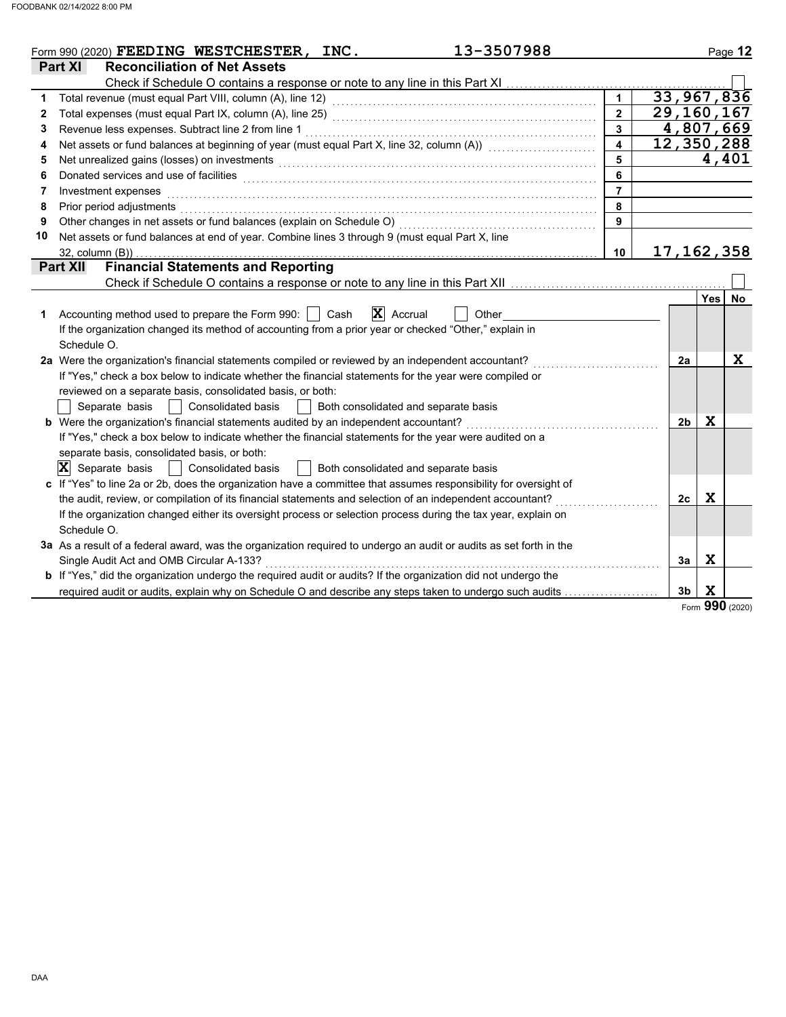|    | 13-3507988<br>Form 990 (2020) FEEDING WESTCHESTER, INC.                                                                                                                                                                        |                         |                |             | Page 12 |
|----|--------------------------------------------------------------------------------------------------------------------------------------------------------------------------------------------------------------------------------|-------------------------|----------------|-------------|---------|
|    | <b>Reconciliation of Net Assets</b><br>Part XI                                                                                                                                                                                 |                         |                |             |         |
|    | Check if Schedule O contains a response or note to any line in this Part XI                                                                                                                                                    |                         |                |             |         |
| 1  |                                                                                                                                                                                                                                | $\mathbf{1}$            | 33,967,836     |             |         |
| 2  |                                                                                                                                                                                                                                | $\overline{2}$          | 29, 160, 167   |             |         |
| 3  | Revenue less expenses. Subtract line 2 from line 1                                                                                                                                                                             | $\overline{\mathbf{3}}$ | 4,807,669      |             |         |
| 4  | Net assets or fund balances at beginning of year (must equal Part X, line 32, column (A)) [[[[[[[[[[[[[[[[[[[                                                                                                                  | $\blacktriangle$        | 12,350,288     |             |         |
| 5  | Net unrealized gains (losses) on investments [11] with the content of the content of the content of the content of the content of the content of the content of the content of the content of the content of the content of th | 5                       |                |             | 4,401   |
| 6  |                                                                                                                                                                                                                                | 6                       |                |             |         |
| 7  | Investment expenses                                                                                                                                                                                                            | $\overline{7}$          |                |             |         |
| 8  | Prior period adjustments with the contract of the contract of the contract of the contract of the contract of the contract of the contract of the contract of the contract of the contract of the contract of the contract of  | 8                       |                |             |         |
| 9  | Other changes in net assets or fund balances (explain on Schedule O)                                                                                                                                                           | 9                       |                |             |         |
| 10 | Net assets or fund balances at end of year. Combine lines 3 through 9 (must equal Part X, line                                                                                                                                 |                         |                |             |         |
|    | 32, column (B))                                                                                                                                                                                                                | 10                      | 17, 162, 358   |             |         |
|    | <b>Financial Statements and Reporting</b><br><b>Part XII</b>                                                                                                                                                                   |                         |                |             |         |
|    | Check if Schedule O contains a response or note to any line in this Part XII [111] [11] Check if Schedule O contains a response or note to any line in this Part XII                                                           |                         |                |             |         |
|    |                                                                                                                                                                                                                                |                         |                | Yes         | No      |
| 1  | $ \mathbf{X} $ Accrual<br>Accounting method used to prepare the Form 990:     Cash<br>Other                                                                                                                                    |                         |                |             |         |
|    | If the organization changed its method of accounting from a prior year or checked "Other," explain in                                                                                                                          |                         |                |             |         |
|    | Schedule O.                                                                                                                                                                                                                    |                         |                |             |         |
|    | 2a Were the organization's financial statements compiled or reviewed by an independent accountant?                                                                                                                             |                         | 2a             |             | X       |
|    | If "Yes," check a box below to indicate whether the financial statements for the year were compiled or                                                                                                                         |                         |                |             |         |
|    | reviewed on a separate basis, consolidated basis, or both:                                                                                                                                                                     |                         |                |             |         |
|    | Separate basis     Consolidated basis<br>Both consolidated and separate basis<br>$\mathbf{1}$                                                                                                                                  |                         |                |             |         |
|    | b Were the organization's financial statements audited by an independent accountant?                                                                                                                                           |                         | 2 <sub>b</sub> | $\mathbf x$ |         |
|    | If "Yes," check a box below to indicate whether the financial statements for the year were audited on a                                                                                                                        |                         |                |             |         |
|    | separate basis, consolidated basis, or both:                                                                                                                                                                                   |                         |                |             |         |
|    | $ \mathbf{X} $ Separate basis $ \cdot $ Consolidated basis<br>  Both consolidated and separate basis                                                                                                                           |                         |                |             |         |
|    | c If "Yes" to line 2a or 2b, does the organization have a committee that assumes responsibility for oversight of                                                                                                               |                         |                |             |         |
|    | the audit, review, or compilation of its financial statements and selection of an independent accountant?                                                                                                                      |                         | 2c             | X           |         |
|    | If the organization changed either its oversight process or selection process during the tax year, explain on                                                                                                                  |                         |                |             |         |
|    | Schedule O.                                                                                                                                                                                                                    |                         |                |             |         |
|    | 3a As a result of a federal award, was the organization required to undergo an audit or audits as set forth in the                                                                                                             |                         |                |             |         |
|    | Single Audit Act and OMB Circular A-133?                                                                                                                                                                                       |                         | Зa             | X           |         |
|    | <b>b</b> If "Yes," did the organization undergo the required audit or audits? If the organization did not undergo the                                                                                                          |                         |                |             |         |
|    | required audit or audits, explain why on Schedule O and describe any steps taken to undergo such audits                                                                                                                        |                         | 3b             | X<br>nn r   |         |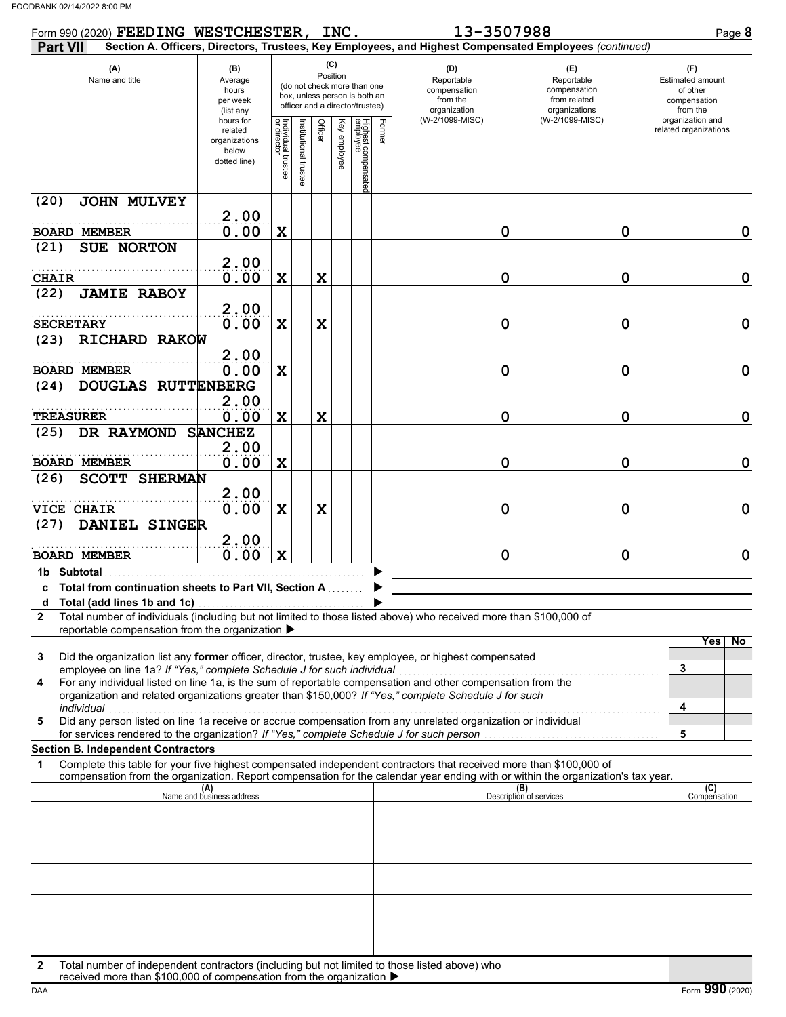| Form 990 (2020) FEEDING WESTCHESTER,                                                                                                                                                                                                                                                                |                                                                |                                   |                            |                 | INC.         |                                                                                                 |        | 13-3507988                                                                                             |                                                                    | Page 8                                                          |
|-----------------------------------------------------------------------------------------------------------------------------------------------------------------------------------------------------------------------------------------------------------------------------------------------------|----------------------------------------------------------------|-----------------------------------|----------------------------|-----------------|--------------|-------------------------------------------------------------------------------------------------|--------|--------------------------------------------------------------------------------------------------------|--------------------------------------------------------------------|-----------------------------------------------------------------|
| Part VII                                                                                                                                                                                                                                                                                            |                                                                |                                   |                            |                 |              |                                                                                                 |        | Section A. Officers, Directors, Trustees, Key Employees, and Highest Compensated Employees (continued) |                                                                    |                                                                 |
| (A)<br>Name and title                                                                                                                                                                                                                                                                               | (B)<br>Average<br>hours<br>per week<br>(list any               |                                   |                            | (C)<br>Position |              | (do not check more than one<br>box, unless person is both an<br>officer and a director/trustee) |        | (D)<br>Reportable<br>compensation<br>from the<br>organization                                          | (E)<br>Reportable<br>compensation<br>from related<br>organizations | (F)<br>Estimated amount<br>of other<br>compensation<br>from the |
|                                                                                                                                                                                                                                                                                                     | hours for<br>related<br>organizations<br>below<br>dotted line) | Individual trustee<br>or director | Institutional<br>l trustee | Officer         | Key employee | Highest compensate<br>employee                                                                  | Former | (W-2/1099-MISC)                                                                                        | (W-2/1099-MISC)                                                    | organization and<br>related organizations                       |
| JOHN MULVEY<br>(20)                                                                                                                                                                                                                                                                                 | 2.00                                                           |                                   |                            |                 |              |                                                                                                 |        |                                                                                                        |                                                                    |                                                                 |
| <b>BOARD MEMBER</b>                                                                                                                                                                                                                                                                                 | 0.00                                                           | $\mathbf X$                       |                            |                 |              |                                                                                                 |        | 0                                                                                                      | 0                                                                  | 0                                                               |
| <b>SUE NORTON</b><br>(21)                                                                                                                                                                                                                                                                           | 2.00                                                           |                                   |                            |                 |              |                                                                                                 |        |                                                                                                        |                                                                    |                                                                 |
| <b>CHAIR</b>                                                                                                                                                                                                                                                                                        | 0.00                                                           | $\mathbf x$                       |                            | Χ               |              |                                                                                                 |        | 0                                                                                                      | 0                                                                  | 0                                                               |
| <b>JAMIE RABOY</b><br>(22)                                                                                                                                                                                                                                                                          |                                                                |                                   |                            |                 |              |                                                                                                 |        |                                                                                                        |                                                                    |                                                                 |
| <b>SECRETARY</b>                                                                                                                                                                                                                                                                                    | 2.00<br>0.00                                                   | $\mathbf X$                       |                            | X               |              |                                                                                                 |        | 0                                                                                                      | 0                                                                  | $\mathbf 0$                                                     |
| RICHARD RAKOW<br>(23)                                                                                                                                                                                                                                                                               |                                                                |                                   |                            |                 |              |                                                                                                 |        |                                                                                                        |                                                                    |                                                                 |
| <b>BOARD MEMBER</b>                                                                                                                                                                                                                                                                                 | 2.00<br>0.00                                                   | $\mathbf X$                       |                            |                 |              |                                                                                                 |        | 0                                                                                                      | 0                                                                  | $\mathbf 0$                                                     |
| <b>DOUGLAS RUTTENBERG</b><br>(24)                                                                                                                                                                                                                                                                   |                                                                |                                   |                            |                 |              |                                                                                                 |        |                                                                                                        |                                                                    |                                                                 |
|                                                                                                                                                                                                                                                                                                     | 2.00                                                           |                                   |                            |                 |              |                                                                                                 |        |                                                                                                        |                                                                    |                                                                 |
| <b>TREASURER</b>                                                                                                                                                                                                                                                                                    | 0.00                                                           | $\mathbf X$                       |                            | Χ               |              |                                                                                                 |        | 0                                                                                                      | 0                                                                  | $\mathbf 0$                                                     |
| DR RAYMOND<br>(25)                                                                                                                                                                                                                                                                                  | <b>SANCHEZ</b>                                                 |                                   |                            |                 |              |                                                                                                 |        |                                                                                                        |                                                                    |                                                                 |
| <b>BOARD MEMBER</b>                                                                                                                                                                                                                                                                                 | 2.00                                                           | $\mathbf X$                       |                            |                 |              |                                                                                                 |        | 0                                                                                                      |                                                                    | 0                                                               |
| <b>SCOTT SHERMAN</b><br>(26)                                                                                                                                                                                                                                                                        | 0.00                                                           |                                   |                            |                 |              |                                                                                                 |        |                                                                                                        | 0                                                                  |                                                                 |
|                                                                                                                                                                                                                                                                                                     | 2.00                                                           |                                   |                            |                 |              |                                                                                                 |        |                                                                                                        |                                                                    |                                                                 |
| VICE CHAIR                                                                                                                                                                                                                                                                                          | 0.00                                                           | $\mathbf X$                       |                            | Χ               |              |                                                                                                 |        | 0                                                                                                      | 0                                                                  | 0                                                               |
| DANIEL SINGER<br>(27)                                                                                                                                                                                                                                                                               |                                                                |                                   |                            |                 |              |                                                                                                 |        |                                                                                                        |                                                                    |                                                                 |
| <b>BOARD MEMBER</b>                                                                                                                                                                                                                                                                                 | 2.00<br>0.00                                                   | $\mathbf x$                       |                            |                 |              |                                                                                                 |        | 0                                                                                                      | 0                                                                  | $\mathbf 0$                                                     |
| 1b Subtotal                                                                                                                                                                                                                                                                                         |                                                                |                                   |                            |                 |              |                                                                                                 |        |                                                                                                        |                                                                    |                                                                 |
| c Total from continuation sheets to Part VII, Section A                                                                                                                                                                                                                                             |                                                                |                                   |                            |                 |              |                                                                                                 |        |                                                                                                        |                                                                    |                                                                 |
|                                                                                                                                                                                                                                                                                                     |                                                                |                                   |                            |                 |              |                                                                                                 |        |                                                                                                        |                                                                    |                                                                 |
| Total number of individuals (including but not limited to those listed above) who received more than \$100,000 of<br>$\mathbf{2}$<br>reportable compensation from the organization ▶                                                                                                                |                                                                |                                   |                            |                 |              |                                                                                                 |        |                                                                                                        |                                                                    |                                                                 |
| Did the organization list any former officer, director, trustee, key employee, or highest compensated<br>3                                                                                                                                                                                          |                                                                |                                   |                            |                 |              |                                                                                                 |        |                                                                                                        |                                                                    | No<br>Yes                                                       |
| employee on line 1a? If "Yes," complete Schedule J for such individual<br>For any individual listed on line 1a, is the sum of reportable compensation and other compensation from the<br>4<br>organization and related organizations greater than \$150,000? If "Yes," complete Schedule J for such |                                                                |                                   |                            |                 |              |                                                                                                 |        |                                                                                                        |                                                                    | 3                                                               |
| individual<br>Did any person listed on line 1a receive or accrue compensation from any unrelated organization or individual<br>5                                                                                                                                                                    |                                                                |                                   |                            |                 |              |                                                                                                 |        |                                                                                                        |                                                                    | 4                                                               |
| for services rendered to the organization? If "Yes," complete Schedule J for such person                                                                                                                                                                                                            |                                                                |                                   |                            |                 |              |                                                                                                 |        |                                                                                                        |                                                                    | 5                                                               |
| <b>Section B. Independent Contractors</b><br>Complete this table for your five highest compensated independent contractors that received more than \$100,000 of<br>1                                                                                                                                |                                                                |                                   |                            |                 |              |                                                                                                 |        |                                                                                                        |                                                                    |                                                                 |
| compensation from the organization. Report compensation for the calendar year ending with or within the organization's tax year.                                                                                                                                                                    |                                                                |                                   |                            |                 |              |                                                                                                 |        |                                                                                                        |                                                                    |                                                                 |
|                                                                                                                                                                                                                                                                                                     | (A)<br>Name and business address                               |                                   |                            |                 |              |                                                                                                 |        |                                                                                                        | (B)<br>Description of services                                     | (C)<br>Compensation                                             |
|                                                                                                                                                                                                                                                                                                     |                                                                |                                   |                            |                 |              |                                                                                                 |        |                                                                                                        |                                                                    |                                                                 |
|                                                                                                                                                                                                                                                                                                     |                                                                |                                   |                            |                 |              |                                                                                                 |        |                                                                                                        |                                                                    |                                                                 |
|                                                                                                                                                                                                                                                                                                     |                                                                |                                   |                            |                 |              |                                                                                                 |        |                                                                                                        |                                                                    |                                                                 |
|                                                                                                                                                                                                                                                                                                     |                                                                |                                   |                            |                 |              |                                                                                                 |        |                                                                                                        |                                                                    |                                                                 |
|                                                                                                                                                                                                                                                                                                     |                                                                |                                   |                            |                 |              |                                                                                                 |        |                                                                                                        |                                                                    |                                                                 |
| Total number of independent contractors (including but not limited to those listed above) who<br>2                                                                                                                                                                                                  |                                                                |                                   |                            |                 |              |                                                                                                 |        |                                                                                                        |                                                                    |                                                                 |

DAA Form 990 (2020) received more than \$100,000 of compensation from the organization ▶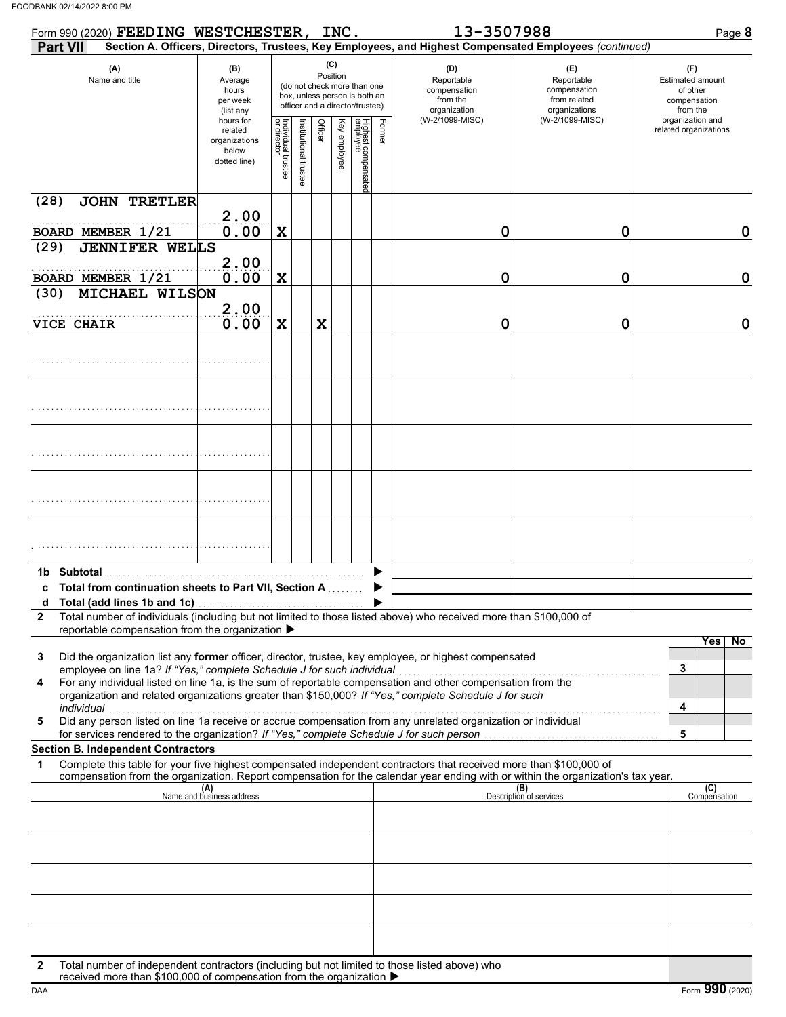| Form 990 (2020) FEEDING WESTCHESTER,                                                                                                                                                                                                                                                                                                                                                                                                 |                                                                |                                                                                                 |                      |         | INC.            |                                 |        | 13-3507988                                                                                             |                                                                    | Page 8                                                          |
|--------------------------------------------------------------------------------------------------------------------------------------------------------------------------------------------------------------------------------------------------------------------------------------------------------------------------------------------------------------------------------------------------------------------------------------|----------------------------------------------------------------|-------------------------------------------------------------------------------------------------|----------------------|---------|-----------------|---------------------------------|--------|--------------------------------------------------------------------------------------------------------|--------------------------------------------------------------------|-----------------------------------------------------------------|
| <b>Part VII</b>                                                                                                                                                                                                                                                                                                                                                                                                                      |                                                                |                                                                                                 |                      |         |                 |                                 |        | Section A. Officers, Directors, Trustees, Key Employees, and Highest Compensated Employees (continued) |                                                                    |                                                                 |
| (A)<br>Name and title                                                                                                                                                                                                                                                                                                                                                                                                                | (B)<br>Average<br>hours<br>per week<br>(list any               | (do not check more than one<br>box, unless person is both an<br>officer and a director/trustee) |                      |         | (C)<br>Position |                                 |        | (D)<br>Reportable<br>compensation<br>from the<br>organization                                          | (E)<br>Reportable<br>compensation<br>from related<br>organizations | (F)<br>Estimated amount<br>of other<br>compensation<br>from the |
|                                                                                                                                                                                                                                                                                                                                                                                                                                      | hours for<br>related<br>organizations<br>below<br>dotted line) | Individual trustee<br>or director                                                               | nstitutional trustee | Officer | Key employee    | Highest compensatec<br>employee | Former | (W-2/1099-MISC)                                                                                        | (W-2/1099-MISC)                                                    | organization and<br>related organizations                       |
| <b>JOHN TRETLER</b><br>(28)<br>BOARD MEMBER 1/21                                                                                                                                                                                                                                                                                                                                                                                     | 2.00                                                           |                                                                                                 |                      |         |                 |                                 |        |                                                                                                        |                                                                    |                                                                 |
| <b>JENNIFER WELLS</b><br>(29)                                                                                                                                                                                                                                                                                                                                                                                                        | 0.00                                                           | $\mathbf X$                                                                                     |                      |         |                 |                                 |        | 0                                                                                                      | 0                                                                  | $\mathbf 0$                                                     |
|                                                                                                                                                                                                                                                                                                                                                                                                                                      | 2.00                                                           |                                                                                                 |                      |         |                 |                                 |        |                                                                                                        |                                                                    |                                                                 |
| BOARD MEMBER 1/21                                                                                                                                                                                                                                                                                                                                                                                                                    | 0.00                                                           | $\mathbf X$                                                                                     |                      |         |                 |                                 |        | 0                                                                                                      | 0                                                                  | $\mathbf 0$                                                     |
| MICHAEL WILSON<br>(30)                                                                                                                                                                                                                                                                                                                                                                                                               |                                                                |                                                                                                 |                      |         |                 |                                 |        |                                                                                                        |                                                                    |                                                                 |
| VICE CHAIR                                                                                                                                                                                                                                                                                                                                                                                                                           | 2.00<br>0.00                                                   | $\mathbf X$                                                                                     |                      | X       |                 |                                 |        | 0                                                                                                      | 0                                                                  | $\mathbf 0$                                                     |
|                                                                                                                                                                                                                                                                                                                                                                                                                                      |                                                                |                                                                                                 |                      |         |                 |                                 |        |                                                                                                        |                                                                    |                                                                 |
|                                                                                                                                                                                                                                                                                                                                                                                                                                      |                                                                |                                                                                                 |                      |         |                 |                                 |        |                                                                                                        |                                                                    |                                                                 |
|                                                                                                                                                                                                                                                                                                                                                                                                                                      |                                                                |                                                                                                 |                      |         |                 |                                 |        |                                                                                                        |                                                                    |                                                                 |
|                                                                                                                                                                                                                                                                                                                                                                                                                                      |                                                                |                                                                                                 |                      |         |                 |                                 |        |                                                                                                        |                                                                    |                                                                 |
|                                                                                                                                                                                                                                                                                                                                                                                                                                      |                                                                |                                                                                                 |                      |         |                 |                                 |        |                                                                                                        |                                                                    |                                                                 |
| 1b Subtotal<br><b>Total from continuation sheets to Part VII, Section A. </b><br>Total number of individuals (including but not limited to those listed above) who received more than \$100,000 of<br>$\mathbf{2}$                                                                                                                                                                                                                   |                                                                |                                                                                                 |                      |         |                 |                                 |        |                                                                                                        |                                                                    |                                                                 |
| reportable compensation from the organization ▶                                                                                                                                                                                                                                                                                                                                                                                      |                                                                |                                                                                                 |                      |         |                 |                                 |        |                                                                                                        |                                                                    |                                                                 |
| 3<br>Did the organization list any former officer, director, trustee, key employee, or highest compensated<br>employee on line 1a? If "Yes," complete Schedule J for such individual<br>For any individual listed on line 1a, is the sum of reportable compensation and other compensation from the<br>4<br>organization and related organizations greater than \$150,000? If "Yes," complete Schedule J for such<br>individual<br>5 |                                                                |                                                                                                 |                      |         |                 |                                 |        |                                                                                                        |                                                                    | Yes<br>$\overline{N}$<br>3<br>4                                 |
| for services rendered to the organization? If "Yes," complete Schedule J for such person                                                                                                                                                                                                                                                                                                                                             |                                                                |                                                                                                 |                      |         |                 |                                 |        |                                                                                                        |                                                                    | 5                                                               |
| <b>Section B. Independent Contractors</b><br>Complete this table for your five highest compensated independent contractors that received more than \$100,000 of<br>1<br>compensation from the organization. Report compensation for the calendar year ending with or within the organization's tax year.                                                                                                                             |                                                                |                                                                                                 |                      |         |                 |                                 |        |                                                                                                        |                                                                    |                                                                 |
|                                                                                                                                                                                                                                                                                                                                                                                                                                      | (A)<br>Name and business address                               |                                                                                                 |                      |         |                 |                                 |        |                                                                                                        | (B)<br>Description of services                                     | (C)<br>Compensation                                             |
|                                                                                                                                                                                                                                                                                                                                                                                                                                      |                                                                |                                                                                                 |                      |         |                 |                                 |        |                                                                                                        |                                                                    |                                                                 |
|                                                                                                                                                                                                                                                                                                                                                                                                                                      |                                                                |                                                                                                 |                      |         |                 |                                 |        |                                                                                                        |                                                                    |                                                                 |
|                                                                                                                                                                                                                                                                                                                                                                                                                                      |                                                                |                                                                                                 |                      |         |                 |                                 |        |                                                                                                        |                                                                    |                                                                 |
|                                                                                                                                                                                                                                                                                                                                                                                                                                      |                                                                |                                                                                                 |                      |         |                 |                                 |        |                                                                                                        |                                                                    |                                                                 |
| Total number of independent contractors (including but not limited to those listed above) who<br>$\mathbf{2}$<br>received more than \$100,000 of compensation from the organization ▶                                                                                                                                                                                                                                                |                                                                |                                                                                                 |                      |         |                 |                                 |        |                                                                                                        |                                                                    |                                                                 |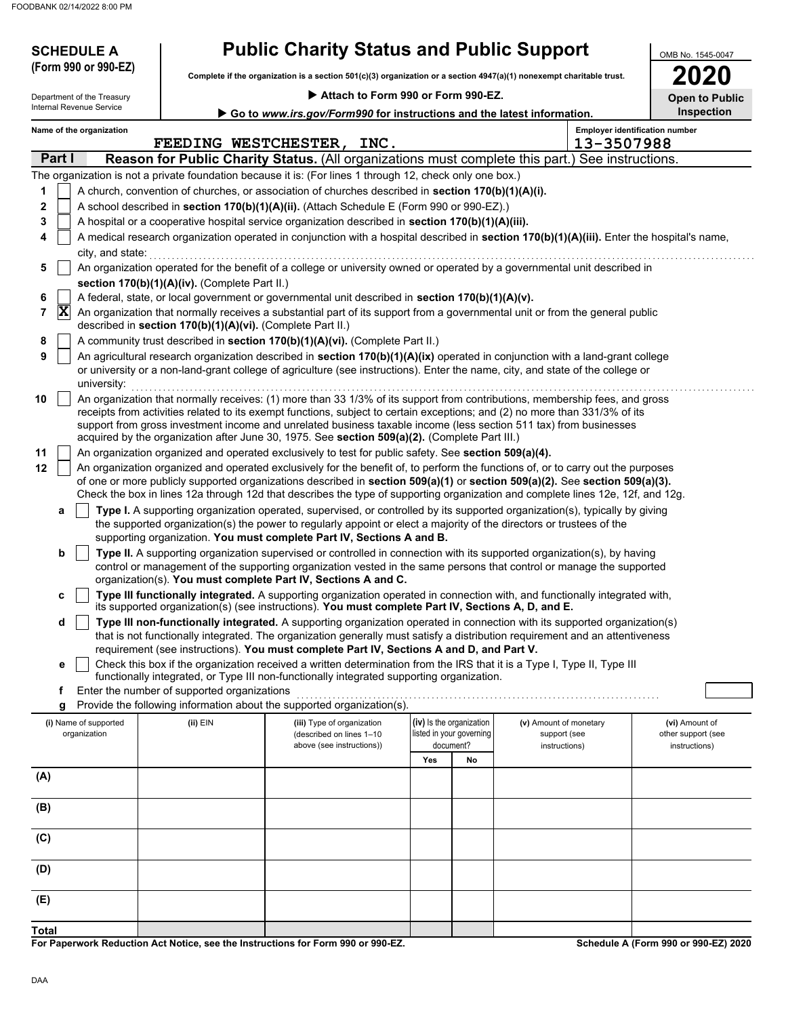| <b>SCHEDULE A</b>                          |                                                            | <b>Public Charity Status and Public Support</b>                                                                                                                                                                                                                                                                                                                                                                                                                                                                                                                                                                                                                                                                              |                                                      |                                        | OMB No. 1545-0047                     |
|--------------------------------------------|------------------------------------------------------------|------------------------------------------------------------------------------------------------------------------------------------------------------------------------------------------------------------------------------------------------------------------------------------------------------------------------------------------------------------------------------------------------------------------------------------------------------------------------------------------------------------------------------------------------------------------------------------------------------------------------------------------------------------------------------------------------------------------------------|------------------------------------------------------|----------------------------------------|---------------------------------------|
| (Form 990 or 990-EZ)                       |                                                            | Complete if the organization is a section 501(c)(3) organization or a section 4947(a)(1) nonexempt charitable trust.                                                                                                                                                                                                                                                                                                                                                                                                                                                                                                                                                                                                         |                                                      |                                        | 020                                   |
| Department of the Treasury                 |                                                            | Attach to Form 990 or Form 990-EZ.                                                                                                                                                                                                                                                                                                                                                                                                                                                                                                                                                                                                                                                                                           |                                                      |                                        | <b>Open to Public</b>                 |
| Internal Revenue Service                   |                                                            | Go to www.irs.gov/Form990 for instructions and the latest information.                                                                                                                                                                                                                                                                                                                                                                                                                                                                                                                                                                                                                                                       |                                                      |                                        | Inspection                            |
| Name of the organization                   |                                                            |                                                                                                                                                                                                                                                                                                                                                                                                                                                                                                                                                                                                                                                                                                                              |                                                      |                                        | <b>Employer identification number</b> |
|                                            |                                                            | FEEDING WESTCHESTER, INC.                                                                                                                                                                                                                                                                                                                                                                                                                                                                                                                                                                                                                                                                                                    |                                                      | 13-3507988                             |                                       |
| Part I                                     |                                                            | Reason for Public Charity Status. (All organizations must complete this part.) See instructions.                                                                                                                                                                                                                                                                                                                                                                                                                                                                                                                                                                                                                             |                                                      |                                        |                                       |
|                                            |                                                            | The organization is not a private foundation because it is: (For lines 1 through 12, check only one box.)                                                                                                                                                                                                                                                                                                                                                                                                                                                                                                                                                                                                                    |                                                      |                                        |                                       |
| 1                                          |                                                            | A church, convention of churches, or association of churches described in section 170(b)(1)(A)(i).                                                                                                                                                                                                                                                                                                                                                                                                                                                                                                                                                                                                                           |                                                      |                                        |                                       |
| $\mathbf 2$<br>3                           |                                                            | A school described in section 170(b)(1)(A)(ii). (Attach Schedule E (Form 990 or 990-EZ).)<br>A hospital or a cooperative hospital service organization described in section 170(b)(1)(A)(iii).                                                                                                                                                                                                                                                                                                                                                                                                                                                                                                                               |                                                      |                                        |                                       |
| 4                                          |                                                            | A medical research organization operated in conjunction with a hospital described in section 170(b)(1)(A)(iii). Enter the hospital's name,                                                                                                                                                                                                                                                                                                                                                                                                                                                                                                                                                                                   |                                                      |                                        |                                       |
| city, and state:                           |                                                            |                                                                                                                                                                                                                                                                                                                                                                                                                                                                                                                                                                                                                                                                                                                              |                                                      |                                        |                                       |
| 5                                          |                                                            | An organization operated for the benefit of a college or university owned or operated by a governmental unit described in                                                                                                                                                                                                                                                                                                                                                                                                                                                                                                                                                                                                    |                                                      |                                        |                                       |
|                                            | section 170(b)(1)(A)(iv). (Complete Part II.)              |                                                                                                                                                                                                                                                                                                                                                                                                                                                                                                                                                                                                                                                                                                                              |                                                      |                                        |                                       |
| 6                                          |                                                            | A federal, state, or local government or governmental unit described in section 170(b)(1)(A)(v).                                                                                                                                                                                                                                                                                                                                                                                                                                                                                                                                                                                                                             |                                                      |                                        |                                       |
| $ {\bf X} $<br>7                           | described in section 170(b)(1)(A)(vi). (Complete Part II.) | An organization that normally receives a substantial part of its support from a governmental unit or from the general public                                                                                                                                                                                                                                                                                                                                                                                                                                                                                                                                                                                                 |                                                      |                                        |                                       |
| 8                                          |                                                            | A community trust described in section 170(b)(1)(A)(vi). (Complete Part II.)                                                                                                                                                                                                                                                                                                                                                                                                                                                                                                                                                                                                                                                 |                                                      |                                        |                                       |
| 9<br>university:                           |                                                            | An agricultural research organization described in section 170(b)(1)(A)(ix) operated in conjunction with a land-grant college<br>or university or a non-land-grant college of agriculture (see instructions). Enter the name, city, and state of the college or                                                                                                                                                                                                                                                                                                                                                                                                                                                              |                                                      |                                        |                                       |
| 10<br>11<br>12                             |                                                            | An organization that normally receives: (1) more than 33 1/3% of its support from contributions, membership fees, and gross<br>receipts from activities related to its exempt functions, subject to certain exceptions; and (2) no more than 331/3% of its<br>support from gross investment income and unrelated business taxable income (less section 511 tax) from businesses<br>acquired by the organization after June 30, 1975. See section 509(a)(2). (Complete Part III.)<br>An organization organized and operated exclusively to test for public safety. See section 509(a)(4).<br>An organization organized and operated exclusively for the benefit of, to perform the functions of, or to carry out the purposes |                                                      |                                        |                                       |
| a<br>b                                     |                                                            | of one or more publicly supported organizations described in section 509(a)(1) or section 509(a)(2). See section 509(a)(3).<br>Check the box in lines 12a through 12d that describes the type of supporting organization and complete lines 12e, 12f, and 12g.<br>Type I. A supporting organization operated, supervised, or controlled by its supported organization(s), typically by giving<br>the supported organization(s) the power to regularly appoint or elect a majority of the directors or trustees of the<br>supporting organization. You must complete Part IV, Sections A and B.<br>Type II. A supporting organization supervised or controlled in connection with its supported organization(s), by having    |                                                      |                                        |                                       |
|                                            |                                                            | control or management of the supporting organization vested in the same persons that control or manage the supported<br>organization(s). You must complete Part IV, Sections A and C.                                                                                                                                                                                                                                                                                                                                                                                                                                                                                                                                        |                                                      |                                        |                                       |
| c                                          |                                                            | Type III functionally integrated. A supporting organization operated in connection with, and functionally integrated with,<br>its supported organization(s) (see instructions). You must complete Part IV, Sections A, D, and E.                                                                                                                                                                                                                                                                                                                                                                                                                                                                                             |                                                      |                                        |                                       |
| d                                          |                                                            | Type III non-functionally integrated. A supporting organization operated in connection with its supported organization(s)<br>that is not functionally integrated. The organization generally must satisfy a distribution requirement and an attentiveness<br>requirement (see instructions). You must complete Part IV, Sections A and D, and Part V.                                                                                                                                                                                                                                                                                                                                                                        |                                                      |                                        |                                       |
| е                                          |                                                            | Check this box if the organization received a written determination from the IRS that it is a Type I, Type II, Type III                                                                                                                                                                                                                                                                                                                                                                                                                                                                                                                                                                                                      |                                                      |                                        |                                       |
|                                            |                                                            | functionally integrated, or Type III non-functionally integrated supporting organization.                                                                                                                                                                                                                                                                                                                                                                                                                                                                                                                                                                                                                                    |                                                      |                                        |                                       |
| f                                          | Enter the number of supported organizations                |                                                                                                                                                                                                                                                                                                                                                                                                                                                                                                                                                                                                                                                                                                                              |                                                      |                                        |                                       |
| g<br>(i) Name of supported<br>organization | $(ii)$ EIN                                                 | Provide the following information about the supported organization(s).<br>(iii) Type of organization<br>(described on lines 1-10                                                                                                                                                                                                                                                                                                                                                                                                                                                                                                                                                                                             | (iv) Is the organization<br>listed in your governing | (v) Amount of monetary<br>support (see | (vi) Amount of<br>other support (see  |
|                                            |                                                            | above (see instructions))                                                                                                                                                                                                                                                                                                                                                                                                                                                                                                                                                                                                                                                                                                    | document?                                            | instructions)                          | instructions)                         |
|                                            |                                                            |                                                                                                                                                                                                                                                                                                                                                                                                                                                                                                                                                                                                                                                                                                                              | Yes<br>No                                            |                                        |                                       |
| (A)                                        |                                                            |                                                                                                                                                                                                                                                                                                                                                                                                                                                                                                                                                                                                                                                                                                                              |                                                      |                                        |                                       |
| (B)                                        |                                                            |                                                                                                                                                                                                                                                                                                                                                                                                                                                                                                                                                                                                                                                                                                                              |                                                      |                                        |                                       |
| (C)                                        |                                                            |                                                                                                                                                                                                                                                                                                                                                                                                                                                                                                                                                                                                                                                                                                                              |                                                      |                                        |                                       |
| (D)                                        |                                                            |                                                                                                                                                                                                                                                                                                                                                                                                                                                                                                                                                                                                                                                                                                                              |                                                      |                                        |                                       |
| (E)                                        |                                                            |                                                                                                                                                                                                                                                                                                                                                                                                                                                                                                                                                                                                                                                                                                                              |                                                      |                                        |                                       |
| <b>Total</b>                               |                                                            |                                                                                                                                                                                                                                                                                                                                                                                                                                                                                                                                                                                                                                                                                                                              |                                                      |                                        |                                       |

**For Paperwork Reduction Act Notice, see the Instructions for Form 990 or 990-EZ.**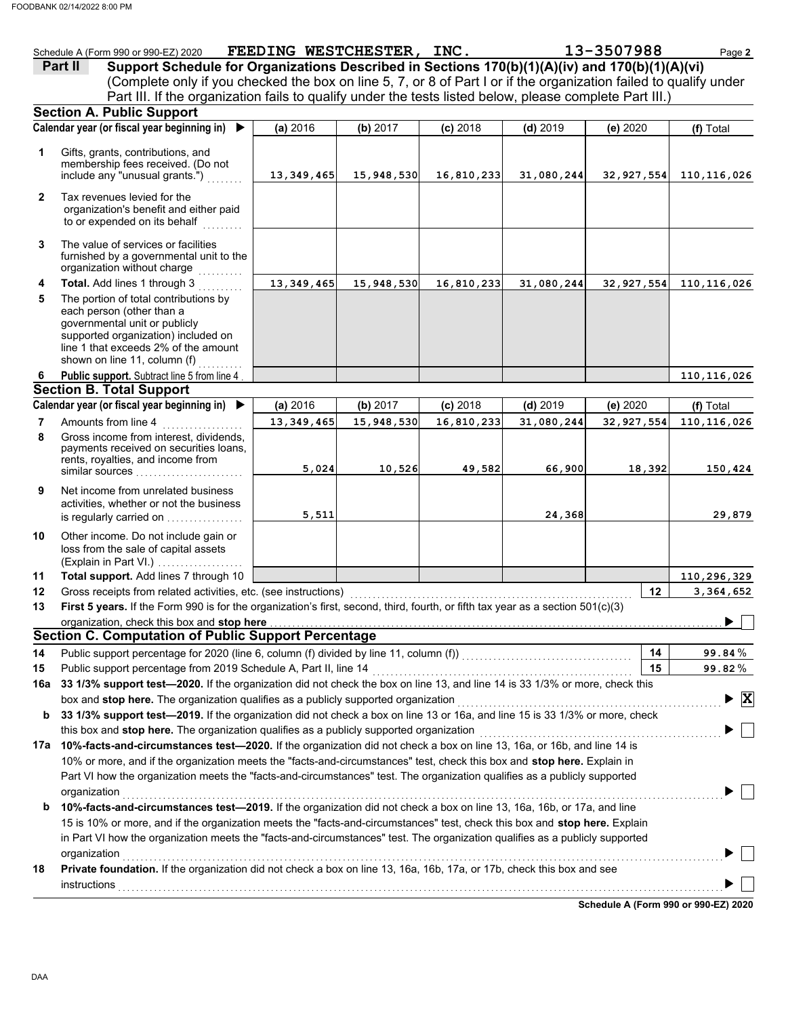|              | Schedule A (Form 990 or 990-EZ) 2020                                                                                                                                                                               | FEEDING WESTCHESTER, INC. |            |            |            | 13-3507988   | Page 2                   |
|--------------|--------------------------------------------------------------------------------------------------------------------------------------------------------------------------------------------------------------------|---------------------------|------------|------------|------------|--------------|--------------------------|
|              | Support Schedule for Organizations Described in Sections 170(b)(1)(A)(iv) and 170(b)(1)(A)(vi)<br>Part II                                                                                                          |                           |            |            |            |              |                          |
|              | (Complete only if you checked the box on line 5, 7, or 8 of Part I or if the organization failed to qualify under                                                                                                  |                           |            |            |            |              |                          |
|              | Part III. If the organization fails to qualify under the tests listed below, please complete Part III.)                                                                                                            |                           |            |            |            |              |                          |
|              | <b>Section A. Public Support</b>                                                                                                                                                                                   |                           |            |            |            |              |                          |
|              | Calendar year (or fiscal year beginning in)<br>$\blacktriangleright$                                                                                                                                               | (a) 2016                  | (b) 2017   | $(c)$ 2018 | $(d)$ 2019 | (e) 2020     | (f) Total                |
| 1            | Gifts, grants, contributions, and<br>membership fees received. (Do not<br>include any "unusual grants.")                                                                                                           | 13, 349, 465              | 15,948,530 | 16,810,233 | 31,080,244 | 32,927,554   | 110, 116, 026            |
| $\mathbf{2}$ | Tax revenues levied for the<br>organization's benefit and either paid<br>to or expended on its behalf                                                                                                              |                           |            |            |            |              |                          |
| 3            | The value of services or facilities<br>furnished by a governmental unit to the<br>organization without charge                                                                                                      |                           |            |            |            |              |                          |
| 4            | Total. Add lines 1 through 3                                                                                                                                                                                       | 13, 349, 465              | 15,948,530 | 16,810,233 | 31,080,244 | 32, 927, 554 | 110, 116, 026            |
| 5            | The portion of total contributions by<br>each person (other than a<br>governmental unit or publicly<br>supported organization) included on<br>line 1 that exceeds 2% of the amount<br>shown on line 11, column (f) |                           |            |            |            |              |                          |
| 6            | Public support. Subtract line 5 from line 4                                                                                                                                                                        |                           |            |            |            |              | 110, 116, 026            |
|              | <b>Section B. Total Support</b>                                                                                                                                                                                    |                           |            |            |            |              |                          |
|              | Calendar year (or fiscal year beginning in) $\blacktriangleright$                                                                                                                                                  | (a) 2016                  | (b) 2017   | $(c)$ 2018 | $(d)$ 2019 | (e) 2020     | (f) Total                |
| 7            | Amounts from line 4                                                                                                                                                                                                | 13, 349, 465              | 15,948,530 | 16,810,233 | 31,080,244 | 32, 927, 554 | 110, 116, 026            |
| 8            | Gross income from interest, dividends,<br>payments received on securities loans,<br>rents, royalties, and income from<br>similar sources                                                                           | 5,024                     | 10,526     | 49,582     | 66,900     | 18,392       | 150,424                  |
| 9            | Net income from unrelated business<br>activities, whether or not the business<br>is regularly carried on                                                                                                           | 5,511                     |            |            | 24,368     |              | 29,879                   |
| 10           | Other income. Do not include gain or<br>loss from the sale of capital assets                                                                                                                                       |                           |            |            |            |              |                          |
|              | (Explain in Part VI.)                                                                                                                                                                                              |                           |            |            |            |              |                          |
| 11<br>12     | Total support. Add lines 7 through 10<br>Gross receipts from related activities, etc. (see instructions)                                                                                                           |                           |            |            |            | 12           | 110,296,329<br>3,364,652 |
| 13           | First 5 years. If the Form 990 is for the organization's first, second, third, fourth, or fifth tax year as a section 501(c)(3)                                                                                    |                           |            |            |            |              |                          |
|              | organization, check this box and stop here                                                                                                                                                                         |                           |            |            |            |              | ▶                        |
|              | <b>Section C. Computation of Public Support Percentage</b>                                                                                                                                                         |                           |            |            |            |              |                          |
| 14           | Public support percentage for 2020 (line 6, column (f) divided by line 11, column (f)) [[[[[[[[[[[[[[[[[[[[[[                                                                                                      |                           |            |            |            | 14           | 99.84%                   |
| 15           | Public support percentage from 2019 Schedule A, Part II, line 14                                                                                                                                                   |                           |            |            |            | 15           | 99.82%                   |
|              | 16a 33 1/3% support test-2020. If the organization did not check the box on line 13, and line 14 is 33 1/3% or more, check this                                                                                    |                           |            |            |            |              |                          |
|              | box and stop here. The organization qualifies as a publicly supported organization                                                                                                                                 |                           |            |            |            |              | <b>X</b>                 |
| b            | 33 1/3% support test-2019. If the organization did not check a box on line 13 or 16a, and line 15 is 33 1/3% or more, check                                                                                        |                           |            |            |            |              |                          |
|              | this box and stop here. The organization qualifies as a publicly supported organization                                                                                                                            |                           |            |            |            |              |                          |
|              | 17a 10%-facts-and-circumstances test-2020. If the organization did not check a box on line 13, 16a, or 16b, and line 14 is                                                                                         |                           |            |            |            |              |                          |
|              | 10% or more, and if the organization meets the "facts-and-circumstances" test, check this box and stop here. Explain in                                                                                            |                           |            |            |            |              |                          |
|              | Part VI how the organization meets the "facts-and-circumstances" test. The organization qualifies as a publicly supported<br>organization                                                                          |                           |            |            |            |              |                          |
| b            | 10%-facts-and-circumstances test-2019. If the organization did not check a box on line 13, 16a, 16b, or 17a, and line                                                                                              |                           |            |            |            |              |                          |
|              | 15 is 10% or more, and if the organization meets the "facts-and-circumstances" test, check this box and stop here. Explain                                                                                         |                           |            |            |            |              |                          |
|              | in Part VI how the organization meets the "facts-and-circumstances" test. The organization qualifies as a publicly supported                                                                                       |                           |            |            |            |              |                          |
|              | organization                                                                                                                                                                                                       |                           |            |            |            |              |                          |
| 18           | Private foundation. If the organization did not check a box on line 13, 16a, 16b, 17a, or 17b, check this box and see<br>instructions                                                                              |                           |            |            |            |              |                          |
|              |                                                                                                                                                                                                                    |                           |            |            |            |              |                          |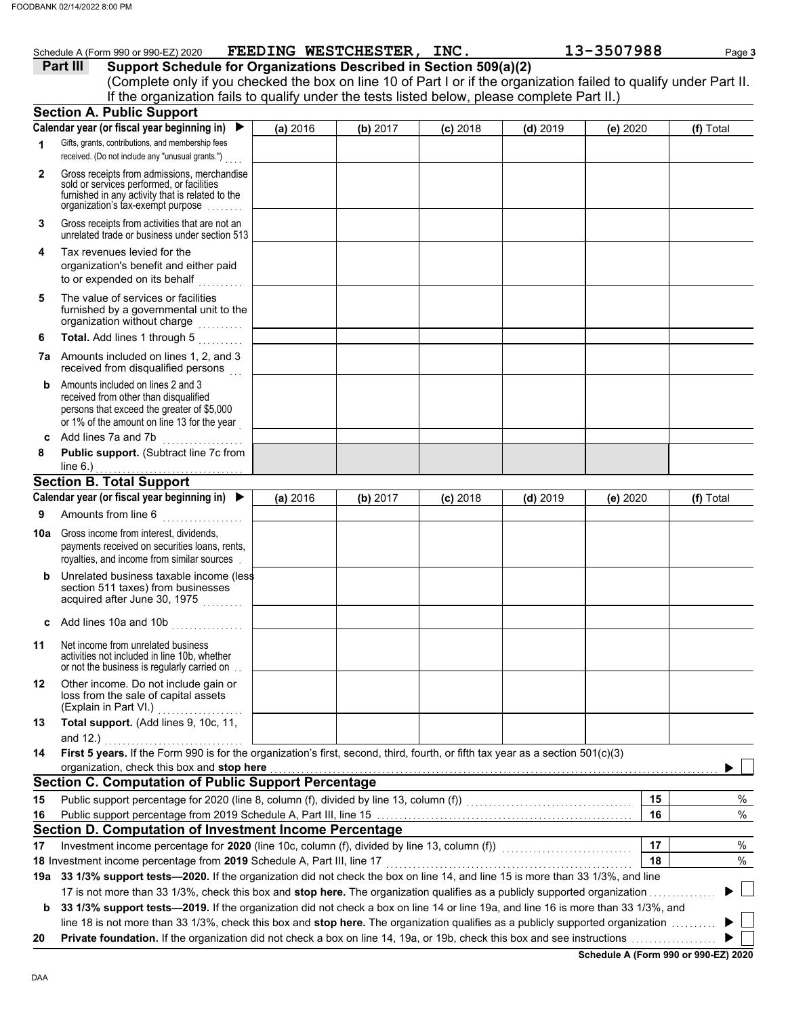|    | Schedule A (Form 990 or 990-EZ) 2020                                                                                                                                                                | FEEDING WESTCHESTER, INC. |          |            |            | 13-3507988 | Page 3    |
|----|-----------------------------------------------------------------------------------------------------------------------------------------------------------------------------------------------------|---------------------------|----------|------------|------------|------------|-----------|
|    | Support Schedule for Organizations Described in Section 509(a)(2)<br>Part III                                                                                                                       |                           |          |            |            |            |           |
|    | (Complete only if you checked the box on line 10 of Part I or if the organization failed to qualify under Part II.                                                                                  |                           |          |            |            |            |           |
|    | If the organization fails to qualify under the tests listed below, please complete Part II.)                                                                                                        |                           |          |            |            |            |           |
|    | <b>Section A. Public Support</b><br>Calendar year (or fiscal year beginning in)                                                                                                                     |                           |          |            |            |            |           |
|    | Gifts, grants, contributions, and membership fees                                                                                                                                                   | (a) 2016                  | (b) 2017 | $(c)$ 2018 | $(d)$ 2019 | (e) 2020   | (f) Total |
| 1  | received. (Do not include any "unusual grants.")                                                                                                                                                    |                           |          |            |            |            |           |
| 2  | Gross receipts from admissions, merchandise<br>sold or services performed, or facilities<br>furnished in any activity that is related to the<br>organization's tax-exempt purpose                   |                           |          |            |            |            |           |
| 3  | Gross receipts from activities that are not an<br>unrelated trade or business under section 513                                                                                                     |                           |          |            |            |            |           |
| 4  | Tax revenues levied for the<br>organization's benefit and either paid<br>to or expended on its behalf                                                                                               |                           |          |            |            |            |           |
| 5  | The value of services or facilities<br>furnished by a governmental unit to the<br>organization without charge                                                                                       |                           |          |            |            |            |           |
| 6  | Total. Add lines 1 through 5                                                                                                                                                                        |                           |          |            |            |            |           |
|    | <b>7a</b> Amounts included on lines 1, 2, and 3<br>received from disqualified persons<br>$\sim$                                                                                                     |                           |          |            |            |            |           |
| b  | Amounts included on lines 2 and 3<br>received from other than disqualified<br>persons that exceed the greater of \$5,000<br>or 1% of the amount on line 13 for the year                             |                           |          |            |            |            |           |
| C  | Add lines 7a and 7b<br>.                                                                                                                                                                            |                           |          |            |            |            |           |
| 8  | Public support. (Subtract line 7c from                                                                                                                                                              |                           |          |            |            |            |           |
|    | line $6.$ )                                                                                                                                                                                         |                           |          |            |            |            |           |
|    | <b>Section B. Total Support</b><br>Calendar year (or fiscal year beginning in)                                                                                                                      |                           |          |            |            |            |           |
|    |                                                                                                                                                                                                     | (a) 2016                  | (b) 2017 | $(c)$ 2018 | $(d)$ 2019 | (e) 2020   | (f) Total |
| 9  | Amounts from line 6                                                                                                                                                                                 |                           |          |            |            |            |           |
|    | <b>10a</b> Gross income from interest, dividends,<br>payments received on securities loans, rents,<br>royalties, and income from similar sources                                                    |                           |          |            |            |            |           |
| b  | Unrelated business taxable income (less<br>section 511 taxes) from businesses<br>acquired after June 30, 1975<br>.                                                                                  |                           |          |            |            |            |           |
| c  | Add lines 10a and 10b<br>.                                                                                                                                                                          |                           |          |            |            |            |           |
| 11 | Net income from unrelated business<br>activities not included in line 10b, whether<br>or not the business is regularly carried on.                                                                  |                           |          |            |            |            |           |
| 12 | Other income. Do not include gain or<br>loss from the sale of capital assets<br>(Explain in Part VI.)<br>.                                                                                          |                           |          |            |            |            |           |
| 13 | Total support. (Add lines 9, 10c, 11,                                                                                                                                                               |                           |          |            |            |            |           |
| 14 | and $12.$ )<br>the contract of the contract of the contract of<br>First 5 years. If the Form 990 is for the organization's first, second, third, fourth, or fifth tax year as a section 501(c)(3)   |                           |          |            |            |            |           |
|    | organization, check this box and stop here                                                                                                                                                          |                           |          |            |            |            |           |
|    | <b>Section C. Computation of Public Support Percentage</b>                                                                                                                                          |                           |          |            |            |            |           |
| 15 | Public support percentage for 2020 (line 8, column (f), divided by line 13, column (f))<br>matrix (f)                                                                                               |                           |          |            |            | 15         | %         |
| 16 | Public support percentage from 2019 Schedule A, Part III, line 15 [11] [11] Concentration contracts are provided by Public Support percentage from 2019 Schedule A, Part III, line 15 [11] $\alpha$ |                           |          |            |            | 16         | $\%$      |
|    | Section D. Computation of Investment Income Percentage                                                                                                                                              |                           |          |            |            |            |           |
| 17 |                                                                                                                                                                                                     |                           |          |            |            | 17         | %         |
|    | 18 Investment income percentage from 2019 Schedule A, Part III, line 17                                                                                                                             |                           |          |            |            | 18         | $\%$      |
|    | 19a 33 1/3% support tests-2020. If the organization did not check the box on line 14, and line 15 is more than 33 1/3%, and line                                                                    |                           |          |            |            |            |           |
|    | 17 is not more than 33 1/3%, check this box and stop here. The organization qualifies as a publicly supported organization.                                                                         |                           |          |            |            |            |           |
| b  | 33 1/3% support tests-2019. If the organization did not check a box on line 14 or line 19a, and line 16 is more than 33 1/3%, and                                                                   |                           |          |            |            |            |           |
|    | line 18 is not more than 33 1/3%, check this box and stop here. The organization qualifies as a publicly supported organization                                                                     |                           |          |            |            |            |           |
| 20 |                                                                                                                                                                                                     |                           |          |            |            |            |           |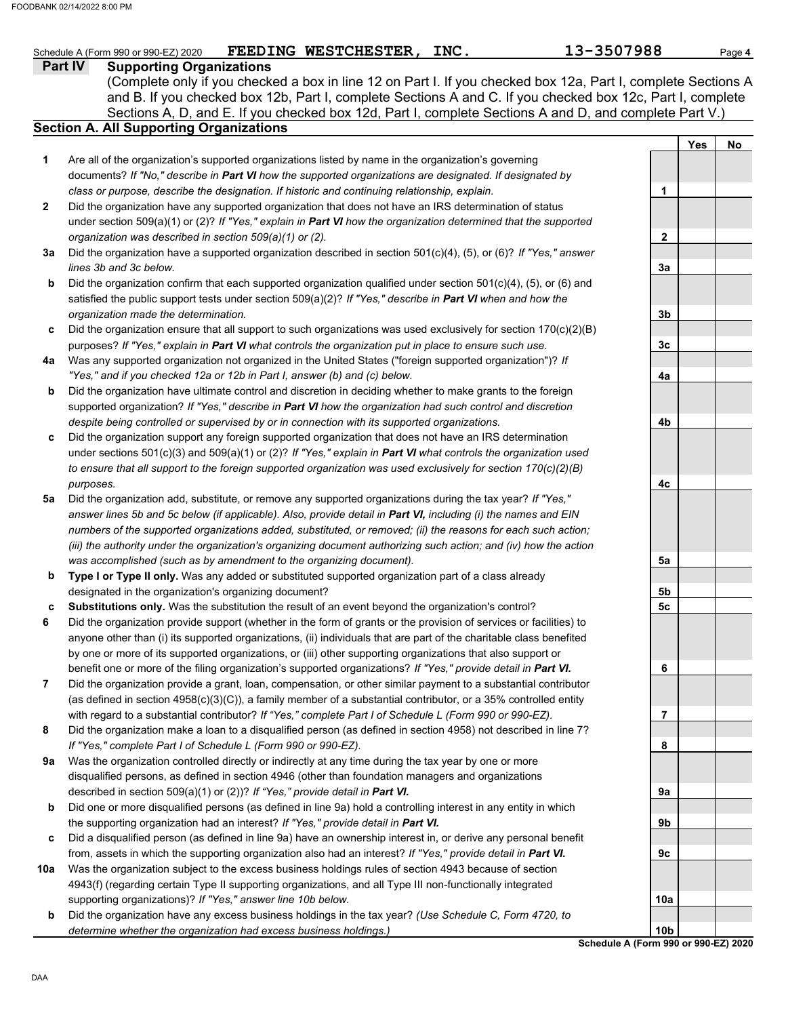|                | 13-3507988<br>INC.<br>FEEDING WESTCHESTER,<br>Schedule A (Form 990 or 990-EZ) 2020                                                                                                                                        |                 |     | Page 4 |
|----------------|---------------------------------------------------------------------------------------------------------------------------------------------------------------------------------------------------------------------------|-----------------|-----|--------|
| <b>Part IV</b> | <b>Supporting Organizations</b><br>(Complete only if you checked a box in line 12 on Part I. If you checked box 12a, Part I, complete Sections A                                                                          |                 |     |        |
|                | and B. If you checked box 12b, Part I, complete Sections A and C. If you checked box 12c, Part I, complete                                                                                                                |                 |     |        |
|                | Sections A, D, and E. If you checked box 12d, Part I, complete Sections A and D, and complete Part V.)                                                                                                                    |                 |     |        |
|                | <b>Section A. All Supporting Organizations</b>                                                                                                                                                                            |                 |     |        |
|                |                                                                                                                                                                                                                           |                 | Yes | No     |
| 1              | Are all of the organization's supported organizations listed by name in the organization's governing                                                                                                                      |                 |     |        |
|                | documents? If "No," describe in Part VI how the supported organizations are designated. If designated by                                                                                                                  |                 |     |        |
|                | class or purpose, describe the designation. If historic and continuing relationship, explain.                                                                                                                             | 1               |     |        |
| $\mathbf{2}$   | Did the organization have any supported organization that does not have an IRS determination of status                                                                                                                    |                 |     |        |
|                | under section 509(a)(1) or (2)? If "Yes," explain in Part VI how the organization determined that the supported                                                                                                           |                 |     |        |
|                | organization was described in section 509(a)(1) or (2).                                                                                                                                                                   | $\mathbf{2}$    |     |        |
| За             | Did the organization have a supported organization described in section 501(c)(4), (5), or (6)? If "Yes," answer                                                                                                          |                 |     |        |
|                | lines 3b and 3c below.                                                                                                                                                                                                    | За              |     |        |
| b              | Did the organization confirm that each supported organization qualified under section 501(c)(4), (5), or (6) and                                                                                                          |                 |     |        |
|                | satisfied the public support tests under section $509(a)(2)$ ? If "Yes," describe in Part VI when and how the                                                                                                             |                 |     |        |
|                | organization made the determination.                                                                                                                                                                                      | 3b              |     |        |
| c              | Did the organization ensure that all support to such organizations was used exclusively for section $170(c)(2)(B)$                                                                                                        |                 |     |        |
|                | purposes? If "Yes," explain in Part VI what controls the organization put in place to ensure such use.                                                                                                                    | 3c              |     |        |
| 4a             | Was any supported organization not organized in the United States ("foreign supported organization")? If                                                                                                                  |                 |     |        |
|                | "Yes," and if you checked 12a or 12b in Part I, answer (b) and (c) below.                                                                                                                                                 | 4a              |     |        |
| b              | Did the organization have ultimate control and discretion in deciding whether to make grants to the foreign<br>supported organization? If "Yes," describe in Part VI how the organization had such control and discretion |                 |     |        |
|                | despite being controlled or supervised by or in connection with its supported organizations.                                                                                                                              | 4b              |     |        |
| c              | Did the organization support any foreign supported organization that does not have an IRS determination                                                                                                                   |                 |     |        |
|                | under sections $501(c)(3)$ and $509(a)(1)$ or (2)? If "Yes," explain in Part VI what controls the organization used                                                                                                       |                 |     |        |
|                | to ensure that all support to the foreign supported organization was used exclusively for section 170(c)(2)(B)                                                                                                            |                 |     |        |
|                | purposes.                                                                                                                                                                                                                 | 4с              |     |        |
| 5a             | Did the organization add, substitute, or remove any supported organizations during the tax year? If "Yes,"                                                                                                                |                 |     |        |
|                | answer lines 5b and 5c below (if applicable). Also, provide detail in Part VI, including (i) the names and EIN                                                                                                            |                 |     |        |
|                | numbers of the supported organizations added, substituted, or removed; (ii) the reasons for each such action;                                                                                                             |                 |     |        |
|                | (iii) the authority under the organization's organizing document authorizing such action; and (iv) how the action                                                                                                         |                 |     |        |
|                | was accomplished (such as by amendment to the organizing document).                                                                                                                                                       | 5a              |     |        |
| b              | Type I or Type II only. Was any added or substituted supported organization part of a class already                                                                                                                       |                 |     |        |
|                | designated in the organization's organizing document?                                                                                                                                                                     | 5b              |     |        |
| c              | Substitutions only. Was the substitution the result of an event beyond the organization's control?                                                                                                                        | 5c              |     |        |
| 6              | Did the organization provide support (whether in the form of grants or the provision of services or facilities) to                                                                                                        |                 |     |        |
|                | anyone other than (i) its supported organizations, (ii) individuals that are part of the charitable class benefited                                                                                                       |                 |     |        |
|                | by one or more of its supported organizations, or (iii) other supporting organizations that also support or                                                                                                               |                 |     |        |
|                | benefit one or more of the filing organization's supported organizations? If "Yes," provide detail in Part VI.                                                                                                            | 6               |     |        |
| 7              | Did the organization provide a grant, loan, compensation, or other similar payment to a substantial contributor                                                                                                           |                 |     |        |
|                | (as defined in section 4958(c)(3)(C)), a family member of a substantial contributor, or a 35% controlled entity                                                                                                           |                 |     |        |
|                | with regard to a substantial contributor? If "Yes," complete Part I of Schedule L (Form 990 or 990-EZ).                                                                                                                   | 7               |     |        |
| 8              | Did the organization make a loan to a disqualified person (as defined in section 4958) not described in line 7?<br>If "Yes," complete Part I of Schedule L (Form 990 or 990-EZ).                                          | 8               |     |        |
| 9a             | Was the organization controlled directly or indirectly at any time during the tax year by one or more                                                                                                                     |                 |     |        |
|                | disqualified persons, as defined in section 4946 (other than foundation managers and organizations                                                                                                                        |                 |     |        |
|                | described in section 509(a)(1) or (2))? If "Yes," provide detail in Part VI.                                                                                                                                              | 9а              |     |        |
| b              | Did one or more disqualified persons (as defined in line 9a) hold a controlling interest in any entity in which                                                                                                           |                 |     |        |
|                | the supporting organization had an interest? If "Yes," provide detail in Part VI.                                                                                                                                         | 9b              |     |        |
| c              | Did a disqualified person (as defined in line 9a) have an ownership interest in, or derive any personal benefit                                                                                                           |                 |     |        |
|                | from, assets in which the supporting organization also had an interest? If "Yes," provide detail in Part VI.                                                                                                              | 9c              |     |        |
| 10a            | Was the organization subject to the excess business holdings rules of section 4943 because of section                                                                                                                     |                 |     |        |
|                | 4943(f) (regarding certain Type II supporting organizations, and all Type III non-functionally integrated                                                                                                                 |                 |     |        |
|                | supporting organizations)? If "Yes," answer line 10b below.                                                                                                                                                               | 10a             |     |        |
| b              | Did the organization have any excess business holdings in the tax year? (Use Schedule C, Form 4720, to                                                                                                                    |                 |     |        |
|                | determine whether the organization had excess business holdings.)                                                                                                                                                         | 10 <sub>b</sub> |     |        |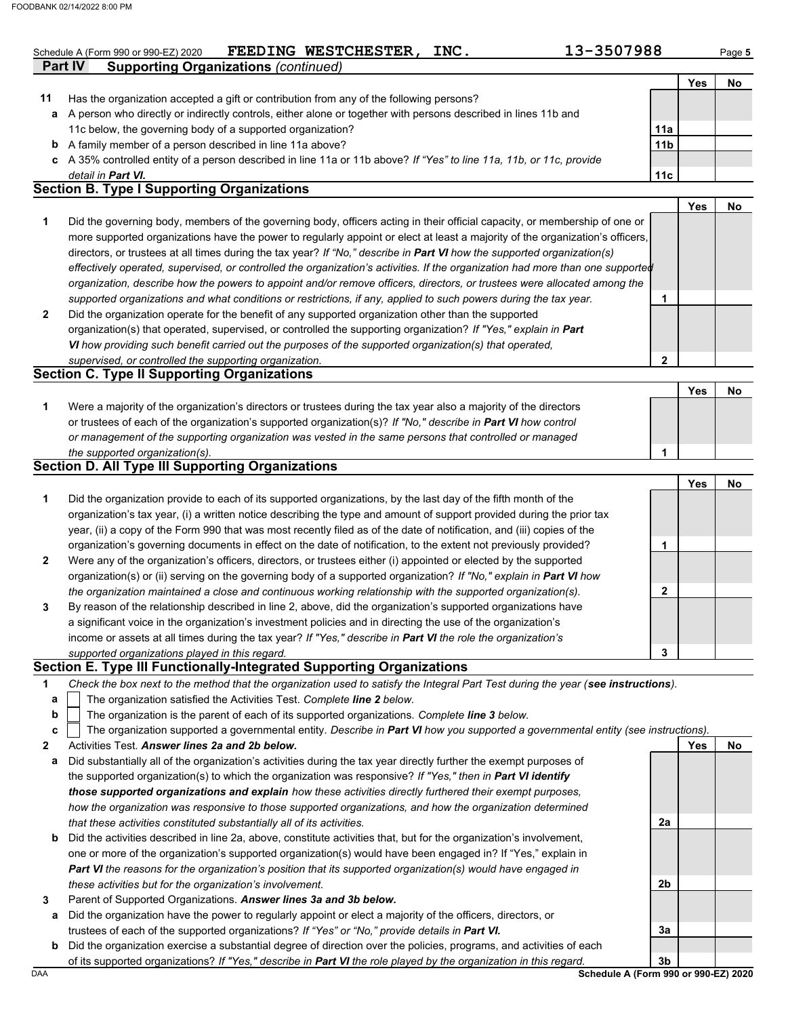| <b>Part IV</b> | 13-3507988<br>FEEDING WESTCHESTER,<br>INC.<br>Schedule A (Form 990 or 990-EZ) 2020<br><b>Supporting Organizations (continued)</b>                                                                                                       |                 |            | Page 5 |
|----------------|-----------------------------------------------------------------------------------------------------------------------------------------------------------------------------------------------------------------------------------------|-----------------|------------|--------|
|                |                                                                                                                                                                                                                                         |                 | <b>Yes</b> | No     |
| 11             | Has the organization accepted a gift or contribution from any of the following persons?                                                                                                                                                 |                 |            |        |
| а              | A person who directly or indirectly controls, either alone or together with persons described in lines 11b and                                                                                                                          |                 |            |        |
|                | 11c below, the governing body of a supported organization?                                                                                                                                                                              | 11a             |            |        |
|                | <b>b</b> A family member of a person described in line 11a above?                                                                                                                                                                       | 11 <sub>b</sub> |            |        |
| c              | A 35% controlled entity of a person described in line 11a or 11b above? If "Yes" to line 11a, 11b, or 11c, provide                                                                                                                      |                 |            |        |
|                | detail in Part VI.                                                                                                                                                                                                                      | 11c             |            |        |
|                | <b>Section B. Type I Supporting Organizations</b>                                                                                                                                                                                       |                 |            |        |
|                |                                                                                                                                                                                                                                         |                 | <b>Yes</b> | No     |
| 1              | Did the governing body, members of the governing body, officers acting in their official capacity, or membership of one or                                                                                                              |                 |            |        |
|                | more supported organizations have the power to regularly appoint or elect at least a majority of the organization's officers,                                                                                                           |                 |            |        |
|                | directors, or trustees at all times during the tax year? If "No," describe in Part VI how the supported organization(s)                                                                                                                 |                 |            |        |
|                | effectively operated, supervised, or controlled the organization's activities. If the organization had more than one supported                                                                                                          |                 |            |        |
|                | organization, describe how the powers to appoint and/or remove officers, directors, or trustees were allocated among the                                                                                                                |                 |            |        |
|                | supported organizations and what conditions or restrictions, if any, applied to such powers during the tax year.                                                                                                                        | 1               |            |        |
| 2              | Did the organization operate for the benefit of any supported organization other than the supported                                                                                                                                     |                 |            |        |
|                | organization(s) that operated, supervised, or controlled the supporting organization? If "Yes," explain in Part                                                                                                                         |                 |            |        |
|                | VI how providing such benefit carried out the purposes of the supported organization(s) that operated,                                                                                                                                  |                 |            |        |
|                | supervised, or controlled the supporting organization.                                                                                                                                                                                  | $\mathbf{2}$    |            |        |
|                | <b>Section C. Type II Supporting Organizations</b>                                                                                                                                                                                      |                 |            |        |
|                |                                                                                                                                                                                                                                         |                 | <b>Yes</b> | No     |
| 1              | Were a majority of the organization's directors or trustees during the tax year also a majority of the directors                                                                                                                        |                 |            |        |
|                | or trustees of each of the organization's supported organization(s)? If "No," describe in Part VI how control                                                                                                                           |                 |            |        |
|                | or management of the supporting organization was vested in the same persons that controlled or managed                                                                                                                                  |                 |            |        |
|                | the supported organization(s).                                                                                                                                                                                                          | 1               |            |        |
|                | <b>Section D. All Type III Supporting Organizations</b>                                                                                                                                                                                 |                 |            |        |
| 1              |                                                                                                                                                                                                                                         |                 | <b>Yes</b> | No     |
|                | Did the organization provide to each of its supported organizations, by the last day of the fifth month of the<br>organization's tax year, (i) a written notice describing the type and amount of support provided during the prior tax |                 |            |        |
|                | year, (ii) a copy of the Form 990 that was most recently filed as of the date of notification, and (iii) copies of the                                                                                                                  |                 |            |        |
|                | organization's governing documents in effect on the date of notification, to the extent not previously provided?                                                                                                                        | 1               |            |        |
| 2              | Were any of the organization's officers, directors, or trustees either (i) appointed or elected by the supported                                                                                                                        |                 |            |        |
|                | organization(s) or (ii) serving on the governing body of a supported organization? If "No," explain in Part VI how                                                                                                                      |                 |            |        |
|                | the organization maintained a close and continuous working relationship with the supported organization(s).                                                                                                                             | 2               |            |        |
| 3              | By reason of the relationship described in line 2, above, did the organization's supported organizations have                                                                                                                           |                 |            |        |
|                | a significant voice in the organization's investment policies and in directing the use of the organization's                                                                                                                            |                 |            |        |
|                | income or assets at all times during the tax year? If "Yes," describe in Part VI the role the organization's                                                                                                                            |                 |            |        |
|                | supported organizations played in this regard.                                                                                                                                                                                          | 3               |            |        |
|                | Section E. Type III Functionally-Integrated Supporting Organizations                                                                                                                                                                    |                 |            |        |
| 1              | Check the box next to the method that the organization used to satisfy the Integral Part Test during the year (see instructions).                                                                                                       |                 |            |        |
| а              | The organization satisfied the Activities Test. Complete line 2 below.                                                                                                                                                                  |                 |            |        |
| b              | The organization is the parent of each of its supported organizations. Complete line 3 below.                                                                                                                                           |                 |            |        |
| C              | The organization supported a governmental entity. Describe in Part VI how you supported a governmental entity (see instructions).                                                                                                       |                 |            |        |
| 2              | Activities Test. Answer lines 2a and 2b below.                                                                                                                                                                                          |                 | Yes        | No     |
| а              | Did substantially all of the organization's activities during the tax year directly further the exempt purposes of                                                                                                                      |                 |            |        |
|                | the supported organization(s) to which the organization was responsive? If "Yes," then in Part VI identify                                                                                                                              |                 |            |        |
|                | those supported organizations and explain how these activities directly furthered their exempt purposes,                                                                                                                                |                 |            |        |
|                | how the organization was responsive to those supported organizations, and how the organization determined                                                                                                                               |                 |            |        |
|                | that these activities constituted substantially all of its activities.                                                                                                                                                                  | 2a              |            |        |
|                |                                                                                                                                                                                                                                         |                 |            |        |

- **b** Did the activities described in line 2a, above, constitute activities that, but for the organization's involvement, one or more of the organization's supported organization(s) would have been engaged in? If "Yes," explain in *Part VI the reasons for the organization's position that its supported organization(s) would have engaged in these activities but for the organization's involvement.*
- **3** Parent of Supported Organizations. *Answer lines 3a and 3b below.*
- **a** Did the organization have the power to regularly appoint or elect a majority of the officers, directors, or trustees of each of the supported organizations? *If "Yes" or "No," provide details in Part VI.*
- **b** Did the organization exercise a substantial degree of direction over the policies, programs, and activities of each of its supported organizations? *If "Yes," describe in Part VI the role played by the organization in this regard.*

DAA **Schedule A (Form 990 or 990-EZ) 2020 3b**

**3a**

**2b**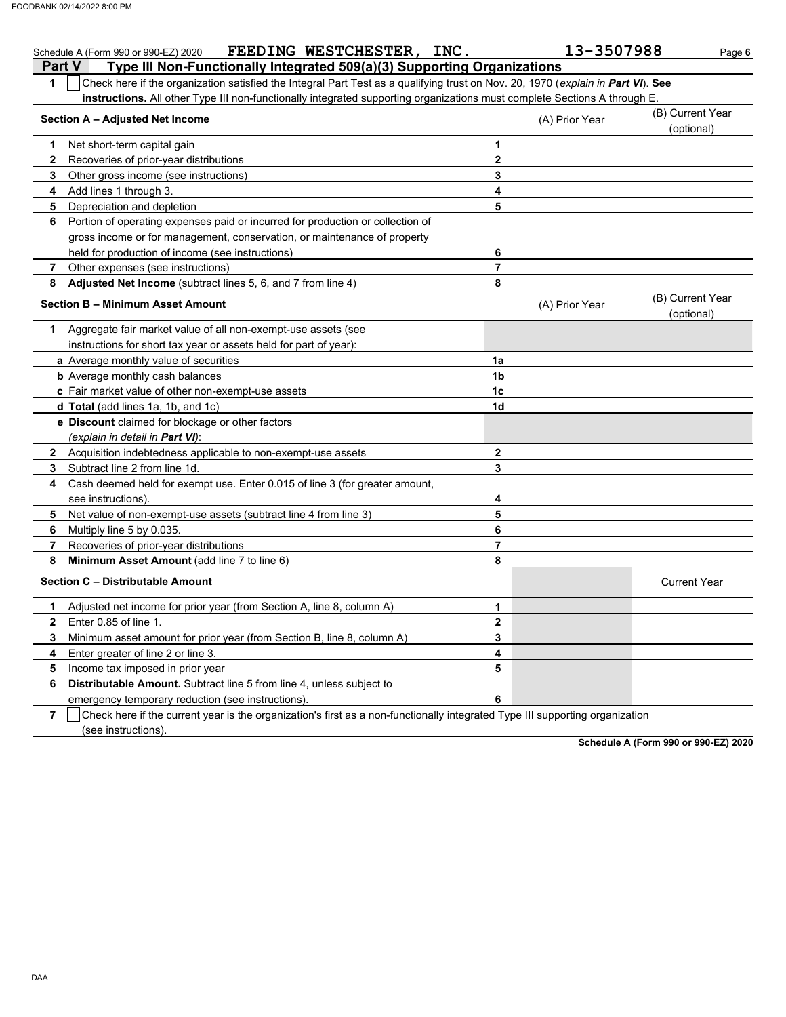|                | FEEDING WESTCHESTER, INC.<br>Schedule A (Form 990 or 990-EZ) 2020                                                                |                         | 13-3507988     | Page 6                         |
|----------------|----------------------------------------------------------------------------------------------------------------------------------|-------------------------|----------------|--------------------------------|
|                | <b>Part V</b><br>Type III Non-Functionally Integrated 509(a)(3) Supporting Organizations                                         |                         |                |                                |
| 1              | Check here if the organization satisfied the Integral Part Test as a qualifying trust on Nov. 20, 1970 (explain in Part VI). See |                         |                |                                |
|                | instructions. All other Type III non-functionally integrated supporting organizations must complete Sections A through E.        |                         |                |                                |
|                | Section A - Adjusted Net Income                                                                                                  |                         | (A) Prior Year | (B) Current Year<br>(optional) |
| 1              | Net short-term capital gain                                                                                                      | 1                       |                |                                |
| $\mathbf{2}$   | Recoveries of prior-year distributions                                                                                           | $\overline{2}$          |                |                                |
| 3              | Other gross income (see instructions)                                                                                            | 3                       |                |                                |
| 4              | Add lines 1 through 3.                                                                                                           | $\overline{\mathbf{4}}$ |                |                                |
| 5              | Depreciation and depletion                                                                                                       | 5                       |                |                                |
| 6              | Portion of operating expenses paid or incurred for production or collection of                                                   |                         |                |                                |
|                | gross income or for management, conservation, or maintenance of property                                                         |                         |                |                                |
|                | held for production of income (see instructions)                                                                                 | 6                       |                |                                |
| 7              | Other expenses (see instructions)                                                                                                | $\overline{7}$          |                |                                |
| 8              | Adjusted Net Income (subtract lines 5, 6, and 7 from line 4)                                                                     | 8                       |                |                                |
|                | <b>Section B - Minimum Asset Amount</b>                                                                                          |                         | (A) Prior Year | (B) Current Year<br>(optional) |
| 1.             | Aggregate fair market value of all non-exempt-use assets (see                                                                    |                         |                |                                |
|                | instructions for short tax year or assets held for part of year):                                                                |                         |                |                                |
|                | a Average monthly value of securities                                                                                            | 1a                      |                |                                |
|                | <b>b</b> Average monthly cash balances                                                                                           | 1 <sub>b</sub>          |                |                                |
|                | c Fair market value of other non-exempt-use assets                                                                               | 1 <sub>c</sub>          |                |                                |
|                | d Total (add lines 1a, 1b, and 1c)                                                                                               | 1d                      |                |                                |
|                | e Discount claimed for blockage or other factors                                                                                 |                         |                |                                |
|                | (explain in detail in Part VI):                                                                                                  |                         |                |                                |
| $\mathbf{2}$   | Acquisition indebtedness applicable to non-exempt-use assets                                                                     | $\overline{2}$          |                |                                |
| 3              | Subtract line 2 from line 1d.                                                                                                    | 3                       |                |                                |
| 4              | Cash deemed held for exempt use. Enter 0.015 of line 3 (for greater amount,                                                      |                         |                |                                |
|                | see instructions).                                                                                                               | 4                       |                |                                |
| 5              | Net value of non-exempt-use assets (subtract line 4 from line 3)                                                                 | 5                       |                |                                |
| 6              | Multiply line 5 by 0.035.                                                                                                        | 6                       |                |                                |
| 7              | Recoveries of prior-year distributions                                                                                           | $\overline{7}$          |                |                                |
| 8              | Minimum Asset Amount (add line 7 to line 6)                                                                                      | 8                       |                |                                |
|                | Section C - Distributable Amount                                                                                                 |                         |                | <b>Current Year</b>            |
| 1.             | Adjusted net income for prior year (from Section A, line 8, column A)                                                            | 1                       |                |                                |
| $\mathbf{2}$   | Enter 0.85 of line 1.                                                                                                            | $\mathbf 2$             |                |                                |
| 3.             | Minimum asset amount for prior year (from Section B, line 8, column A)                                                           | 3                       |                |                                |
| 4              | Enter greater of line 2 or line 3.                                                                                               | 4                       |                |                                |
| 5              | Income tax imposed in prior year                                                                                                 | 5                       |                |                                |
| 6              | Distributable Amount. Subtract line 5 from line 4, unless subject to                                                             |                         |                |                                |
|                | emergency temporary reduction (see instructions).                                                                                | 6                       |                |                                |
| $\overline{7}$ | Check here if the current year is the organization's first as a non-functionally integrated Type III supporting organization     |                         |                |                                |

(see instructions).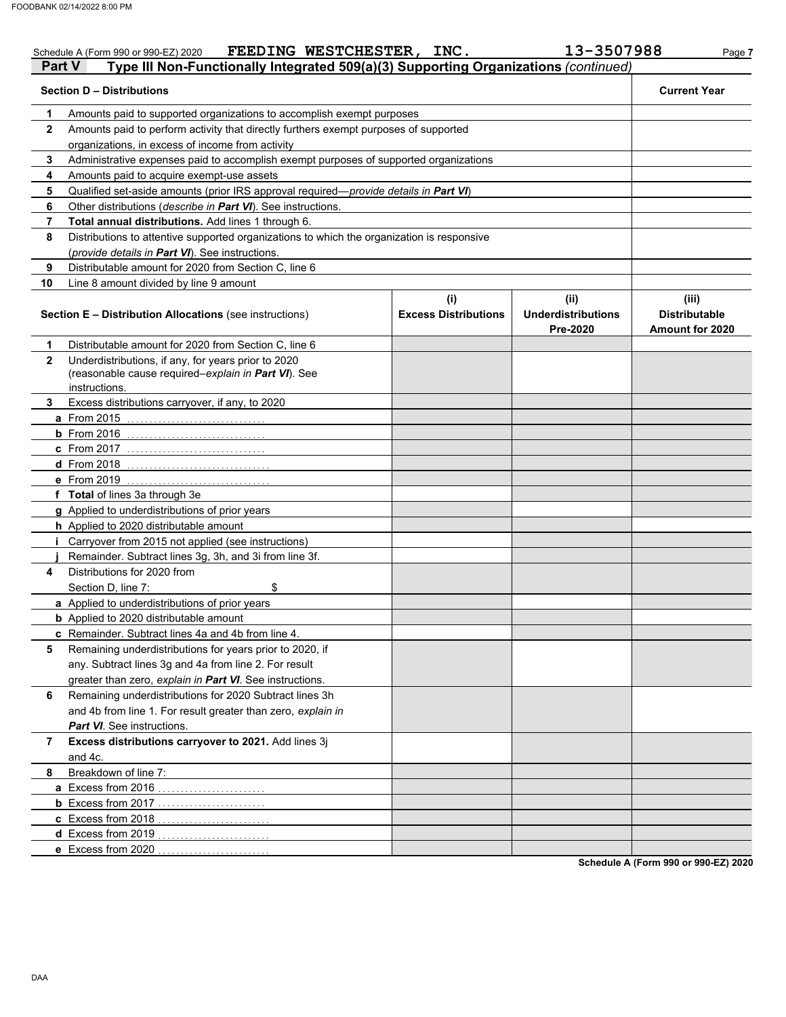|              | FEEDING WESTCHESTER, INC.<br>Schedule A (Form 990 or 990-EZ) 2020                                                           |                                    | 13-3507988                                    | Page 7                                           |
|--------------|-----------------------------------------------------------------------------------------------------------------------------|------------------------------------|-----------------------------------------------|--------------------------------------------------|
| Part V       | Type III Non-Functionally Integrated 509(a)(3) Supporting Organizations (continued)                                         |                                    |                                               |                                                  |
|              | <b>Section D - Distributions</b>                                                                                            |                                    |                                               | <b>Current Year</b>                              |
| 1            | Amounts paid to supported organizations to accomplish exempt purposes                                                       |                                    |                                               |                                                  |
| $\mathbf{2}$ | Amounts paid to perform activity that directly furthers exempt purposes of supported                                        |                                    |                                               |                                                  |
|              | organizations, in excess of income from activity                                                                            |                                    |                                               |                                                  |
| 3            | Administrative expenses paid to accomplish exempt purposes of supported organizations                                       |                                    |                                               |                                                  |
| 4            | Amounts paid to acquire exempt-use assets                                                                                   |                                    |                                               |                                                  |
| 5            | Qualified set-aside amounts (prior IRS approval required-provide details in Part VI)                                        |                                    |                                               |                                                  |
| 6            | Other distributions (describe in Part VI). See instructions.                                                                |                                    |                                               |                                                  |
| 7            | Total annual distributions. Add lines 1 through 6.                                                                          |                                    |                                               |                                                  |
| 8            | Distributions to attentive supported organizations to which the organization is responsive                                  |                                    |                                               |                                                  |
|              | (provide details in Part VI). See instructions.                                                                             |                                    |                                               |                                                  |
| 9            | Distributable amount for 2020 from Section C, line 6                                                                        |                                    |                                               |                                                  |
| 10           | Line 8 amount divided by line 9 amount                                                                                      |                                    |                                               |                                                  |
|              | <b>Section E - Distribution Allocations (see instructions)</b>                                                              | (i)<br><b>Excess Distributions</b> | (ii)<br><b>Underdistributions</b><br>Pre-2020 | (iii)<br><b>Distributable</b><br>Amount for 2020 |
| 1            | Distributable amount for 2020 from Section C, line 6                                                                        |                                    |                                               |                                                  |
| $\mathbf{2}$ | Underdistributions, if any, for years prior to 2020<br>(reasonable cause required-explain in Part VI). See<br>instructions. |                                    |                                               |                                                  |
| 3.           | Excess distributions carryover, if any, to 2020                                                                             |                                    |                                               |                                                  |
|              | a From 2015                                                                                                                 |                                    |                                               |                                                  |
|              | $b$ From 2016                                                                                                               |                                    |                                               |                                                  |
|              | c From 2017                                                                                                                 |                                    |                                               |                                                  |
|              | <b>d</b> From 2018                                                                                                          |                                    |                                               |                                                  |
|              | e From 2019                                                                                                                 |                                    |                                               |                                                  |
|              | f Total of lines 3a through 3e                                                                                              |                                    |                                               |                                                  |
|              | g Applied to underdistributions of prior years                                                                              |                                    |                                               |                                                  |
|              | h Applied to 2020 distributable amount                                                                                      |                                    |                                               |                                                  |
| Ť.           | Carryover from 2015 not applied (see instructions)                                                                          |                                    |                                               |                                                  |
|              | Remainder. Subtract lines 3g, 3h, and 3i from line 3f.                                                                      |                                    |                                               |                                                  |
| 4            | Distributions for 2020 from                                                                                                 |                                    |                                               |                                                  |
|              | \$<br>Section D, line 7:                                                                                                    |                                    |                                               |                                                  |
|              | a Applied to underdistributions of prior years                                                                              |                                    |                                               |                                                  |
|              | <b>b</b> Applied to 2020 distributable amount                                                                               |                                    |                                               |                                                  |
|              | c Remainder. Subtract lines 4a and 4b from line 4.                                                                          |                                    |                                               |                                                  |
| 5            | Remaining underdistributions for years prior to 2020, if                                                                    |                                    |                                               |                                                  |
|              | any. Subtract lines 3g and 4a from line 2. For result                                                                       |                                    |                                               |                                                  |
|              | greater than zero, explain in Part VI. See instructions.                                                                    |                                    |                                               |                                                  |
| 6            | Remaining underdistributions for 2020 Subtract lines 3h                                                                     |                                    |                                               |                                                  |
|              | and 4b from line 1. For result greater than zero, explain in                                                                |                                    |                                               |                                                  |
|              | Part VI. See instructions.                                                                                                  |                                    |                                               |                                                  |
| 7            | Excess distributions carryover to 2021. Add lines 3j                                                                        |                                    |                                               |                                                  |
|              | and 4c.                                                                                                                     |                                    |                                               |                                                  |
| 8            | Breakdown of line 7:                                                                                                        |                                    |                                               |                                                  |
|              | a Excess from 2016                                                                                                          |                                    |                                               |                                                  |
|              | <b>b</b> Excess from 2017                                                                                                   |                                    |                                               |                                                  |
|              | c Excess from 2018<br>.                                                                                                     |                                    |                                               |                                                  |
|              | d Excess from 2019                                                                                                          |                                    |                                               |                                                  |
|              | e Excess from 2020                                                                                                          |                                    |                                               |                                                  |
|              |                                                                                                                             |                                    |                                               | Schedule A (Form 990 or 990-EZ) 2020             |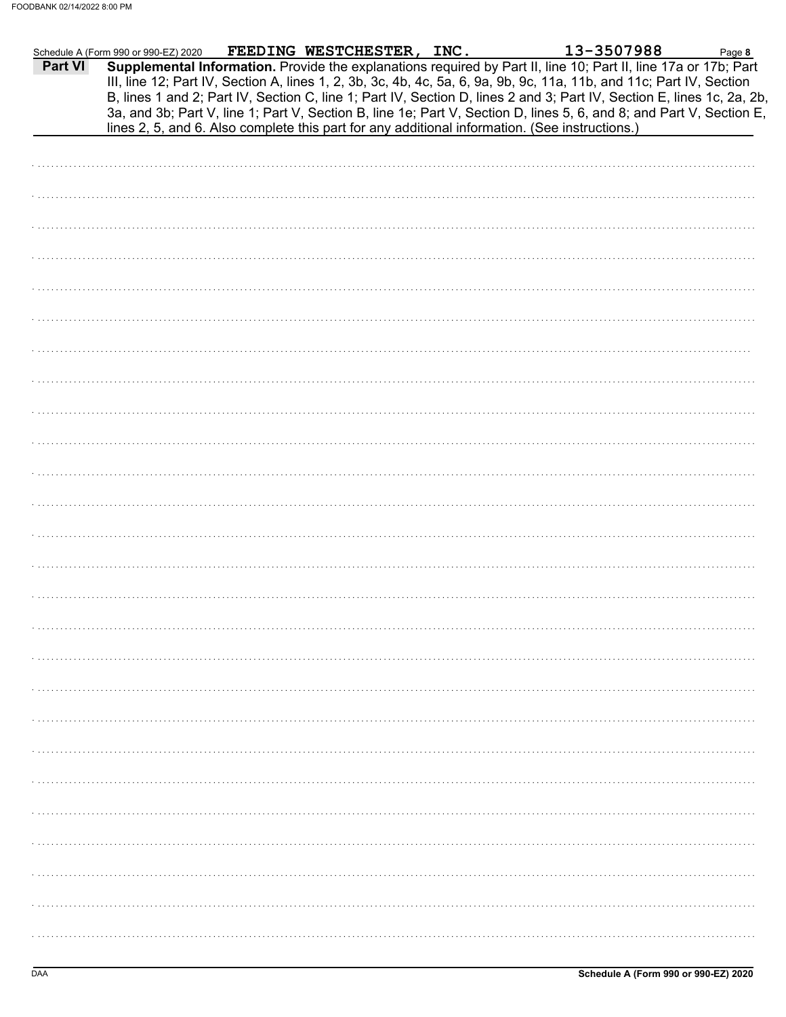|         | Schedule A (Form 990 or 990-EZ) 2020 | FEEDING WESTCHESTER, INC. | <u>13-3507988</u>                                                                                                                                                                                                                                                                                                                                                 | Page 8 |
|---------|--------------------------------------|---------------------------|-------------------------------------------------------------------------------------------------------------------------------------------------------------------------------------------------------------------------------------------------------------------------------------------------------------------------------------------------------------------|--------|
| Part VI |                                      |                           | Supplemental Information. Provide the explanations required by Part II, line 10; Part II, line 17a or 17b; Part<br>III, line 12; Part IV, Section A, lines 1, 2, 3b, 3c, 4b, 4c, 5a, 6, 9a, 9b, 9c, 11a, 11b, and 11c; Part IV, Section<br>B, lines 1 and 2; Part IV, Section C, line 1; Part IV, Section D, lines 2 and 3; Part IV, Section E, lines 1c, 2a, 2b, |        |
|         |                                      |                           | 3a, and 3b; Part V, line 1; Part V, Section B, line 1e; Part V, Section D, lines 5, 6, and 8; and Part V, Section E,<br>lines 2, 5, and 6. Also complete this part for any additional information. (See instructions.)                                                                                                                                            |        |
|         |                                      |                           |                                                                                                                                                                                                                                                                                                                                                                   |        |
|         |                                      |                           |                                                                                                                                                                                                                                                                                                                                                                   |        |
|         |                                      |                           |                                                                                                                                                                                                                                                                                                                                                                   |        |
|         |                                      |                           |                                                                                                                                                                                                                                                                                                                                                                   |        |
|         |                                      |                           |                                                                                                                                                                                                                                                                                                                                                                   |        |
|         |                                      |                           |                                                                                                                                                                                                                                                                                                                                                                   |        |
|         |                                      |                           |                                                                                                                                                                                                                                                                                                                                                                   |        |
|         |                                      |                           |                                                                                                                                                                                                                                                                                                                                                                   |        |
|         |                                      |                           |                                                                                                                                                                                                                                                                                                                                                                   |        |
|         |                                      |                           |                                                                                                                                                                                                                                                                                                                                                                   |        |
|         |                                      |                           |                                                                                                                                                                                                                                                                                                                                                                   |        |
|         |                                      |                           |                                                                                                                                                                                                                                                                                                                                                                   |        |
|         |                                      |                           |                                                                                                                                                                                                                                                                                                                                                                   |        |
|         |                                      |                           |                                                                                                                                                                                                                                                                                                                                                                   |        |
|         |                                      |                           |                                                                                                                                                                                                                                                                                                                                                                   |        |
|         |                                      |                           |                                                                                                                                                                                                                                                                                                                                                                   |        |
|         |                                      |                           |                                                                                                                                                                                                                                                                                                                                                                   |        |
|         |                                      |                           |                                                                                                                                                                                                                                                                                                                                                                   |        |
|         |                                      |                           |                                                                                                                                                                                                                                                                                                                                                                   |        |
|         |                                      |                           |                                                                                                                                                                                                                                                                                                                                                                   |        |
|         |                                      |                           |                                                                                                                                                                                                                                                                                                                                                                   |        |
|         |                                      |                           |                                                                                                                                                                                                                                                                                                                                                                   |        |
|         |                                      |                           |                                                                                                                                                                                                                                                                                                                                                                   |        |
|         |                                      |                           |                                                                                                                                                                                                                                                                                                                                                                   |        |
|         |                                      |                           |                                                                                                                                                                                                                                                                                                                                                                   |        |
|         |                                      |                           |                                                                                                                                                                                                                                                                                                                                                                   |        |
|         |                                      |                           |                                                                                                                                                                                                                                                                                                                                                                   |        |
|         |                                      |                           |                                                                                                                                                                                                                                                                                                                                                                   |        |
|         |                                      |                           |                                                                                                                                                                                                                                                                                                                                                                   |        |
|         |                                      |                           |                                                                                                                                                                                                                                                                                                                                                                   |        |
|         |                                      |                           |                                                                                                                                                                                                                                                                                                                                                                   |        |
|         |                                      |                           |                                                                                                                                                                                                                                                                                                                                                                   |        |
|         |                                      |                           |                                                                                                                                                                                                                                                                                                                                                                   |        |
|         |                                      |                           |                                                                                                                                                                                                                                                                                                                                                                   |        |
|         |                                      |                           |                                                                                                                                                                                                                                                                                                                                                                   |        |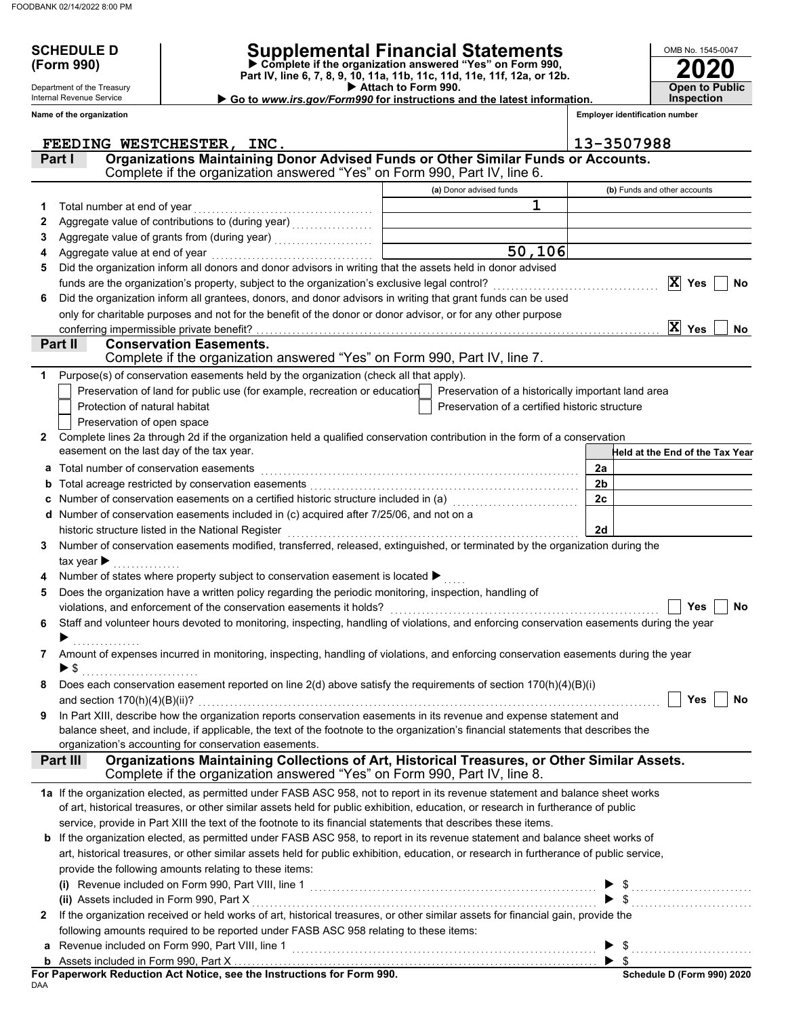## **SCHEDULE D Supplemental Financial Statements**

 **Attach to Form 990. (Form 990) Part IV, line 6, 7, 8, 9, 10, 11a, 11b, 11c, 11d, 11e, 11f, 12a, or 12b. Complete if the organization answered "Yes" on Form 990,**

**2020 Open to Public Inspection**

OMB No. 1545-0047

**Schedule D (Form 990) 2020**

| ► Go to www.irs.gov/Form990 for instructions and the latest information. |
|--------------------------------------------------------------------------|
|--------------------------------------------------------------------------|

Internal Revenue Service **Name of the organization**

Department of the Treasury

| <b>Employer identification number</b> |  |
|---------------------------------------|--|
|                                       |  |

|              | FEEDING WESTCHESTER, INC.                                                                                                                                                                                                                                            |                                                | 13-3507988                         |
|--------------|----------------------------------------------------------------------------------------------------------------------------------------------------------------------------------------------------------------------------------------------------------------------|------------------------------------------------|------------------------------------|
|              | Organizations Maintaining Donor Advised Funds or Other Similar Funds or Accounts.<br>Part I                                                                                                                                                                          |                                                |                                    |
|              | Complete if the organization answered "Yes" on Form 990, Part IV, line 6.                                                                                                                                                                                            |                                                |                                    |
|              |                                                                                                                                                                                                                                                                      | (a) Donor advised funds                        | (b) Funds and other accounts       |
| 1.           | Total number at end of year                                                                                                                                                                                                                                          | 1                                              |                                    |
| 2            |                                                                                                                                                                                                                                                                      |                                                |                                    |
| З            |                                                                                                                                                                                                                                                                      |                                                |                                    |
| 4            | Aggregate value at end of year                                                                                                                                                                                                                                       | 50, 106                                        |                                    |
| 5            | Did the organization inform all donors and donor advisors in writing that the assets held in donor advised                                                                                                                                                           |                                                |                                    |
|              | funds are the organization's property, subject to the organization's exclusive legal control?                                                                                                                                                                        |                                                | $ \mathbf{X} $<br>Yes<br><b>No</b> |
| 6            | Did the organization inform all grantees, donors, and donor advisors in writing that grant funds can be used                                                                                                                                                         |                                                |                                    |
|              | only for charitable purposes and not for the benefit of the donor or donor advisor, or for any other purpose                                                                                                                                                         |                                                |                                    |
|              |                                                                                                                                                                                                                                                                      |                                                | X Yes<br>No                        |
|              | Part II<br><b>Conservation Easements.</b>                                                                                                                                                                                                                            |                                                |                                    |
|              | Complete if the organization answered "Yes" on Form 990, Part IV, line 7.                                                                                                                                                                                            |                                                |                                    |
| 1            | Purpose(s) of conservation easements held by the organization (check all that apply).                                                                                                                                                                                |                                                |                                    |
|              | Preservation of land for public use (for example, recreation or education   Preservation of a historically important land area                                                                                                                                       |                                                |                                    |
|              | Protection of natural habitat                                                                                                                                                                                                                                        | Preservation of a certified historic structure |                                    |
|              | Preservation of open space                                                                                                                                                                                                                                           |                                                |                                    |
| $\mathbf{2}$ | Complete lines 2a through 2d if the organization held a qualified conservation contribution in the form of a conservation                                                                                                                                            |                                                |                                    |
|              | easement on the last day of the tax year.                                                                                                                                                                                                                            |                                                | Held at the End of the Tax Year    |
| a            | Total number of conservation easements                                                                                                                                                                                                                               |                                                | 2a                                 |
| b            |                                                                                                                                                                                                                                                                      |                                                | 2 <sub>b</sub>                     |
|              | Number of conservation easements on a certified historic structure included in (a)                                                                                                                                                                                   |                                                | 2c                                 |
|              | Number of conservation easements included in (c) acquired after 7/25/06, and not on a                                                                                                                                                                                |                                                |                                    |
|              | historic structure listed in the National Register                                                                                                                                                                                                                   |                                                | 2d                                 |
| 3            | Number of conservation easements modified, transferred, released, extinguished, or terminated by the organization during the                                                                                                                                         |                                                |                                    |
|              | tax year $\blacktriangleright$                                                                                                                                                                                                                                       |                                                |                                    |
| 4            | Number of states where property subject to conservation easement is located ▶                                                                                                                                                                                        |                                                |                                    |
| 5            | Does the organization have a written policy regarding the periodic monitoring, inspection, handling of                                                                                                                                                               |                                                |                                    |
|              | violations, and enforcement of the conservation easements it holds?                                                                                                                                                                                                  |                                                | Yes<br>No                          |
| 6.           | Staff and volunteer hours devoted to monitoring, inspecting, handling of violations, and enforcing conservation easements during the year                                                                                                                            |                                                |                                    |
|              |                                                                                                                                                                                                                                                                      |                                                |                                    |
| 7            | Amount of expenses incurred in monitoring, inspecting, handling of violations, and enforcing conservation easements during the year                                                                                                                                  |                                                |                                    |
|              | ▶ \$                                                                                                                                                                                                                                                                 |                                                |                                    |
| 8            | Does each conservation easement reported on line 2(d) above satisfy the requirements of section 170(h)(4)(B)(i)                                                                                                                                                      |                                                |                                    |
|              |                                                                                                                                                                                                                                                                      |                                                | Yes<br>No                          |
|              | In Part XIII, describe how the organization reports conservation easements in its revenue and expense statement and                                                                                                                                                  |                                                |                                    |
|              | balance sheet, and include, if applicable, the text of the footnote to the organization's financial statements that describes the                                                                                                                                    |                                                |                                    |
|              | organization's accounting for conservation easements.<br>Organizations Maintaining Collections of Art, Historical Treasures, or Other Similar Assets.                                                                                                                |                                                |                                    |
|              | Part III<br>Complete if the organization answered "Yes" on Form 990, Part IV, line 8.                                                                                                                                                                                |                                                |                                    |
|              |                                                                                                                                                                                                                                                                      |                                                |                                    |
|              | 1a If the organization elected, as permitted under FASB ASC 958, not to report in its revenue statement and balance sheet works<br>of art, historical treasures, or other similar assets held for public exhibition, education, or research in furtherance of public |                                                |                                    |
|              |                                                                                                                                                                                                                                                                      |                                                |                                    |
|              | service, provide in Part XIII the text of the footnote to its financial statements that describes these items.<br>b If the organization elected, as permitted under FASB ASC 958, to report in its revenue statement and balance sheet works of                      |                                                |                                    |
|              |                                                                                                                                                                                                                                                                      |                                                |                                    |
|              | art, historical treasures, or other similar assets held for public exhibition, education, or research in furtherance of public service,                                                                                                                              |                                                |                                    |
|              | provide the following amounts relating to these items:                                                                                                                                                                                                               |                                                |                                    |
|              |                                                                                                                                                                                                                                                                      |                                                |                                    |
|              | (ii) Assets included in Form 990, Part X                                                                                                                                                                                                                             |                                                |                                    |
| $\mathbf{2}$ | If the organization received or held works of art, historical treasures, or other similar assets for financial gain, provide the                                                                                                                                     |                                                |                                    |
|              | following amounts required to be reported under FASB ASC 958 relating to these items:                                                                                                                                                                                |                                                |                                    |
|              | a Revenue included on Form 990, Part VIII, line 1                                                                                                                                                                                                                    |                                                |                                    |
|              |                                                                                                                                                                                                                                                                      |                                                |                                    |

DAA **For Paperwork Reduction Act Notice, see the Instructions for Form 990.**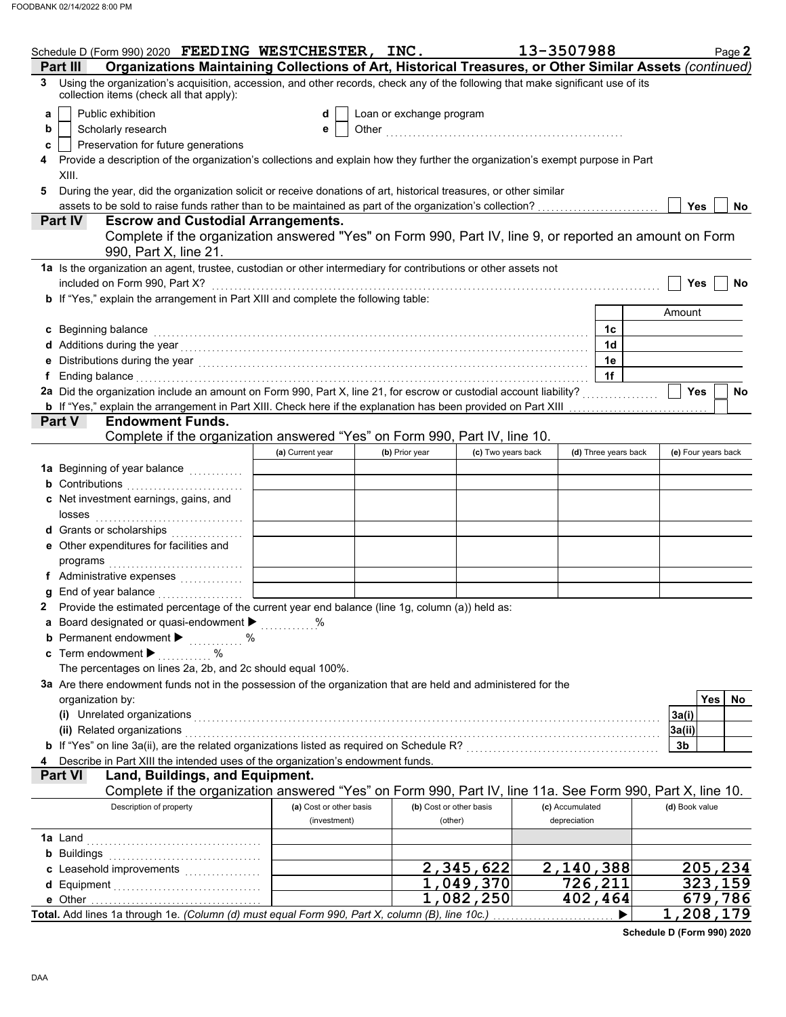|   | Schedule D (Form 990) 2020 FEEDING WESTCHESTER, INC.                                                                                                                                                                                |                         |                          |                         | 13-3507988      |                      |                | Page 2              |
|---|-------------------------------------------------------------------------------------------------------------------------------------------------------------------------------------------------------------------------------------|-------------------------|--------------------------|-------------------------|-----------------|----------------------|----------------|---------------------|
|   | Organizations Maintaining Collections of Art, Historical Treasures, or Other Similar Assets (continued)<br>Part III                                                                                                                 |                         |                          |                         |                 |                      |                |                     |
| 3 | Using the organization's acquisition, accession, and other records, check any of the following that make significant use of its<br>collection items (check all that apply):                                                         |                         |                          |                         |                 |                      |                |                     |
| a | Public exhibition                                                                                                                                                                                                                   | d                       | Loan or exchange program |                         |                 |                      |                |                     |
| b | Scholarly research                                                                                                                                                                                                                  | е                       |                          |                         |                 |                      |                |                     |
| c | Preservation for future generations                                                                                                                                                                                                 |                         |                          |                         |                 |                      |                |                     |
| 4 | Provide a description of the organization's collections and explain how they further the organization's exempt purpose in Part<br>XIII.                                                                                             |                         |                          |                         |                 |                      |                |                     |
| 5 | During the year, did the organization solicit or receive donations of art, historical treasures, or other similar                                                                                                                   |                         |                          |                         |                 |                      |                |                     |
|   | assets to be sold to raise funds rather than to be maintained as part of the organization's collection?                                                                                                                             |                         |                          |                         |                 |                      | Yes            | No                  |
|   | <b>Part IV</b><br><b>Escrow and Custodial Arrangements.</b>                                                                                                                                                                         |                         |                          |                         |                 |                      |                |                     |
|   | Complete if the organization answered "Yes" on Form 990, Part IV, line 9, or reported an amount on Form<br>990, Part X, line 21.                                                                                                    |                         |                          |                         |                 |                      |                |                     |
|   | 1a Is the organization an agent, trustee, custodian or other intermediary for contributions or other assets not                                                                                                                     |                         |                          |                         |                 |                      |                |                     |
|   | included on Form 990, Part X? Mathematical Contract Contract Contract Contract Contract Contract Contract Contract Contract Contract Contract Contract Contract Contract Contract Contract Contract Contract Contract Contract      |                         |                          |                         |                 |                      | Yes            | No                  |
|   | b If "Yes," explain the arrangement in Part XIII and complete the following table:                                                                                                                                                  |                         |                          |                         |                 |                      |                |                     |
|   |                                                                                                                                                                                                                                     |                         |                          |                         |                 |                      | Amount         |                     |
|   | c Beginning balance                                                                                                                                                                                                                 |                         |                          |                         |                 | 1c                   |                |                     |
|   | d Additions during the year with the contract of the set of the set of the set of the set of the set of the set of the set of the set of the set of the set of the set of the set of the set of the set of the set of the set       |                         |                          |                         |                 | 1d                   |                |                     |
|   |                                                                                                                                                                                                                                     |                         |                          |                         |                 | 1e                   |                |                     |
| f | Ending balance construction and the construction of the construction of the construction of the construction of                                                                                                                     |                         |                          |                         |                 | 1f                   |                |                     |
|   |                                                                                                                                                                                                                                     |                         |                          |                         |                 |                      | <b>Yes</b>     | No                  |
|   | <b>b</b> If "Yes," explain the arrangement in Part XIII. Check here if the explanation has been provided on Part XIII                                                                                                               |                         |                          |                         |                 |                      |                |                     |
|   | <b>Part V</b><br><b>Endowment Funds.</b>                                                                                                                                                                                            |                         |                          |                         |                 |                      |                |                     |
|   | Complete if the organization answered "Yes" on Form 990, Part IV, line 10.                                                                                                                                                          |                         |                          |                         |                 |                      |                |                     |
|   |                                                                                                                                                                                                                                     | (a) Current year        | (b) Prior year           | (c) Two years back      |                 | (d) Three years back |                | (e) Four years back |
|   | 1a Beginning of year balance                                                                                                                                                                                                        |                         |                          |                         |                 |                      |                |                     |
|   | <b>b</b> Contributions <b>contributions</b>                                                                                                                                                                                         |                         |                          |                         |                 |                      |                |                     |
|   | c Net investment earnings, gains, and                                                                                                                                                                                               |                         |                          |                         |                 |                      |                |                     |
|   | d Grants or scholarships                                                                                                                                                                                                            |                         |                          |                         |                 |                      |                |                     |
|   | e Other expenditures for facilities and                                                                                                                                                                                             |                         |                          |                         |                 |                      |                |                     |
|   | programs with the contract of the contract of the contract of the contract of the contract of the contract of the contract of the contract of the contract of the contract of the contract of the contract of the contract of       |                         |                          |                         |                 |                      |                |                     |
|   |                                                                                                                                                                                                                                     |                         |                          |                         |                 |                      |                |                     |
|   |                                                                                                                                                                                                                                     |                         |                          |                         |                 |                      |                |                     |
| 2 | Provide the estimated percentage of the current year end balance (line 1g, column (a)) held as:                                                                                                                                     |                         |                          |                         |                 |                      |                |                     |
|   | a Board designated or quasi-endowment $\blacktriangleright$                                                                                                                                                                         |                         |                          |                         |                 |                      |                |                     |
|   | b Permanent endowment > www.com                                                                                                                                                                                                     |                         |                          |                         |                 |                      |                |                     |
|   | c Term endowment $\blacktriangleright$<br>$\ldots \ldots \ldots$ %                                                                                                                                                                  |                         |                          |                         |                 |                      |                |                     |
|   | The percentages on lines 2a, 2b, and 2c should equal 100%.                                                                                                                                                                          |                         |                          |                         |                 |                      |                |                     |
|   | 3a Are there endowment funds not in the possession of the organization that are held and administered for the                                                                                                                       |                         |                          |                         |                 |                      |                |                     |
|   | organization by:                                                                                                                                                                                                                    |                         |                          |                         |                 |                      |                | <b>Yes</b><br>No.   |
|   | (i) Unrelated organizations <b>constructions</b> and all the construction of the construction of the construction of the construction of the construction of the construction of the construction of the construction of the constr |                         |                          |                         |                 |                      | 3a(i)          |                     |
|   | (ii) Related organizations <b>contracts</b> and a set of the contract of the contract of the contract of the contract or the contract of the contract of the contract of the contract of the contract of the contract of the contra |                         |                          |                         |                 |                      | 3a(ii)         |                     |
|   |                                                                                                                                                                                                                                     |                         |                          |                         |                 |                      | 3b             |                     |
|   | Describe in Part XIII the intended uses of the organization's endowment funds.                                                                                                                                                      |                         |                          |                         |                 |                      |                |                     |
|   | Land, Buildings, and Equipment.<br><b>Part VI</b>                                                                                                                                                                                   |                         |                          |                         |                 |                      |                |                     |
|   | Complete if the organization answered "Yes" on Form 990, Part IV, line 11a. See Form 990, Part X, line 10.                                                                                                                          |                         |                          |                         |                 |                      |                |                     |
|   | Description of property                                                                                                                                                                                                             | (a) Cost or other basis |                          | (b) Cost or other basis | (c) Accumulated |                      | (d) Book value |                     |
|   |                                                                                                                                                                                                                                     | (investment)            |                          | (other)                 | depreciation    |                      |                |                     |
|   |                                                                                                                                                                                                                                     |                         |                          |                         |                 |                      |                |                     |
|   | <b>b</b> Buildings <b>Multiples b</b>                                                                                                                                                                                               |                         |                          |                         |                 |                      |                |                     |
|   | c Leasehold improvements                                                                                                                                                                                                            |                         |                          | 2,345,622               | 2,140,388       |                      |                | 205,234             |
|   |                                                                                                                                                                                                                                     |                         |                          | 1,049,370               |                 | 726,211              | 323.           | 159                 |
|   |                                                                                                                                                                                                                                     |                         |                          | 1,082,250               |                 | 402,464              |                | 679,786             |
|   | Total. Add lines 1a through 1e. (Column (d) must equal Form 990, Part X, column (B), line 10c.)                                                                                                                                     |                         |                          |                         |                 |                      |                | 1,208,179           |

**Schedule D (Form 990) 2020**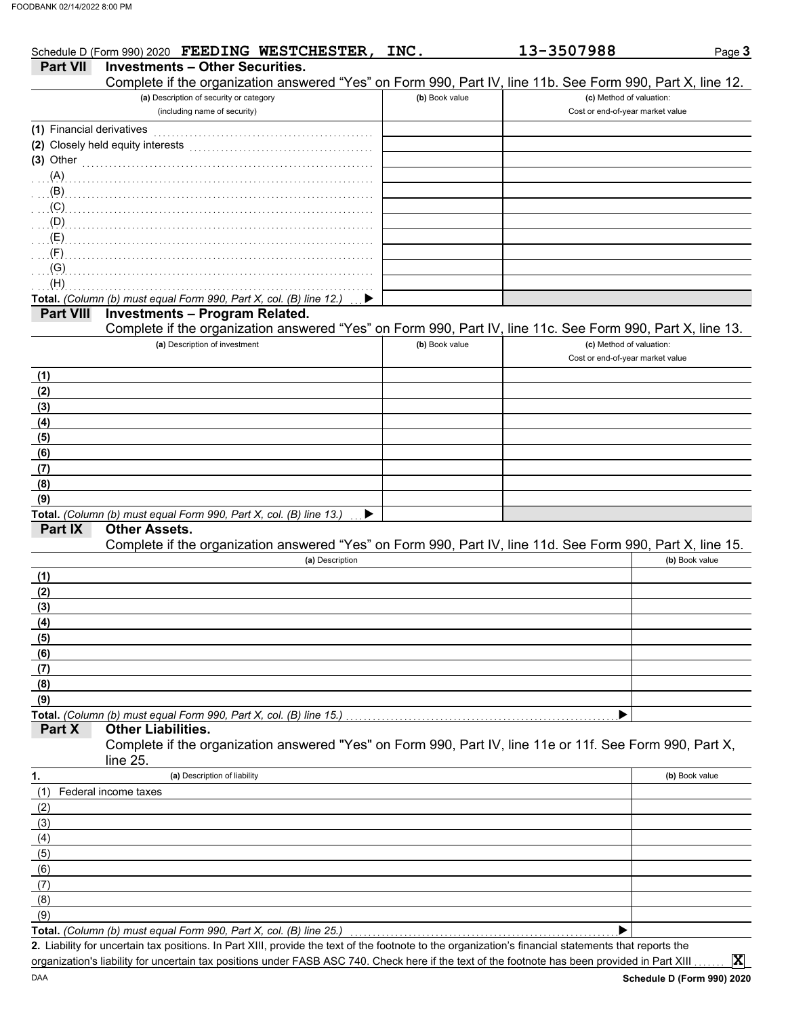|                           | Schedule D (Form 990) 2020 FEEDING WESTCHESTER,                                                            | INC.           | 13-3507988                       | Page 3         |
|---------------------------|------------------------------------------------------------------------------------------------------------|----------------|----------------------------------|----------------|
| <b>Part VII</b>           | <b>Investments - Other Securities.</b>                                                                     |                |                                  |                |
|                           | Complete if the organization answered "Yes" on Form 990, Part IV, line 11b. See Form 990, Part X, line 12. |                |                                  |                |
|                           | (a) Description of security or category                                                                    | (b) Book value | (c) Method of valuation:         |                |
|                           | (including name of security)                                                                               |                | Cost or end-of-year market value |                |
| (1) Financial derivatives |                                                                                                            |                |                                  |                |
|                           | (2) Closely held equity interests                                                                          |                |                                  |                |
| $(3)$ Other               |                                                                                                            |                |                                  |                |
| $(A)$                     |                                                                                                            |                |                                  |                |
| (B)                       |                                                                                                            |                |                                  |                |
| (C)                       |                                                                                                            |                |                                  |                |
| (D)                       |                                                                                                            |                |                                  |                |
| (E)                       |                                                                                                            |                |                                  |                |
| (F)<br>(G)                |                                                                                                            |                |                                  |                |
| (H)                       |                                                                                                            |                |                                  |                |
|                           | Total. (Column (b) must equal Form 990, Part X, col. (B) line 12.)                                         |                |                                  |                |
| <b>Part VIII</b>          | <b>Investments - Program Related.</b>                                                                      |                |                                  |                |
|                           | Complete if the organization answered "Yes" on Form 990, Part IV, line 11c. See Form 990, Part X, line 13. |                |                                  |                |
|                           | (a) Description of investment                                                                              | (b) Book value | (c) Method of valuation:         |                |
|                           |                                                                                                            |                | Cost or end-of-year market value |                |
| (1)                       |                                                                                                            |                |                                  |                |
| (2)                       |                                                                                                            |                |                                  |                |
| (3)                       |                                                                                                            |                |                                  |                |
| (4)                       |                                                                                                            |                |                                  |                |
| (5)                       |                                                                                                            |                |                                  |                |
| (6)                       |                                                                                                            |                |                                  |                |
| (7)                       |                                                                                                            |                |                                  |                |
| (8)                       |                                                                                                            |                |                                  |                |
| (9)                       |                                                                                                            |                |                                  |                |
| Part IX                   | Total. (Column (b) must equal Form 990, Part X, col. (B) line 13.)<br><b>Other Assets.</b>                 |                |                                  |                |
|                           | Complete if the organization answered "Yes" on Form 990, Part IV, line 11d. See Form 990, Part X, line 15. |                |                                  |                |
|                           | (a) Description                                                                                            |                |                                  | (b) Book value |
| (1)                       |                                                                                                            |                |                                  |                |
| (2)                       |                                                                                                            |                |                                  |                |
| (3)                       |                                                                                                            |                |                                  |                |
| (4)                       |                                                                                                            |                |                                  |                |
| (5)                       |                                                                                                            |                |                                  |                |
| (6)                       |                                                                                                            |                |                                  |                |
| (7)                       |                                                                                                            |                |                                  |                |
| (8)                       |                                                                                                            |                |                                  |                |
| (9)                       |                                                                                                            |                |                                  |                |
|                           | Total. (Column (b) must equal Form 990, Part X, col. (B) line 15.)                                         |                |                                  |                |
| Part X                    | <b>Other Liabilities.</b>                                                                                  |                |                                  |                |
|                           | Complete if the organization answered "Yes" on Form 990, Part IV, line 11e or 11f. See Form 990, Part X,   |                |                                  |                |
|                           | line 25.                                                                                                   |                |                                  | (b) Book value |
| 1.<br>(1)                 | (a) Description of liability<br>Federal income taxes                                                       |                |                                  |                |
|                           |                                                                                                            |                |                                  |                |
| (2)<br>(3)                |                                                                                                            |                |                                  |                |
| (4)                       |                                                                                                            |                |                                  |                |
| (5)                       |                                                                                                            |                |                                  |                |
| (6)                       |                                                                                                            |                |                                  |                |
| (7)                       |                                                                                                            |                |                                  |                |
| (8)                       |                                                                                                            |                |                                  |                |
| (9)                       |                                                                                                            |                |                                  |                |
|                           | Total. (Column (b) must equal Form 990, Part X, col. (B) line 25.)                                         |                |                                  |                |

Liability for uncertain tax positions. In Part XIII, provide the text of the footnote to the organization's financial statements that reports the **2.** organization's liability for uncertain tax positions under FASB ASC 740. Check here if the text of the footnote has been provided in Part XIII

**X**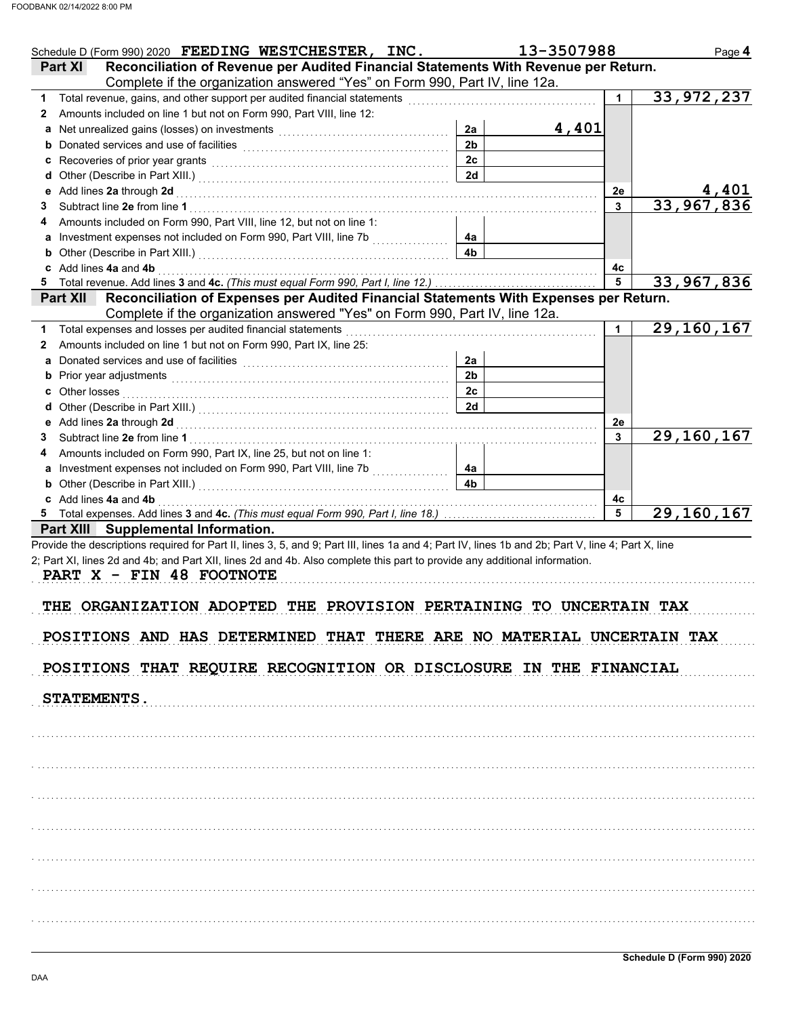| Schedule D (Form 990) 2020 FEEDING WESTCHESTER, INC.                                                                                                                                                                                     |                | 13-3507988   | Page 4       |
|------------------------------------------------------------------------------------------------------------------------------------------------------------------------------------------------------------------------------------------|----------------|--------------|--------------|
| Reconciliation of Revenue per Audited Financial Statements With Revenue per Return.<br><b>Part XI</b>                                                                                                                                    |                |              |              |
| Complete if the organization answered "Yes" on Form 990, Part IV, line 12a.                                                                                                                                                              |                |              |              |
| Total revenue, gains, and other support per audited financial statements<br>1                                                                                                                                                            |                | $\mathbf{1}$ | 33,972,237   |
| Amounts included on line 1 but not on Form 990, Part VIII, line 12:<br>2                                                                                                                                                                 |                |              |              |
|                                                                                                                                                                                                                                          | 2a             | 4,401        |              |
| b                                                                                                                                                                                                                                        | 2 <sub>b</sub> |              |              |
|                                                                                                                                                                                                                                          | 2c             |              |              |
|                                                                                                                                                                                                                                          | <b>2d</b>      |              |              |
| Add lines 2a through 2d [[[[[[[[[[[[[[[[[[[[[[[[[]]]]]]]]]] Add lines 2a through 2d<br>е                                                                                                                                                 |                | 2e           | 4,401        |
| 3                                                                                                                                                                                                                                        |                | 3            | 33,967,836   |
| Amounts included on Form 990, Part VIII, line 12, but not on line 1:                                                                                                                                                                     |                |              |              |
| a Investment expenses not included on Form 990, Part VIII, line 7b                                                                                                                                                                       | 4a             |              |              |
| <b>b</b> Other (Describe in Part XIII.) <b>CONSIDENT</b> 2014 12:00 12:00 12:00 12:00 12:00 12:00 12:00 12:00 12:00 12:00 12:00 12:00 12:00 12:00 12:00 12:00 12:00 12:00 12:00 12:00 12:00 12:00 12:00 12:00 12:00 12:00 12:00 12:00 12 | 4 <sub>b</sub> |              |              |
| c Add lines 4a and 4b                                                                                                                                                                                                                    |                | 4с           |              |
|                                                                                                                                                                                                                                          |                | 5            | 33,967,836   |
| Reconciliation of Expenses per Audited Financial Statements With Expenses per Return.<br><b>Part XII</b>                                                                                                                                 |                |              |              |
| Complete if the organization answered "Yes" on Form 990, Part IV, line 12a.                                                                                                                                                              |                |              |              |
| Total expenses and losses per audited financial statements<br>1                                                                                                                                                                          |                | 1            | 29, 160, 167 |
| Amounts included on line 1 but not on Form 990, Part IX, line 25:<br>2                                                                                                                                                                   |                |              |              |
|                                                                                                                                                                                                                                          | 2a             |              |              |
| Prior year adjustments [11, 12] with the contract of the contract of the contract of the contract of the contract of the contract of the contract of the contract of the contract of the contract of the contract of the contr           | 2 <sub>b</sub> |              |              |
| Other losses <b>continuous</b> contains a continuous contains a contact that the contact of the contact of the contact of the contact of the contact of the contact of the contact of the contact of the contact of the contact of       | 2c             |              |              |
|                                                                                                                                                                                                                                          | 2d             |              |              |
|                                                                                                                                                                                                                                          |                | 2e           |              |
| 3                                                                                                                                                                                                                                        |                | 3            | 29, 160, 167 |
| Amounts included on Form 990, Part IX, line 25, but not on line 1:                                                                                                                                                                       |                |              |              |
| a Investment expenses not included on Form 990, Part VIII, line 7b                                                                                                                                                                       | 4a             |              |              |
|                                                                                                                                                                                                                                          | 4 <sub>b</sub> |              |              |
| c Add lines 4a and 4b                                                                                                                                                                                                                    |                | 4с           |              |
|                                                                                                                                                                                                                                          |                | 5            | 29, 160, 167 |
| Part XIII Supplemental Information.                                                                                                                                                                                                      |                |              |              |
| Provide the descriptions required for Part II, lines 3, 5, and 9; Part III, lines 1a and 4; Part IV, lines 1b and 2b; Part V, line 4; Part X, line                                                                                       |                |              |              |
| 2; Part XI, lines 2d and 4b; and Part XII, lines 2d and 4b. Also complete this part to provide any additional information.                                                                                                               |                |              |              |
| PART X - FIN 48 FOOTNOTE                                                                                                                                                                                                                 |                |              |              |
|                                                                                                                                                                                                                                          |                |              |              |
| THE ORGANIZATION ADOPTED THE PROVISION PERTAINING TO UNCERTAIN TAX                                                                                                                                                                       |                |              |              |
|                                                                                                                                                                                                                                          |                |              |              |
| POSITIONS AND HAS DETERMINED THAT THERE ARE NO MATERIAL UNCERTAIN TAX                                                                                                                                                                    |                |              |              |
|                                                                                                                                                                                                                                          |                |              |              |
| POSITIONS THAT REQUIRE RECOGNITION OR DISCLOSURE IN THE FINANCIAL                                                                                                                                                                        |                |              |              |
|                                                                                                                                                                                                                                          |                |              |              |
| <b>STATEMENTS.</b>                                                                                                                                                                                                                       |                |              |              |
|                                                                                                                                                                                                                                          |                |              |              |
|                                                                                                                                                                                                                                          |                |              |              |
|                                                                                                                                                                                                                                          |                |              |              |
|                                                                                                                                                                                                                                          |                |              |              |
|                                                                                                                                                                                                                                          |                |              |              |
|                                                                                                                                                                                                                                          |                |              |              |
|                                                                                                                                                                                                                                          |                |              |              |
|                                                                                                                                                                                                                                          |                |              |              |
|                                                                                                                                                                                                                                          |                |              |              |
|                                                                                                                                                                                                                                          |                |              |              |
|                                                                                                                                                                                                                                          |                |              |              |
|                                                                                                                                                                                                                                          |                |              |              |
|                                                                                                                                                                                                                                          |                |              |              |
|                                                                                                                                                                                                                                          |                |              |              |
|                                                                                                                                                                                                                                          |                |              |              |
|                                                                                                                                                                                                                                          |                |              |              |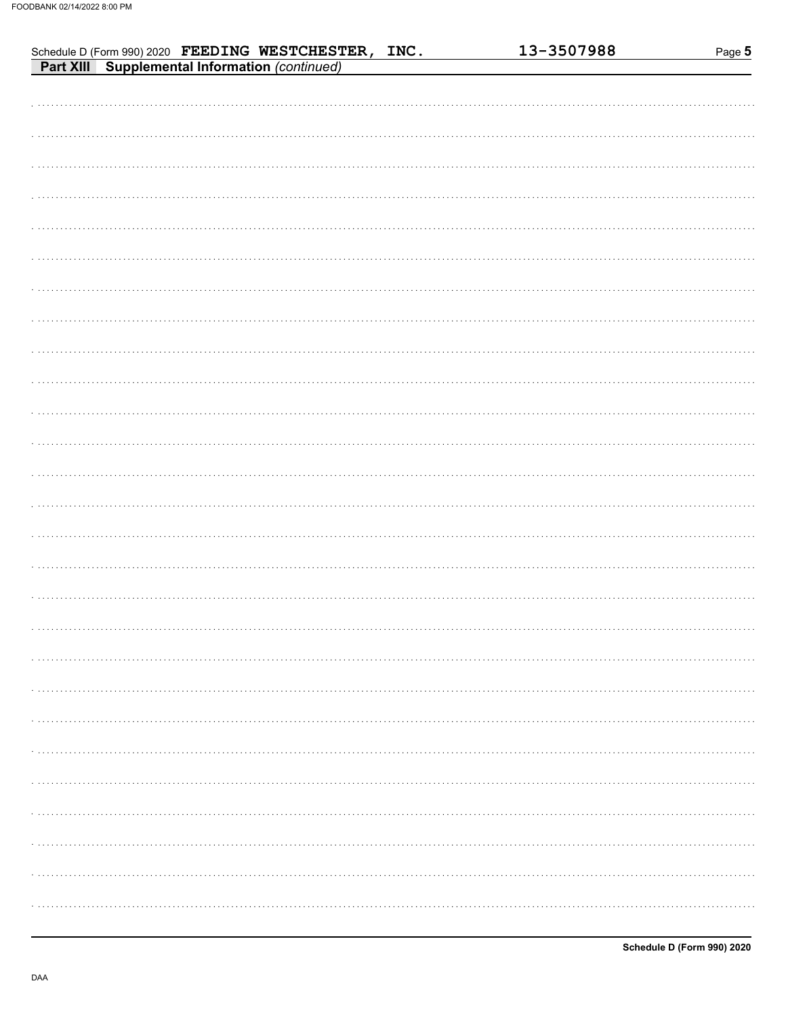| Schedule D (Form 990) 2020 FEEDING WESTCHESTER, INC.<br>Part XIII Supplemental Information (continued) | 13-3507988 | Page 5 |
|--------------------------------------------------------------------------------------------------------|------------|--------|
|                                                                                                        |            |        |
|                                                                                                        |            |        |
|                                                                                                        |            |        |
|                                                                                                        |            |        |
|                                                                                                        |            |        |
|                                                                                                        |            |        |
|                                                                                                        |            |        |
|                                                                                                        |            |        |
|                                                                                                        |            |        |
|                                                                                                        |            |        |
|                                                                                                        |            |        |
|                                                                                                        |            |        |
|                                                                                                        |            |        |
|                                                                                                        |            |        |
|                                                                                                        |            |        |
|                                                                                                        |            |        |
|                                                                                                        |            |        |
|                                                                                                        |            |        |
|                                                                                                        |            |        |
|                                                                                                        |            |        |
|                                                                                                        |            |        |
|                                                                                                        |            |        |
|                                                                                                        |            |        |
|                                                                                                        |            |        |
|                                                                                                        |            |        |
|                                                                                                        |            | .      |
|                                                                                                        |            |        |
|                                                                                                        |            |        |
|                                                                                                        |            |        |
|                                                                                                        |            |        |
|                                                                                                        |            |        |
|                                                                                                        |            |        |
|                                                                                                        |            |        |
|                                                                                                        |            |        |
|                                                                                                        |            | .      |
|                                                                                                        |            |        |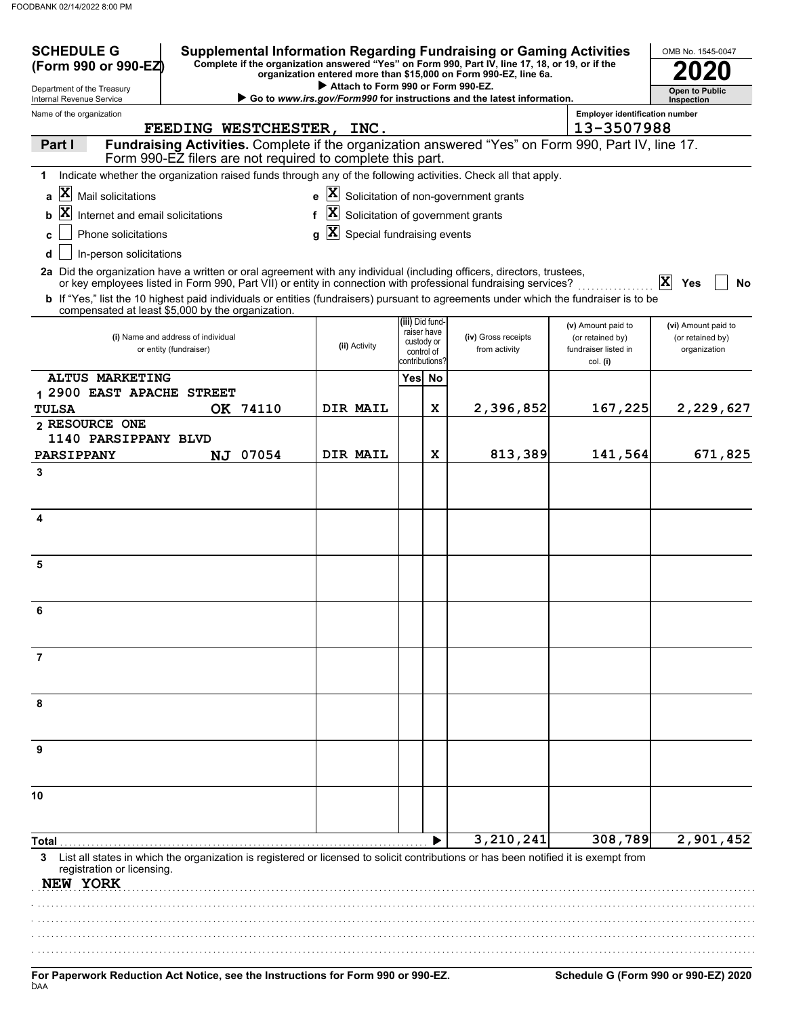| <b>SCHEDULE G</b><br>(Form 990 or 990-EZ)                                                                                                                                                         |                                                                                                                                          |                           |                                                            |  |                                                            | <b>Supplemental Information Regarding Fundraising or Gaming Activities</b><br>Complete if the organization answered "Yes" on Form 990, Part IV, line 17, 18, or 19, or if the<br>organization entered more than \$15,000 on Form 990-EZ, line 6a. |                                                                | OMB No. 1545-0047                                       |
|---------------------------------------------------------------------------------------------------------------------------------------------------------------------------------------------------|------------------------------------------------------------------------------------------------------------------------------------------|---------------------------|------------------------------------------------------------|--|------------------------------------------------------------|---------------------------------------------------------------------------------------------------------------------------------------------------------------------------------------------------------------------------------------------------|----------------------------------------------------------------|---------------------------------------------------------|
| Department of the Treasury                                                                                                                                                                        | Attach to Form 990 or Form 990-EZ.<br>Go to www.irs.gov/Form990 for instructions and the latest information.<br>Internal Revenue Service |                           |                                                            |  |                                                            |                                                                                                                                                                                                                                                   |                                                                | <b>Open to Public</b><br>Inspection                     |
| Name of the organization                                                                                                                                                                          | <b>Employer identification number</b>                                                                                                    |                           |                                                            |  |                                                            |                                                                                                                                                                                                                                                   |                                                                |                                                         |
|                                                                                                                                                                                                   |                                                                                                                                          | FEEDING WESTCHESTER, INC. |                                                            |  |                                                            |                                                                                                                                                                                                                                                   | 13-3507988                                                     |                                                         |
| Part I                                                                                                                                                                                            |                                                                                                                                          |                           | Form 990-EZ filers are not required to complete this part. |  |                                                            | Fundraising Activities. Complete if the organization answered "Yes" on Form 990, Part IV, line 17.                                                                                                                                                |                                                                |                                                         |
| 1                                                                                                                                                                                                 |                                                                                                                                          |                           |                                                            |  |                                                            | Indicate whether the organization raised funds through any of the following activities. Check all that apply.                                                                                                                                     |                                                                |                                                         |
| $ {\bf X} $<br>Mail solicitations<br>a                                                                                                                                                            |                                                                                                                                          |                           | e                                                          |  |                                                            | $ \mathbf{X} $ Solicitation of non-government grants                                                                                                                                                                                              |                                                                |                                                         |
| $\mathbf{x}$<br>Internet and email solicitations<br>b                                                                                                                                             |                                                                                                                                          |                           | $ \mathbf{X} $ Solicitation of government grants<br>f      |  |                                                            |                                                                                                                                                                                                                                                   |                                                                |                                                         |
| Phone solicitations<br>c                                                                                                                                                                          |                                                                                                                                          |                           | $\mathbf{x}$<br>Special fundraising events<br>q            |  |                                                            |                                                                                                                                                                                                                                                   |                                                                |                                                         |
| In-person solicitations<br>d                                                                                                                                                                      |                                                                                                                                          |                           |                                                            |  |                                                            |                                                                                                                                                                                                                                                   |                                                                |                                                         |
| 2a Did the organization have a written or oral agreement with any individual (including officers, directors, trustees,                                                                            |                                                                                                                                          |                           |                                                            |  |                                                            | or key employees listed in Form 990, Part VII) or entity in connection with professional fundraising services?                                                                                                                                    |                                                                | X<br>Yes<br>No                                          |
| <b>b</b> If "Yes," list the 10 highest paid individuals or entities (fundraisers) pursuant to agreements under which the fundraiser is to be<br>compensated at least \$5,000 by the organization. |                                                                                                                                          |                           |                                                            |  |                                                            |                                                                                                                                                                                                                                                   |                                                                |                                                         |
|                                                                                                                                                                                                   | (i) Name and address of individual<br>or entity (fundraiser)                                                                             |                           | (ii) Activity                                              |  | (iii) Did fund-<br>raiser have<br>custody or<br>control of | (iv) Gross receipts<br>from activity                                                                                                                                                                                                              | (v) Amount paid to<br>(or retained by)<br>fundraiser listed in | (vi) Amount paid to<br>(or retained by)<br>organization |
| <b>ALTUS MARKETING</b>                                                                                                                                                                            |                                                                                                                                          |                           |                                                            |  | contributions?<br>Yes No                                   |                                                                                                                                                                                                                                                   | col. (i)                                                       |                                                         |
| 1 2900 EAST APACHE STREET                                                                                                                                                                         |                                                                                                                                          |                           |                                                            |  |                                                            |                                                                                                                                                                                                                                                   |                                                                |                                                         |
| <b>TULSA</b>                                                                                                                                                                                      |                                                                                                                                          | OK 74110                  | DIR MAIL                                                   |  | X                                                          | 2,396,852                                                                                                                                                                                                                                         | 167,225                                                        | 2,229,627                                               |
| 2 RESOURCE ONE                                                                                                                                                                                    |                                                                                                                                          |                           |                                                            |  |                                                            |                                                                                                                                                                                                                                                   |                                                                |                                                         |
| 1140 PARSIPPANY BLVD<br><b>PARSIPPANY</b>                                                                                                                                                         |                                                                                                                                          | NJ 07054                  | DIR MAIL                                                   |  | x                                                          | 813,389                                                                                                                                                                                                                                           | 141,564                                                        | 671,825                                                 |
| 3                                                                                                                                                                                                 |                                                                                                                                          |                           |                                                            |  |                                                            |                                                                                                                                                                                                                                                   |                                                                |                                                         |
|                                                                                                                                                                                                   |                                                                                                                                          |                           |                                                            |  |                                                            |                                                                                                                                                                                                                                                   |                                                                |                                                         |
| 4                                                                                                                                                                                                 |                                                                                                                                          |                           |                                                            |  |                                                            |                                                                                                                                                                                                                                                   |                                                                |                                                         |
| 5                                                                                                                                                                                                 |                                                                                                                                          |                           |                                                            |  |                                                            |                                                                                                                                                                                                                                                   |                                                                |                                                         |
| 6                                                                                                                                                                                                 |                                                                                                                                          |                           |                                                            |  |                                                            |                                                                                                                                                                                                                                                   |                                                                |                                                         |
|                                                                                                                                                                                                   |                                                                                                                                          |                           |                                                            |  |                                                            |                                                                                                                                                                                                                                                   |                                                                |                                                         |
| 7                                                                                                                                                                                                 |                                                                                                                                          |                           |                                                            |  |                                                            |                                                                                                                                                                                                                                                   |                                                                |                                                         |
| 8                                                                                                                                                                                                 |                                                                                                                                          |                           |                                                            |  |                                                            |                                                                                                                                                                                                                                                   |                                                                |                                                         |
| 9                                                                                                                                                                                                 |                                                                                                                                          |                           |                                                            |  |                                                            |                                                                                                                                                                                                                                                   |                                                                |                                                         |
| 10                                                                                                                                                                                                |                                                                                                                                          |                           |                                                            |  |                                                            |                                                                                                                                                                                                                                                   |                                                                |                                                         |
| Total ,                                                                                                                                                                                           |                                                                                                                                          |                           |                                                            |  |                                                            | 3, 210, 241                                                                                                                                                                                                                                       | 308,789                                                        | 2,901,452                                               |
| 3<br>registration or licensing.<br>NEW YORK                                                                                                                                                       |                                                                                                                                          |                           |                                                            |  |                                                            | List all states in which the organization is registered or licensed to solicit contributions or has been notified it is exempt from                                                                                                               |                                                                |                                                         |
|                                                                                                                                                                                                   |                                                                                                                                          |                           |                                                            |  |                                                            |                                                                                                                                                                                                                                                   |                                                                |                                                         |
|                                                                                                                                                                                                   |                                                                                                                                          |                           |                                                            |  |                                                            |                                                                                                                                                                                                                                                   |                                                                |                                                         |

.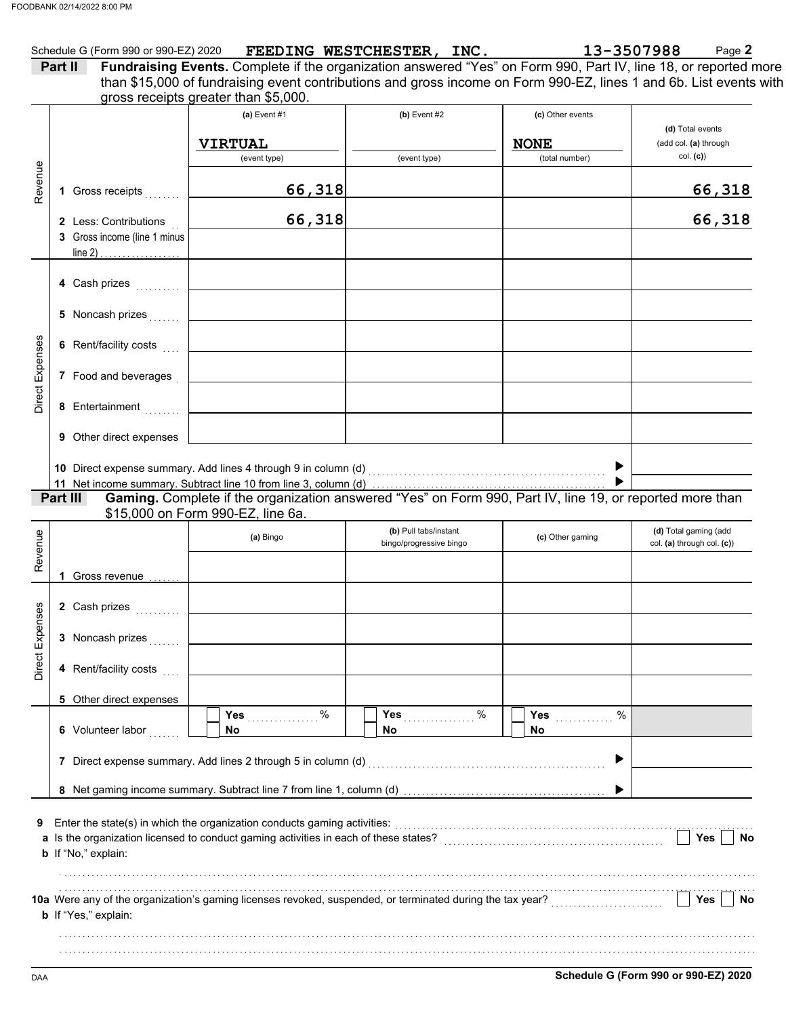|         |                                                       | Schedule G (Form 990 or 990-EZ) 2020 FEEDING WESTCHESTER, INC.                                                                                                                                                                        |                                                  |   |                  | 13-3507988                                          | Page 2 |
|---------|-------------------------------------------------------|---------------------------------------------------------------------------------------------------------------------------------------------------------------------------------------------------------------------------------------|--------------------------------------------------|---|------------------|-----------------------------------------------------|--------|
| Part II |                                                       | Fundraising Events. Complete if the organization answered "Yes" on Form 990, Part IV, line 18, or reported more<br>than \$15,000 of fundraising event contributions and gross income on Form 990-EZ, lines 1 and 6b. List events with |                                                  |   |                  |                                                     |        |
|         |                                                       | gross receipts greater than \$5,000.                                                                                                                                                                                                  |                                                  |   |                  |                                                     |        |
|         |                                                       | $(a)$ Event #1                                                                                                                                                                                                                        | (b) Event $#2$                                   |   | (c) Other events |                                                     |        |
|         |                                                       |                                                                                                                                                                                                                                       |                                                  |   |                  | (d) Total events                                    |        |
|         |                                                       | <b>VIRTUAL</b>                                                                                                                                                                                                                        |                                                  |   | <b>NONE</b>      | (add col. (a) through                               |        |
|         |                                                       | (event type)                                                                                                                                                                                                                          | (event type)                                     |   | (total number)   | col. (c)                                            |        |
|         | 1 Gross receipts                                      | 66,318                                                                                                                                                                                                                                |                                                  |   |                  |                                                     | 66,318 |
|         | 2 Less: Contributions<br>3 Gross income (line 1 minus | 66,318                                                                                                                                                                                                                                |                                                  |   |                  | 66,318                                              |        |
|         | 4 Cash prizes                                         |                                                                                                                                                                                                                                       |                                                  |   |                  |                                                     |        |
|         | 5 Noncash prizes                                      |                                                                                                                                                                                                                                       |                                                  |   |                  |                                                     |        |
|         | 6 Rent/facility costs                                 |                                                                                                                                                                                                                                       |                                                  |   |                  |                                                     |        |
|         | 7 Food and beverages                                  |                                                                                                                                                                                                                                       |                                                  |   |                  |                                                     |        |
|         | 8 Entertainment                                       |                                                                                                                                                                                                                                       |                                                  |   |                  |                                                     |        |
|         | <b>9</b> Other direct expenses                        |                                                                                                                                                                                                                                       |                                                  |   |                  |                                                     |        |
|         |                                                       |                                                                                                                                                                                                                                       |                                                  |   |                  |                                                     |        |
|         |                                                       |                                                                                                                                                                                                                                       |                                                  |   |                  |                                                     |        |
|         | Part III                                              | Gaming. Complete if the organization answered "Yes" on Form 990, Part IV, line 19, or reported more than                                                                                                                              |                                                  |   |                  |                                                     |        |
|         |                                                       | \$15,000 on Form 990-EZ, line 6a.                                                                                                                                                                                                     |                                                  |   |                  |                                                     |        |
|         |                                                       | (a) Bingo                                                                                                                                                                                                                             | (b) Pull tabs/instant<br>bingo/progressive bingo |   | (c) Other gaming | (d) Total gaming (add<br>col. (a) through col. (c)) |        |
|         | 1 Gross revenue                                       |                                                                                                                                                                                                                                       |                                                  |   |                  |                                                     |        |
|         | 2 Cash prizes                                         |                                                                                                                                                                                                                                       |                                                  |   |                  |                                                     |        |
|         | 3 Noncash prizes                                      |                                                                                                                                                                                                                                       |                                                  |   |                  |                                                     |        |
|         | 4 Rent/facility costs                                 |                                                                                                                                                                                                                                       |                                                  |   |                  |                                                     |        |
|         | 5 Other direct expenses                               |                                                                                                                                                                                                                                       |                                                  |   |                  |                                                     |        |
|         | 6 Volunteer labor                                     | %<br>Yes<br>No                                                                                                                                                                                                                        | Yes<br>No.                                       | % | %<br>Yes<br>No.  |                                                     |        |
|         |                                                       | 7 Direct expense summary. Add lines 2 through 5 in column (d)                                                                                                                                                                         |                                                  |   |                  |                                                     |        |
|         |                                                       |                                                                                                                                                                                                                                       |                                                  |   |                  |                                                     |        |
|         |                                                       | Enter the state(s) in which the organization conducts gaming activities:                                                                                                                                                              |                                                  |   |                  |                                                     |        |
|         | b If "No," explain:                                   | a Is the organization licensed to conduct gaming activities in each of these states?                                                                                                                                                  |                                                  |   |                  | Yes                                                 | No     |
|         |                                                       |                                                                                                                                                                                                                                       |                                                  |   |                  |                                                     |        |
|         | b If "Yes," explain:                                  | 10a Were any of the organization's gaming licenses revoked, suspended, or terminated during the tax year?                                                                                                                             |                                                  |   |                  | Yes                                                 | No     |
|         |                                                       |                                                                                                                                                                                                                                       |                                                  |   |                  |                                                     |        |
|         |                                                       |                                                                                                                                                                                                                                       |                                                  |   |                  |                                                     |        |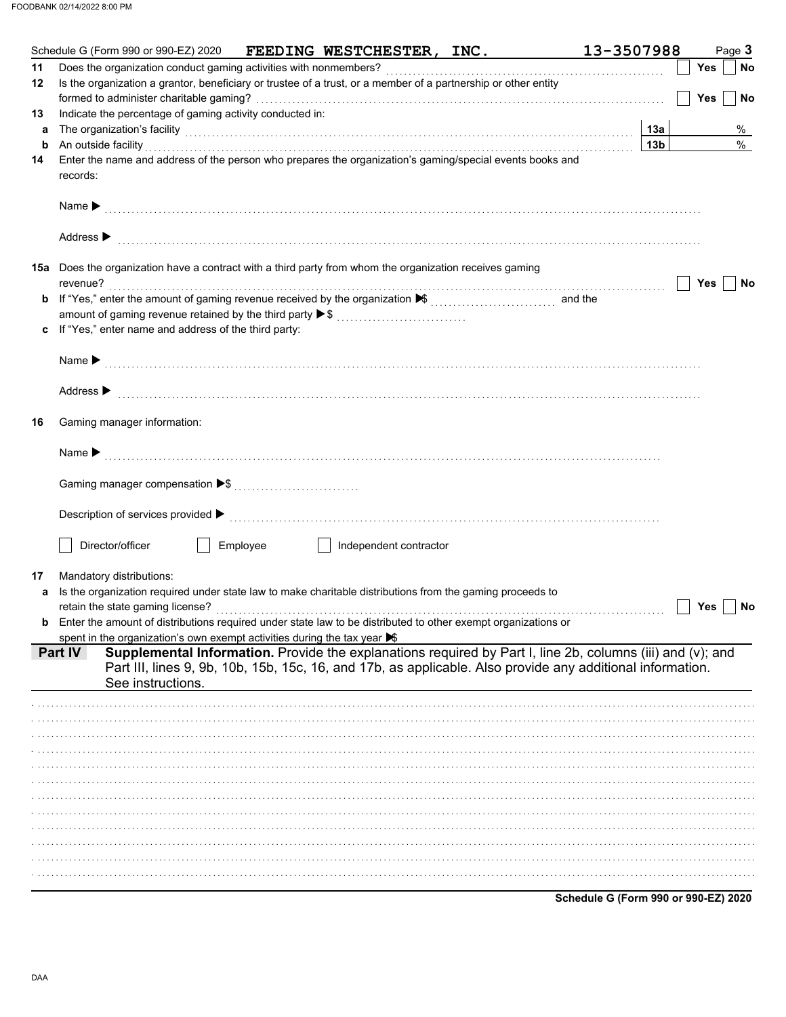|    | 13-3507988<br>Schedule G (Form 990 or 990-EZ) 2020 FEEDING WESTCHESTER, INC.                                                                                                                                                                                                           |                 |            | Page 3 |
|----|----------------------------------------------------------------------------------------------------------------------------------------------------------------------------------------------------------------------------------------------------------------------------------------|-----------------|------------|--------|
| 11 | Does the organization conduct gaming activities with nonmembers?                                                                                                                                                                                                                       |                 | Yes        | No     |
| 12 | Is the organization a grantor, beneficiary or trustee of a trust, or a member of a partnership or other entity                                                                                                                                                                         |                 |            |        |
|    |                                                                                                                                                                                                                                                                                        |                 | <b>Yes</b> | No     |
| 13 | Indicate the percentage of gaming activity conducted in:                                                                                                                                                                                                                               |                 |            |        |
| а  | The organization's facility <b>contained a contained a contained a contained a contained a contained a contained a</b>                                                                                                                                                                 | 13а             |            | %      |
| b  | An outside facility                                                                                                                                                                                                                                                                    | 13 <sub>b</sub> |            | %      |
| 14 | Enter the name and address of the person who prepares the organization's gaming/special events books and                                                                                                                                                                               |                 |            |        |
|    | records:                                                                                                                                                                                                                                                                               |                 |            |        |
|    |                                                                                                                                                                                                                                                                                        |                 |            |        |
|    | Name $\blacktriangleright$                                                                                                                                                                                                                                                             |                 |            |        |
|    |                                                                                                                                                                                                                                                                                        |                 |            |        |
|    | Address $\blacktriangleright$                                                                                                                                                                                                                                                          |                 |            |        |
|    |                                                                                                                                                                                                                                                                                        |                 |            |        |
|    | <b>15a</b> Does the organization have a contract with a third party from whom the organization receives gaming                                                                                                                                                                         |                 |            |        |
|    | revenue?                                                                                                                                                                                                                                                                               |                 | Yes        | No     |
| b  | If "Yes," enter the amount of gaming revenue received by the organization <del>▶</del> [ <i>[[[[[[[[[[[]]]</i> ] and the                                                                                                                                                               |                 |            |        |
|    | amount of gaming revenue retained by the third party ▶ \$                                                                                                                                                                                                                              |                 |            |        |
|    | If "Yes," enter name and address of the third party:                                                                                                                                                                                                                                   |                 |            |        |
|    |                                                                                                                                                                                                                                                                                        |                 |            |        |
|    |                                                                                                                                                                                                                                                                                        |                 |            |        |
|    |                                                                                                                                                                                                                                                                                        |                 |            |        |
|    |                                                                                                                                                                                                                                                                                        |                 |            |        |
|    | Address > medical contract of the contract of the contract of the contract of the contract of the contract of the contract of the contract of the contract of the contract of the contract of the contract of the contract of                                                          |                 |            |        |
| 16 | Gaming manager information:                                                                                                                                                                                                                                                            |                 |            |        |
|    |                                                                                                                                                                                                                                                                                        |                 |            |        |
|    |                                                                                                                                                                                                                                                                                        |                 |            |        |
|    |                                                                                                                                                                                                                                                                                        |                 |            |        |
|    |                                                                                                                                                                                                                                                                                        |                 |            |        |
|    |                                                                                                                                                                                                                                                                                        |                 |            |        |
|    | Description of services provided $\blacktriangleright$ [100] contract the contract of services provided $\blacktriangleright$ [100] contract the contract of services provided $\blacktriangleright$ [100] contract the contract of services provided $\blacktriangleright$ [100] cont |                 |            |        |
|    |                                                                                                                                                                                                                                                                                        |                 |            |        |
|    | Employee<br>Director/officer<br>Independent contractor                                                                                                                                                                                                                                 |                 |            |        |
|    |                                                                                                                                                                                                                                                                                        |                 |            |        |
| 17 | Mandatory distributions:                                                                                                                                                                                                                                                               |                 |            |        |
| a  | Is the organization required under state law to make charitable distributions from the gaming proceeds to                                                                                                                                                                              |                 |            |        |
|    |                                                                                                                                                                                                                                                                                        |                 | Yes        | No     |
|    | Enter the amount of distributions required under state law to be distributed to other exempt organizations or                                                                                                                                                                          |                 |            |        |
|    | spent in the organization's own exempt activities during the tax year $\blacktriangleright$                                                                                                                                                                                            |                 |            |        |
|    | Supplemental Information. Provide the explanations required by Part I, line 2b, columns (iii) and (v); and<br>Part IV                                                                                                                                                                  |                 |            |        |
|    | Part III, lines 9, 9b, 10b, 15b, 15c, 16, and 17b, as applicable. Also provide any additional information.                                                                                                                                                                             |                 |            |        |
|    | See instructions.                                                                                                                                                                                                                                                                      |                 |            |        |
|    |                                                                                                                                                                                                                                                                                        |                 |            |        |
|    |                                                                                                                                                                                                                                                                                        |                 |            |        |
|    |                                                                                                                                                                                                                                                                                        |                 |            |        |
|    |                                                                                                                                                                                                                                                                                        |                 |            |        |
|    |                                                                                                                                                                                                                                                                                        |                 |            |        |
|    |                                                                                                                                                                                                                                                                                        |                 |            |        |
|    |                                                                                                                                                                                                                                                                                        |                 |            |        |
|    |                                                                                                                                                                                                                                                                                        |                 |            |        |
|    |                                                                                                                                                                                                                                                                                        |                 |            |        |
|    |                                                                                                                                                                                                                                                                                        |                 |            |        |
|    |                                                                                                                                                                                                                                                                                        |                 |            |        |
|    |                                                                                                                                                                                                                                                                                        |                 |            |        |
|    |                                                                                                                                                                                                                                                                                        |                 |            |        |
|    |                                                                                                                                                                                                                                                                                        |                 |            |        |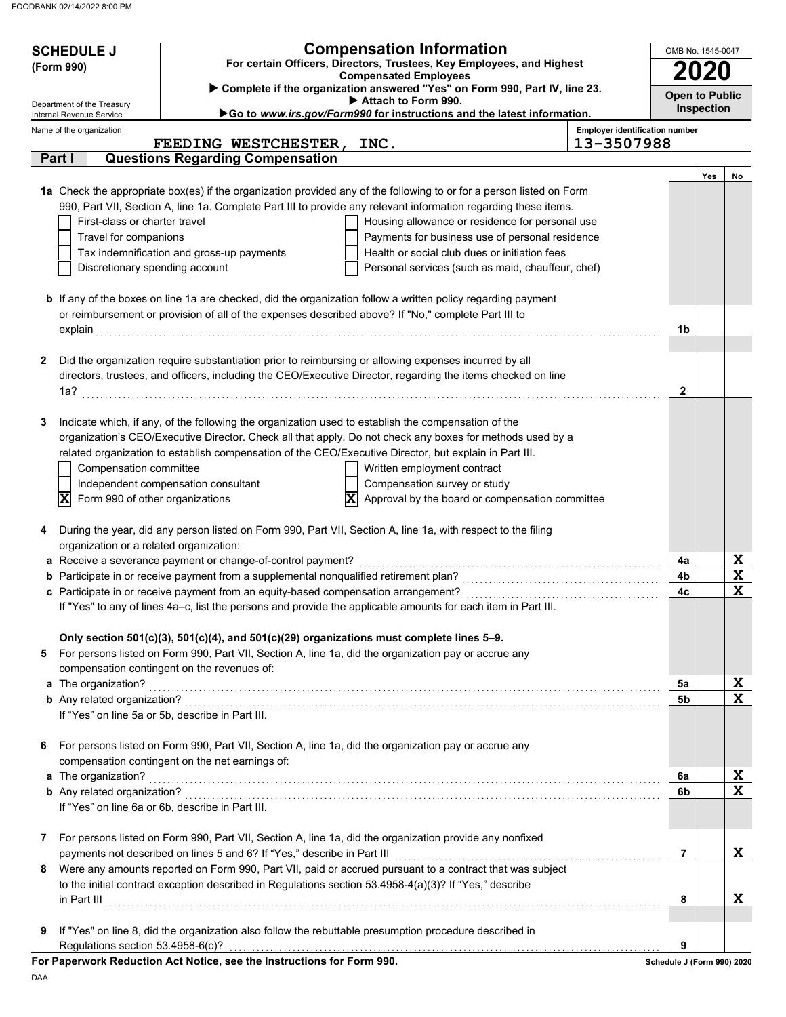| <b>Compensation Information</b><br><b>SCHEDULE J</b><br>For certain Officers, Directors, Trustees, Key Employees, and Highest<br>(Form 990)<br><b>Compensated Employees</b> |                                                        |                                                                                                        |                                                                                                                      |                                | OMB No. 1545-0047<br><b>2020</b> |                   |                         |  |
|-----------------------------------------------------------------------------------------------------------------------------------------------------------------------------|--------------------------------------------------------|--------------------------------------------------------------------------------------------------------|----------------------------------------------------------------------------------------------------------------------|--------------------------------|----------------------------------|-------------------|-------------------------|--|
|                                                                                                                                                                             |                                                        |                                                                                                        | > Complete if the organization answered "Yes" on Form 990, Part IV, line 23.                                         |                                | <b>Open to Public</b>            |                   |                         |  |
|                                                                                                                                                                             | Department of the Treasury<br>Internal Revenue Service |                                                                                                        | Attach to Form 990.<br>Go to www.irs.gov/Form990 for instructions and the latest information.                        |                                |                                  | <b>Inspection</b> |                         |  |
|                                                                                                                                                                             | Name of the organization                               |                                                                                                        |                                                                                                                      | Employer identification number |                                  |                   |                         |  |
| Part I                                                                                                                                                                      |                                                        | FEEDING WESTCHESTER, INC.<br><b>Questions Regarding Compensation</b>                                   |                                                                                                                      | 13-3507988                     |                                  |                   |                         |  |
|                                                                                                                                                                             |                                                        |                                                                                                        |                                                                                                                      |                                |                                  | Yes               | No                      |  |
|                                                                                                                                                                             |                                                        |                                                                                                        | 1a Check the appropriate box(es) if the organization provided any of the following to or for a person listed on Form |                                |                                  |                   |                         |  |
|                                                                                                                                                                             |                                                        |                                                                                                        | 990, Part VII, Section A, line 1a. Complete Part III to provide any relevant information regarding these items.      |                                |                                  |                   |                         |  |
|                                                                                                                                                                             | First-class or charter travel                          |                                                                                                        | Housing allowance or residence for personal use                                                                      |                                |                                  |                   |                         |  |
|                                                                                                                                                                             | Travel for companions                                  |                                                                                                        | Payments for business use of personal residence                                                                      |                                |                                  |                   |                         |  |
|                                                                                                                                                                             |                                                        | Tax indemnification and gross-up payments                                                              | Health or social club dues or initiation fees                                                                        |                                |                                  |                   |                         |  |
|                                                                                                                                                                             | Discretionary spending account                         |                                                                                                        | Personal services (such as maid, chauffeur, chef)                                                                    |                                |                                  |                   |                         |  |
|                                                                                                                                                                             |                                                        |                                                                                                        | <b>b</b> If any of the boxes on line 1a are checked, did the organization follow a written policy regarding payment  |                                |                                  |                   |                         |  |
|                                                                                                                                                                             |                                                        | or reimbursement or provision of all of the expenses described above? If "No," complete Part III to    |                                                                                                                      |                                |                                  |                   |                         |  |
|                                                                                                                                                                             | explain                                                |                                                                                                        |                                                                                                                      |                                | 1b                               |                   |                         |  |
|                                                                                                                                                                             |                                                        |                                                                                                        |                                                                                                                      |                                |                                  |                   |                         |  |
| 2                                                                                                                                                                           |                                                        | Did the organization require substantiation prior to reimbursing or allowing expenses incurred by all  |                                                                                                                      |                                |                                  |                   |                         |  |
|                                                                                                                                                                             |                                                        |                                                                                                        | directors, trustees, and officers, including the CEO/Executive Director, regarding the items checked on line         |                                |                                  |                   |                         |  |
|                                                                                                                                                                             | 1a?                                                    |                                                                                                        |                                                                                                                      |                                | $\mathbf{2}$                     |                   |                         |  |
|                                                                                                                                                                             |                                                        |                                                                                                        |                                                                                                                      |                                |                                  |                   |                         |  |
| 3                                                                                                                                                                           |                                                        | Indicate which, if any, of the following the organization used to establish the compensation of the    |                                                                                                                      |                                |                                  |                   |                         |  |
|                                                                                                                                                                             |                                                        |                                                                                                        | organization's CEO/Executive Director. Check all that apply. Do not check any boxes for methods used by a            |                                |                                  |                   |                         |  |
|                                                                                                                                                                             |                                                        |                                                                                                        | related organization to establish compensation of the CEO/Executive Director, but explain in Part III.               |                                |                                  |                   |                         |  |
|                                                                                                                                                                             | Compensation committee                                 |                                                                                                        | Written employment contract                                                                                          |                                |                                  |                   |                         |  |
|                                                                                                                                                                             |                                                        | Independent compensation consultant                                                                    | Compensation survey or study                                                                                         |                                |                                  |                   |                         |  |
|                                                                                                                                                                             | X<br>Form 990 of other organizations                   |                                                                                                        | Approval by the board or compensation committee<br>$ {\bf X} $                                                       |                                |                                  |                   |                         |  |
| 4                                                                                                                                                                           |                                                        |                                                                                                        | During the year, did any person listed on Form 990, Part VII, Section A, line 1a, with respect to the filing         |                                |                                  |                   |                         |  |
|                                                                                                                                                                             | organization or a related organization:                |                                                                                                        |                                                                                                                      |                                |                                  |                   |                         |  |
|                                                                                                                                                                             |                                                        | a Receive a severance payment or change-of-control payment?                                            |                                                                                                                      |                                | 4a                               |                   | X                       |  |
|                                                                                                                                                                             |                                                        | <b>b</b> Participate in or receive payment from a supplemental nonqualified retirement plan?           |                                                                                                                      |                                | 4b                               |                   | $\overline{\mathbf{x}}$ |  |
|                                                                                                                                                                             |                                                        | c Participate in or receive payment from an equity-based compensation arrangement?                     |                                                                                                                      |                                | 4c                               |                   | $\mathbf x$             |  |
|                                                                                                                                                                             |                                                        |                                                                                                        | If "Yes" to any of lines 4a-c, list the persons and provide the applicable amounts for each item in Part III.        |                                |                                  |                   |                         |  |
|                                                                                                                                                                             |                                                        | Only section 501(c)(3), 501(c)(4), and 501(c)(29) organizations must complete lines 5-9.               |                                                                                                                      |                                |                                  |                   |                         |  |
| 5.                                                                                                                                                                          |                                                        | For persons listed on Form 990, Part VII, Section A, line 1a, did the organization pay or accrue any   |                                                                                                                      |                                |                                  |                   |                         |  |
|                                                                                                                                                                             |                                                        | compensation contingent on the revenues of:                                                            |                                                                                                                      |                                |                                  |                   |                         |  |
|                                                                                                                                                                             | a The organization?                                    |                                                                                                        |                                                                                                                      |                                | 5a                               |                   | X                       |  |
|                                                                                                                                                                             |                                                        |                                                                                                        |                                                                                                                      |                                | 5b                               |                   | $\mathbf{x}$            |  |
|                                                                                                                                                                             |                                                        | If "Yes" on line 5a or 5b, describe in Part III.                                                       |                                                                                                                      |                                |                                  |                   |                         |  |
|                                                                                                                                                                             |                                                        |                                                                                                        |                                                                                                                      |                                |                                  |                   |                         |  |
| 6.                                                                                                                                                                          |                                                        | For persons listed on Form 990, Part VII, Section A, line 1a, did the organization pay or accrue any   |                                                                                                                      |                                |                                  |                   |                         |  |
|                                                                                                                                                                             | a The organization?                                    | compensation contingent on the net earnings of:                                                        |                                                                                                                      |                                | 6a                               |                   | X                       |  |
|                                                                                                                                                                             |                                                        |                                                                                                        |                                                                                                                      |                                | 6b                               |                   | $\mathbf{x}$            |  |
|                                                                                                                                                                             |                                                        | If "Yes" on line 6a or 6b, describe in Part III.                                                       |                                                                                                                      |                                |                                  |                   |                         |  |
|                                                                                                                                                                             |                                                        |                                                                                                        |                                                                                                                      |                                |                                  |                   |                         |  |
| 7                                                                                                                                                                           |                                                        |                                                                                                        | For persons listed on Form 990, Part VII, Section A, line 1a, did the organization provide any nonfixed              |                                |                                  |                   |                         |  |
|                                                                                                                                                                             |                                                        | payments not described on lines 5 and 6? If "Yes," describe in Part III                                |                                                                                                                      |                                | $\overline{7}$                   |                   | X                       |  |
| 8                                                                                                                                                                           |                                                        |                                                                                                        | Were any amounts reported on Form 990, Part VII, paid or accrued pursuant to a contract that was subject             |                                |                                  |                   |                         |  |
|                                                                                                                                                                             |                                                        | to the initial contract exception described in Regulations section 53.4958-4(a)(3)? If "Yes," describe |                                                                                                                      |                                |                                  |                   |                         |  |
|                                                                                                                                                                             |                                                        |                                                                                                        |                                                                                                                      |                                | 8                                |                   | X                       |  |
|                                                                                                                                                                             |                                                        |                                                                                                        |                                                                                                                      |                                |                                  |                   |                         |  |
| 9                                                                                                                                                                           | Regulations section 53.4958-6(c)?                      |                                                                                                        | If "Yes" on line 8, did the organization also follow the rebuttable presumption procedure described in               |                                | 9                                |                   |                         |  |
|                                                                                                                                                                             |                                                        | For Paperwork Reduction Act Notice, see the Instructions for Form 990.                                 |                                                                                                                      |                                | Schedule J (Form 990) 2020       |                   |                         |  |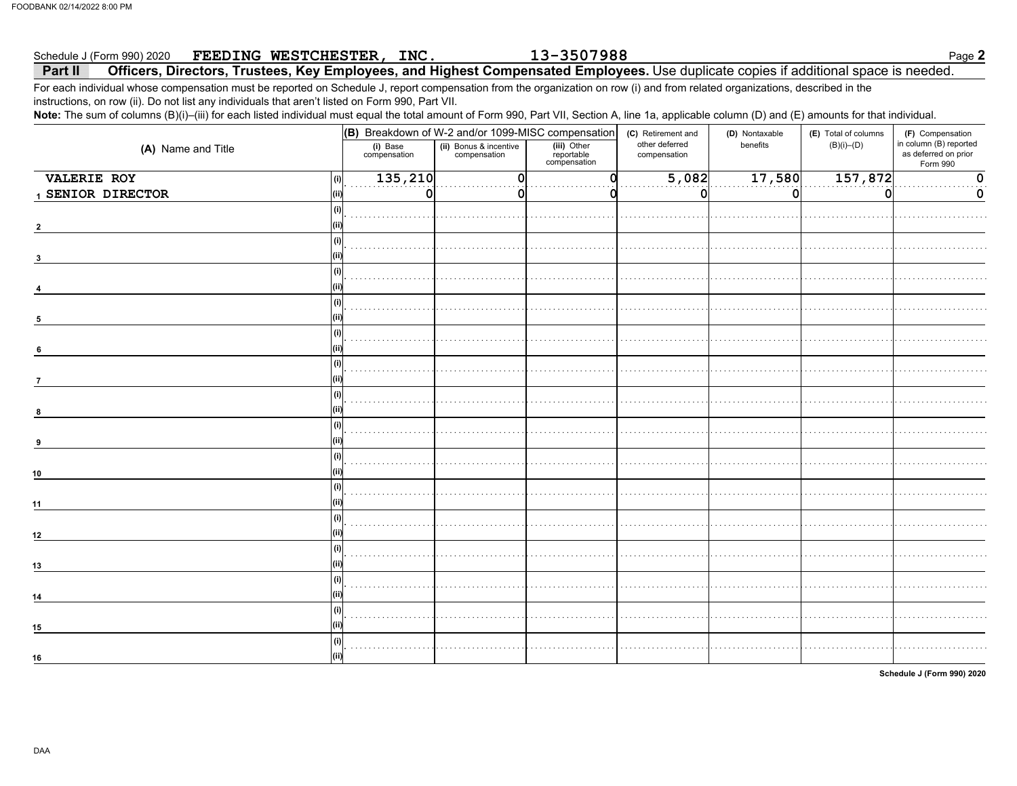#### Schedule J (Form 990) 2020 FEEDING WESTCHESTER, INC. Officers, Directors, Trustees, Key Employees, and Highest Compensated Employees. Use duplicate copies if additional space is needed. Part II

For each individual whose compensation must be reported on Schedule J, report compensation from the organization on row (i) and from related organizations, described in the instructions, on row (ii). Do not list any individuals that aren't listed on Form 990, Part VII.

Note: The sum of columns (B)(i)-(iii) for each listed individual must equal the total amount of Form 990, Part VII, Section A, line 1a, applicable column (D) and (E) amounts for that individual.

|                    | $ $ (B) Breakdown of W-2 and/or 1099-MISC compensation |                                        |                                           | (C) Retirement and             | (D) Nontaxable | (E) Total of columns | (F) Compensation                                           |
|--------------------|--------------------------------------------------------|----------------------------------------|-------------------------------------------|--------------------------------|----------------|----------------------|------------------------------------------------------------|
| (A) Name and Title | (i) Base<br>compensation                               | (ii) Bonus & incentive<br>compensation | (iii) Other<br>reportable<br>compensation | other deferred<br>compensation | benefits       | $(B)(i)$ – $(D)$     | in column (B) reported<br>as deferred on prior<br>Form 990 |
| VALERIE ROY<br>(i) | 135,210                                                | O                                      |                                           | 5,082                          | 17,580         | 157,872              | $\mathbf 0$                                                |
| 1 SENIOR DIRECTOR  | 0                                                      | 0                                      |                                           | 0                              | $\Omega$       | 0                    | 0                                                          |
| (i)                |                                                        |                                        |                                           |                                |                |                      |                                                            |
|                    |                                                        |                                        |                                           |                                |                |                      |                                                            |
| (i)                |                                                        |                                        |                                           |                                |                |                      |                                                            |
|                    |                                                        |                                        |                                           |                                |                |                      |                                                            |
| (i)                |                                                        |                                        |                                           |                                |                |                      |                                                            |
|                    |                                                        |                                        |                                           |                                |                |                      |                                                            |
| (i)                |                                                        |                                        |                                           |                                |                |                      |                                                            |
|                    |                                                        |                                        |                                           |                                |                |                      |                                                            |
| 5<br>(i)           |                                                        |                                        |                                           |                                |                |                      |                                                            |
|                    |                                                        |                                        |                                           |                                |                |                      |                                                            |
| $\bf 6$            |                                                        |                                        |                                           |                                |                |                      |                                                            |
| (i)                |                                                        |                                        |                                           |                                |                |                      |                                                            |
| $\overline{7}$     |                                                        |                                        |                                           |                                |                |                      |                                                            |
| (i)                |                                                        |                                        |                                           |                                |                |                      |                                                            |
| 8                  |                                                        |                                        |                                           |                                |                |                      |                                                            |
| (i)                |                                                        |                                        |                                           |                                |                |                      |                                                            |
| q                  |                                                        |                                        |                                           |                                |                |                      |                                                            |
| (i)                |                                                        |                                        |                                           |                                |                |                      |                                                            |
| 10                 |                                                        |                                        |                                           |                                |                |                      |                                                            |
| (i)                |                                                        |                                        |                                           |                                |                |                      |                                                            |
| 11                 |                                                        |                                        |                                           |                                |                |                      |                                                            |
| (i)                |                                                        |                                        |                                           |                                |                |                      |                                                            |
| 12                 |                                                        |                                        |                                           |                                |                |                      |                                                            |
| (i)                |                                                        |                                        |                                           |                                |                |                      |                                                            |
| 13                 |                                                        |                                        |                                           |                                |                |                      |                                                            |
| (i)                |                                                        |                                        |                                           |                                |                |                      |                                                            |
| 14                 |                                                        |                                        |                                           |                                |                |                      |                                                            |
| (i)                |                                                        |                                        |                                           |                                |                |                      |                                                            |
| 15                 |                                                        |                                        |                                           |                                |                |                      |                                                            |
| (i)                |                                                        |                                        |                                           |                                |                |                      |                                                            |
| 16                 |                                                        |                                        |                                           |                                |                |                      |                                                            |
|                    |                                                        |                                        |                                           |                                |                |                      |                                                            |

Schedule J (Form 990) 2020

Page 2

13-3507988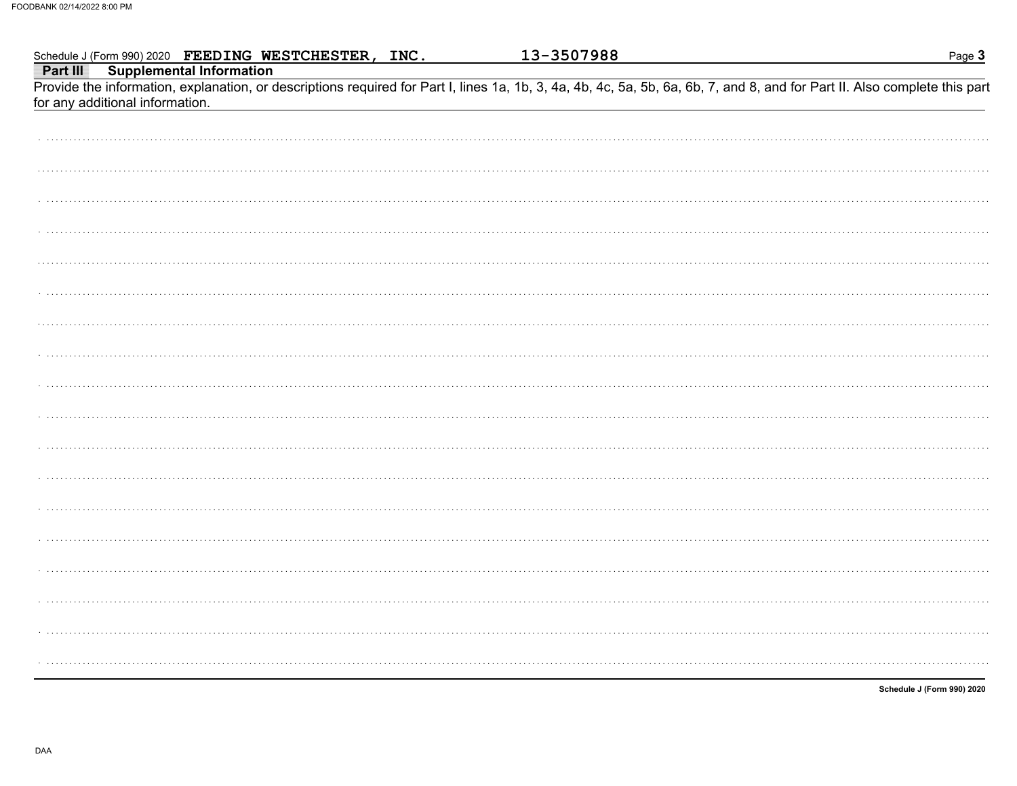|          | Schedule J (Form 990) 2020 FEEDING WESTCHESTER, INC.                                                                                                                                                                                             | 13-3507988 | Page 3                     |
|----------|--------------------------------------------------------------------------------------------------------------------------------------------------------------------------------------------------------------------------------------------------|------------|----------------------------|
| Part III | <b>Supplemental Information</b><br>Provide the information, explanation, or descriptions required for Part I, lines 1a, 1b, 3, 4a, 4b, 4c, 5a, 5b, 6a, 6b, 7, and 8, and for Part II. Also complete this part<br>for any additional information. |            |                            |
|          |                                                                                                                                                                                                                                                  |            |                            |
|          |                                                                                                                                                                                                                                                  |            |                            |
|          |                                                                                                                                                                                                                                                  |            |                            |
|          |                                                                                                                                                                                                                                                  |            |                            |
|          |                                                                                                                                                                                                                                                  |            |                            |
|          |                                                                                                                                                                                                                                                  |            |                            |
|          |                                                                                                                                                                                                                                                  |            |                            |
|          |                                                                                                                                                                                                                                                  |            |                            |
|          |                                                                                                                                                                                                                                                  |            |                            |
|          |                                                                                                                                                                                                                                                  |            |                            |
|          |                                                                                                                                                                                                                                                  |            |                            |
|          |                                                                                                                                                                                                                                                  |            |                            |
|          |                                                                                                                                                                                                                                                  |            |                            |
|          |                                                                                                                                                                                                                                                  |            |                            |
|          |                                                                                                                                                                                                                                                  |            |                            |
|          |                                                                                                                                                                                                                                                  |            |                            |
|          |                                                                                                                                                                                                                                                  |            |                            |
|          |                                                                                                                                                                                                                                                  |            |                            |
|          |                                                                                                                                                                                                                                                  |            |                            |
|          |                                                                                                                                                                                                                                                  |            |                            |
|          |                                                                                                                                                                                                                                                  |            | Schedule J (Form 990) 2020 |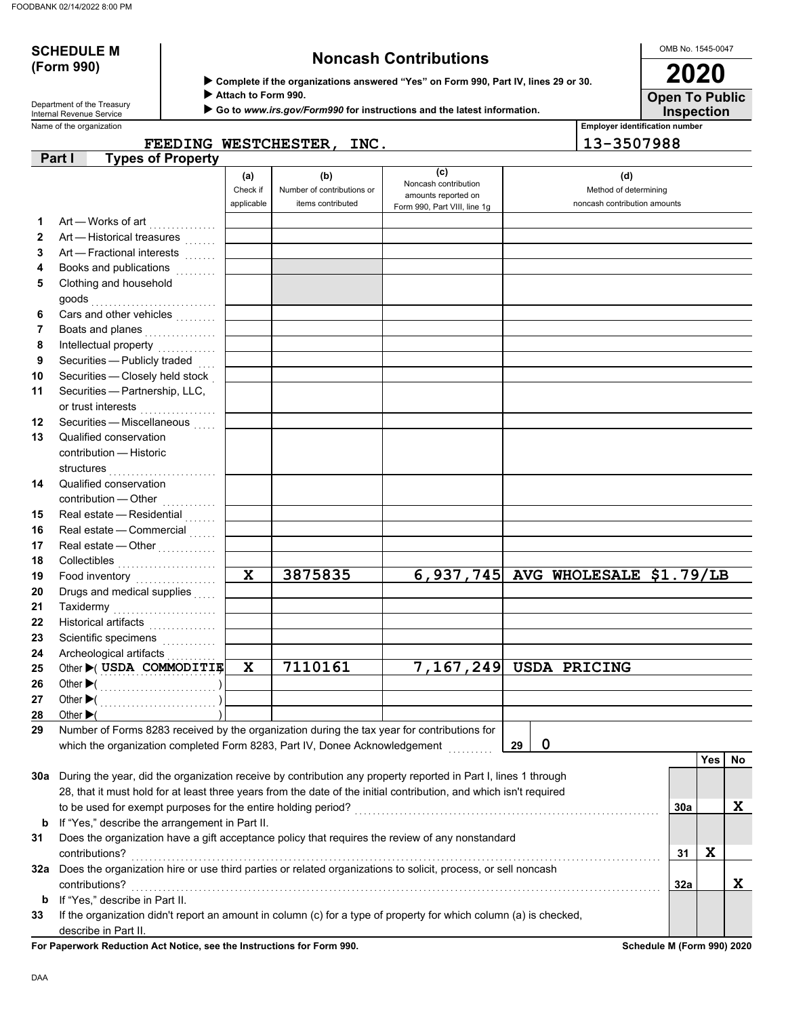# **(Form 990)**

## **SCHEDULE M Noncash Contributions**

OMB No. 1545-0047 **2020**

**Inspection Open To Public**

| ▶ Complete if the organizations answered "Yes" on Form 990, Part IV, lines 29 or 30. |  |  |  |  |
|--------------------------------------------------------------------------------------|--|--|--|--|
|                                                                                      |  |  |  |  |

 **Attach to Form 990.**

 **Go to** *www.irs.gov/Form990* **for instructions and the latest information.**

Name of the organization **Employer identification number** Department of the Treasury<br>Internal Revenue Service

#### **FEEDING WESTCHESTER, INC.** | 13-3507988

|     | <b>Types of Property</b><br>Part I                                                                                 |             |                            |                                             |                                   |     |     |    |
|-----|--------------------------------------------------------------------------------------------------------------------|-------------|----------------------------|---------------------------------------------|-----------------------------------|-----|-----|----|
|     |                                                                                                                    | (a)         | (b)                        | (c)                                         | (d)                               |     |     |    |
|     |                                                                                                                    | Check if    | Number of contributions or | Noncash contribution<br>amounts reported on | Method of determining             |     |     |    |
|     |                                                                                                                    | applicable  | items contributed          | Form 990, Part VIII, line 1g                | noncash contribution amounts      |     |     |    |
| 1   | Art - Works of art<br>.                                                                                            |             |                            |                                             |                                   |     |     |    |
| 2   | Art - Historical treasures                                                                                         |             |                            |                                             |                                   |     |     |    |
| 3   | Art - Fractional interests                                                                                         |             |                            |                                             |                                   |     |     |    |
| 4   | Books and publications                                                                                             |             |                            |                                             |                                   |     |     |    |
| 5   | Clothing and household                                                                                             |             |                            |                                             |                                   |     |     |    |
|     |                                                                                                                    |             |                            |                                             |                                   |     |     |    |
| 6   | Cars and other vehicles                                                                                            |             |                            |                                             |                                   |     |     |    |
| 7   | Boats and planes                                                                                                   |             |                            |                                             |                                   |     |     |    |
| 8   | Intellectual property                                                                                              |             |                            |                                             |                                   |     |     |    |
| 9   | Securities - Publicly traded                                                                                       |             |                            |                                             |                                   |     |     |    |
| 10  | Securities - Closely held stock                                                                                    |             |                            |                                             |                                   |     |     |    |
| 11  | Securities - Partnership, LLC,                                                                                     |             |                            |                                             |                                   |     |     |    |
|     | or trust interests                                                                                                 |             |                            |                                             |                                   |     |     |    |
| 12  | Securities - Miscellaneous                                                                                         |             |                            |                                             |                                   |     |     |    |
| 13  | Qualified conservation                                                                                             |             |                            |                                             |                                   |     |     |    |
|     | contribution - Historic                                                                                            |             |                            |                                             |                                   |     |     |    |
|     |                                                                                                                    |             |                            |                                             |                                   |     |     |    |
| 14  | Qualified conservation                                                                                             |             |                            |                                             |                                   |     |     |    |
|     | contribution - Other                                                                                               |             |                            |                                             |                                   |     |     |    |
| 15  | Real estate - Residential                                                                                          |             |                            |                                             |                                   |     |     |    |
| 16  | Real estate - Commercial                                                                                           |             |                            |                                             |                                   |     |     |    |
| 17  | Real estate - Other                                                                                                |             |                            |                                             |                                   |     |     |    |
| 18  | Collectibles <b>Collectibles</b>                                                                                   |             |                            |                                             |                                   |     |     |    |
| 19  | Food inventory                                                                                                     | $\mathbf x$ | 3875835                    |                                             | 6,937,745 AVG WHOLESALE \$1.79/LB |     |     |    |
| 20  | Drugs and medical supplies                                                                                         |             |                            |                                             |                                   |     |     |    |
| 21  | Taxidermy                                                                                                          |             |                            |                                             |                                   |     |     |    |
| 22  | Historical artifacts                                                                                               |             |                            |                                             |                                   |     |     |    |
| 23  | Scientific specimens                                                                                               |             |                            |                                             |                                   |     |     |    |
| 24  | Archeological artifacts                                                                                            |             |                            |                                             |                                   |     |     |    |
| 25  | Other CUSDA COMMODITIE                                                                                             | X           | 7110161                    |                                             | 7,167,249 USDA PRICING            |     |     |    |
| 26  |                                                                                                                    |             |                            |                                             |                                   |     |     |    |
| 27  |                                                                                                                    |             |                            |                                             |                                   |     |     |    |
| 28  | Other $\blacktriangleright$ (                                                                                      |             |                            |                                             |                                   |     |     |    |
| 29  | Number of Forms 8283 received by the organization during the tax year for contributions for                        |             |                            |                                             |                                   |     |     |    |
|     | which the organization completed Form 8283, Part IV, Donee Acknowledgement                                         |             |                            |                                             | 0<br>29                           |     |     |    |
|     | 30a During the year, did the organization receive by contribution any property reported in Part I, lines 1 through |             |                            |                                             |                                   |     | Yes | No |
|     | 28, that it must hold for at least three years from the date of the initial contribution, and which isn't required |             |                            |                                             |                                   |     |     |    |
|     |                                                                                                                    |             |                            |                                             |                                   | 30a |     | X  |
| b   | to be used for exempt purposes for the entire holding period?<br>If "Yes," describe the arrangement in Part II.    |             |                            |                                             |                                   |     |     |    |
|     | Does the organization have a gift acceptance policy that requires the review of any nonstandard                    |             |                            |                                             |                                   |     |     |    |
| 31  | contributions?                                                                                                     |             |                            |                                             |                                   | 31  | X   |    |
| 32a | Does the organization hire or use third parties or related organizations to solicit, process, or sell noncash      |             |                            |                                             |                                   |     |     |    |
|     | contributions?                                                                                                     |             |                            |                                             |                                   | 32a |     | X  |
| b   | If "Yes," describe in Part II.                                                                                     |             |                            |                                             |                                   |     |     |    |
| 33  | If the organization didn't report an amount in column (c) for a type of property for which column (a) is checked,  |             |                            |                                             |                                   |     |     |    |
|     |                                                                                                                    |             |                            |                                             |                                   |     |     |    |

describe in Part II.

**For Paperwork Reduction Act Notice, see the Instructions for Form 990. Schedule M (Form 990) 2020**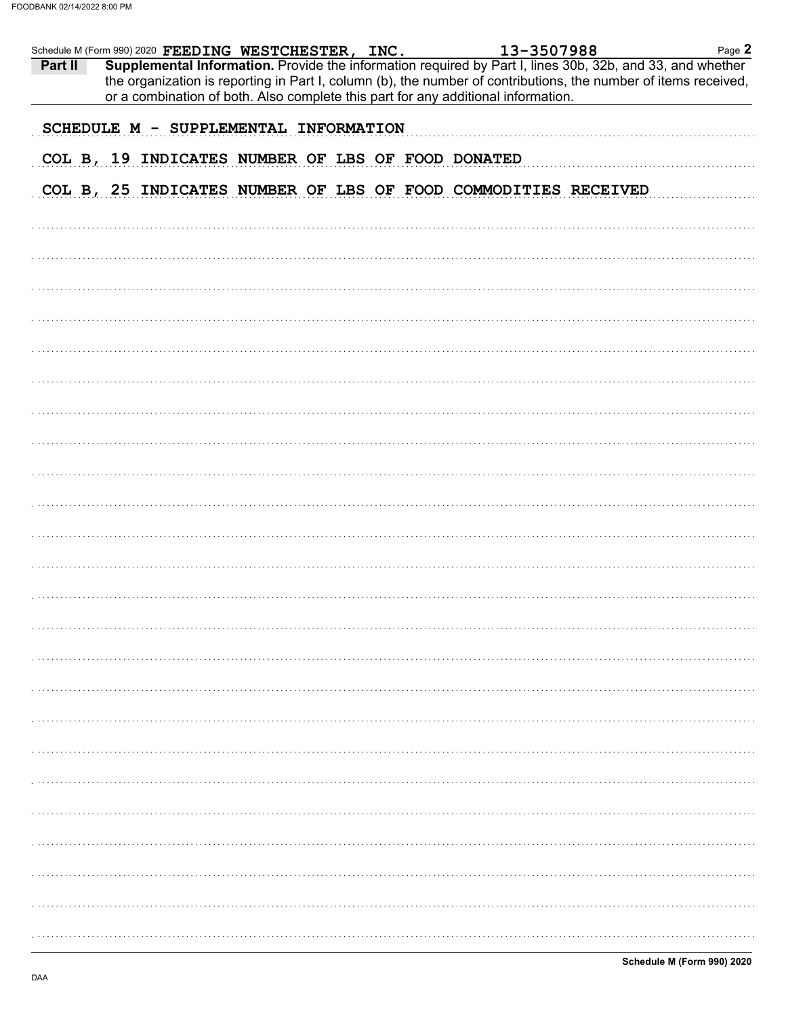|         | Schedule M (Form 990) 2020 FEEDING WESTCHESTER, INC.                              |  |  | 13-3507988                                                                                                                                                                                                                   | Page 2 |
|---------|-----------------------------------------------------------------------------------|--|--|------------------------------------------------------------------------------------------------------------------------------------------------------------------------------------------------------------------------------|--------|
| Part II |                                                                                   |  |  | Supplemental Information. Provide the information required by Part I, lines 30b, 32b, and 33, and whether<br>the organization is reporting in Part I, column (b), the number of contributions, the number of items received, |        |
|         | or a combination of both. Also complete this part for any additional information. |  |  |                                                                                                                                                                                                                              |        |
|         | SCHEDULE M - SUPPLEMENTAL INFORMATION                                             |  |  |                                                                                                                                                                                                                              |        |
|         | COL B, 19 INDICATES NUMBER OF LBS OF FOOD DONATED                                 |  |  |                                                                                                                                                                                                                              |        |
|         |                                                                                   |  |  | COL B, 25 INDICATES NUMBER OF LBS OF FOOD COMMODITIES RECEIVED                                                                                                                                                               |        |
|         |                                                                                   |  |  |                                                                                                                                                                                                                              |        |
|         |                                                                                   |  |  |                                                                                                                                                                                                                              |        |
|         |                                                                                   |  |  |                                                                                                                                                                                                                              |        |
|         |                                                                                   |  |  |                                                                                                                                                                                                                              |        |
|         |                                                                                   |  |  |                                                                                                                                                                                                                              |        |
|         |                                                                                   |  |  |                                                                                                                                                                                                                              |        |
|         |                                                                                   |  |  |                                                                                                                                                                                                                              |        |
|         |                                                                                   |  |  |                                                                                                                                                                                                                              |        |
|         |                                                                                   |  |  |                                                                                                                                                                                                                              |        |
|         |                                                                                   |  |  |                                                                                                                                                                                                                              |        |
|         |                                                                                   |  |  |                                                                                                                                                                                                                              |        |
|         |                                                                                   |  |  |                                                                                                                                                                                                                              |        |
|         |                                                                                   |  |  |                                                                                                                                                                                                                              |        |
|         |                                                                                   |  |  |                                                                                                                                                                                                                              |        |
|         |                                                                                   |  |  |                                                                                                                                                                                                                              |        |
|         |                                                                                   |  |  |                                                                                                                                                                                                                              |        |
|         |                                                                                   |  |  |                                                                                                                                                                                                                              |        |
|         |                                                                                   |  |  |                                                                                                                                                                                                                              |        |
|         |                                                                                   |  |  |                                                                                                                                                                                                                              |        |
|         |                                                                                   |  |  |                                                                                                                                                                                                                              |        |
|         |                                                                                   |  |  |                                                                                                                                                                                                                              |        |
|         |                                                                                   |  |  |                                                                                                                                                                                                                              |        |
|         |                                                                                   |  |  |                                                                                                                                                                                                                              |        |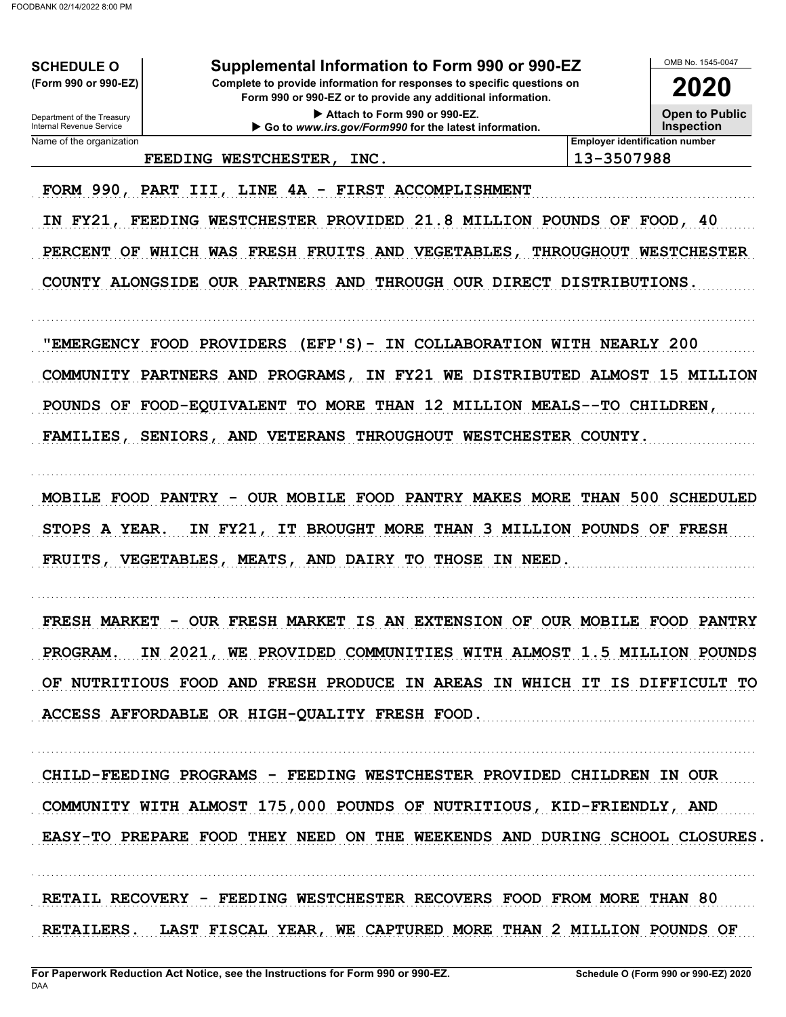| <b>SCHEDULE O</b><br>(Form 990 or 990-EZ)<br>Department of the Treasury<br><b>Internal Revenue Service</b> | OMB No. 1545-0047<br>2020<br><b>Open to Public</b><br><b>Inspection</b>                                                                                                                                                            |                                                                      |                                       |
|------------------------------------------------------------------------------------------------------------|------------------------------------------------------------------------------------------------------------------------------------------------------------------------------------------------------------------------------------|----------------------------------------------------------------------|---------------------------------------|
| Name of the organization                                                                                   | Go to www.irs.gov/Form990 for the latest information.                                                                                                                                                                              |                                                                      | <b>Employer identification number</b> |
|                                                                                                            | WESTCHESTER,<br><b>FEEDING</b><br>INC.                                                                                                                                                                                             | 13-3507988                                                           |                                       |
| <b>FORM 990,</b><br><b>PART</b><br>IN FY21                                                                 | LINE 4A - FIRST ACCOMPLISHMENT<br>III,<br>FEEDING WESTCHESTER PROVIDED 21.8 MILLION POUNDS OF FOOD, 40<br>PERCENT OF WHICH WAS FRESH FRUITS AND VEGETABLES,<br>COUNTY ALONGSIDE OUR PARTNERS AND THROUGH OUR DIRECT DISTRIBUTIONS. |                                                                      | THROUGHOUT WESTCHESTER                |
| "EMERGENCY FOOD PROVIDERS<br>POUNDS OF FOOD-EQUIVALENT<br><b>FAMILIES,</b>                                 | $(EFP'S)$ –<br>COMMUNITY PARTNERS AND PROGRAMS,<br>FY21<br>IN<br>TO MORE THAN 12 MILLION MEALS--TO CHILDREN,<br>AND VETERANS THROUGHOUT WESTCHESTER COUNTY.<br><b>SENIORS,</b>                                                     | IN COLLABORATION WITH NEARLY 200<br>WE DISTRIBUTED ALMOST 15 MILLION |                                       |
| <b>MOBILE FOOD PANTRY</b><br>STOPS A YEAR.<br><b>FRUITS,</b><br><b>VEGETABLES.</b>                         | OUR MOBILE FOOD PANTRY MAKES MORE<br><b>THAN 3</b><br><b>BROUGHT</b><br><b>MORE</b><br>IN FY21<br>IT<br>MEATS,<br>AND DAIRY TO THOSE                                                                                               | <b>MILLION POUNDS OF FRESH</b><br>IN NEED.                           | THAN 500 SCHEDULED                    |
|                                                                                                            | FRESH MARKET - OUR FRESH MARKET IS AN EXTENSION OF OUR MOBILE FOOD PANTRY                                                                                                                                                          |                                                                      |                                       |
| PROGRAM.                                                                                                   | IN 2021, WE PROVIDED COMMUNITIES WITH ALMOST 1.5 MILLION POUNDS                                                                                                                                                                    |                                                                      |                                       |
|                                                                                                            | OF NUTRITIOUS FOOD AND FRESH PRODUCE IN AREAS IN WHICH IT IS DIFFICULT TO<br>ACCESS AFFORDABLE OR HIGH-QUALITY FRESH FOOD.                                                                                                         |                                                                      |                                       |
|                                                                                                            | CHILD-FEEDING PROGRAMS - FEEDING WESTCHESTER PROVIDED CHILDREN IN OUR                                                                                                                                                              |                                                                      |                                       |
|                                                                                                            | COMMUNITY WITH ALMOST 175,000 POUNDS OF NUTRITIOUS, KID-FRIENDLY, AND                                                                                                                                                              |                                                                      |                                       |
|                                                                                                            | EASY-TO PREPARE FOOD THEY NEED ON THE WEEKENDS AND DURING SCHOOL CLOSURES.                                                                                                                                                         |                                                                      |                                       |
|                                                                                                            | RETAIL RECOVERY - FEEDING WESTCHESTER RECOVERS FOOD FROM MORE THAN 80                                                                                                                                                              |                                                                      |                                       |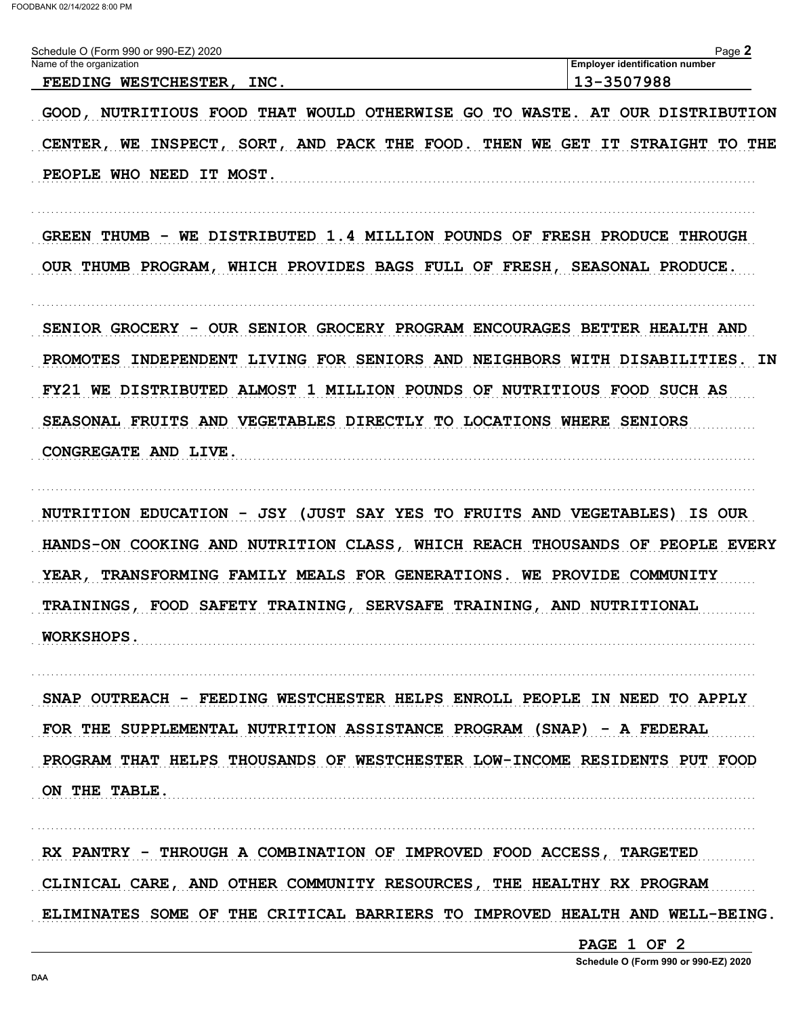FOODBANK 02/14/2022 8:00 PM

| Schedule O (Form 990 or 990-EZ) 2020<br>Name of the organization                                                                                        | Page 2<br><b>Employer identification number</b>                    |
|---------------------------------------------------------------------------------------------------------------------------------------------------------|--------------------------------------------------------------------|
| FEEDING WESTCHESTER, INC.                                                                                                                               | 13-3507988                                                         |
| GOOD, NUTRITIOUS FOOD THAT WOULD OTHERWISE GO TO WASTE.<br>INSPECT, SORT, AND PACK THE FOOD.<br>CENTER, WE<br>PEOPLE WHO NEED IT MOST.                  | AT OUR DISTRIBUTION<br>THEN WE GET IT<br><b>STRAIGHT</b><br>TO THE |
| GREEN THUMB - WE DISTRIBUTED 1.4 MILLION POUNDS OF FRESH PRODUCE THROUGH<br>OUR THUMB PROGRAM, WHICH PROVIDES BAGS FULL OF FRESH, SEASONAL PRODUCE.     |                                                                    |
| SENIOR GROCERY - OUR SENIOR GROCERY PROGRAM ENCOURAGES BETTER HEALTH AND<br>PROMOTES INDEPENDENT LIVING FOR SENIORS AND NEIGHBORS WITH DISABILITIES. IN |                                                                    |
| FY21 WE DISTRIBUTED ALMOST 1 MILLION POUNDS OF NUTRITIOUS FOOD SUCH AS                                                                                  |                                                                    |
| SEASONAL FRUITS AND VEGETABLES DIRECTLY TO LOCATIONS WHERE SENIORS                                                                                      |                                                                    |
| CONGREGATE AND LIVE.                                                                                                                                    |                                                                    |
|                                                                                                                                                         |                                                                    |
| NUTRITION EDUCATION - JSY (JUST SAY YES TO FRUITS AND VEGETABLES)                                                                                       | IS OUR                                                             |
| HANDS-ON COOKING AND NUTRITION CLASS, WHICH REACH THOUSANDS OF PEOPLE EVERY                                                                             |                                                                    |
| YEAR, TRANSFORMING FAMILY MEALS FOR GENERATIONS. WE PROVIDE COMMUNITY                                                                                   |                                                                    |
| TRAININGS, FOOD SAFETY TRAINING, SERVSAFE TRAINING, AND NUTRITIONAL<br>WORKSHOPS.                                                                       |                                                                    |
|                                                                                                                                                         |                                                                    |
| SNAP OUTREACH - FEEDING WESTCHESTER HELPS ENROLL PEOPLE IN NEED TO APPLY                                                                                |                                                                    |
| FOR THE SUPPLEMENTAL NUTRITION ASSISTANCE PROGRAM (SNAP) - A FEDERAL                                                                                    |                                                                    |
| PROGRAM THAT HELPS THOUSANDS OF WESTCHESTER LOW-INCOME RESIDENTS PUT FOOD                                                                               |                                                                    |
| ON THE TABLE.                                                                                                                                           |                                                                    |
| RX PANTRY - THROUGH A COMBINATION OF IMPROVED FOOD ACCESS, TARGETED                                                                                     |                                                                    |
| CLINICAL CARE, AND OTHER COMMUNITY RESOURCES, THE HEALTHY RX PROGRAM                                                                                    |                                                                    |

ELIMINATES SOME OF THE CRITICAL BARRIERS TO IMPROVED HEALTH AND WELL-BEING.

PAGE 1 OF 2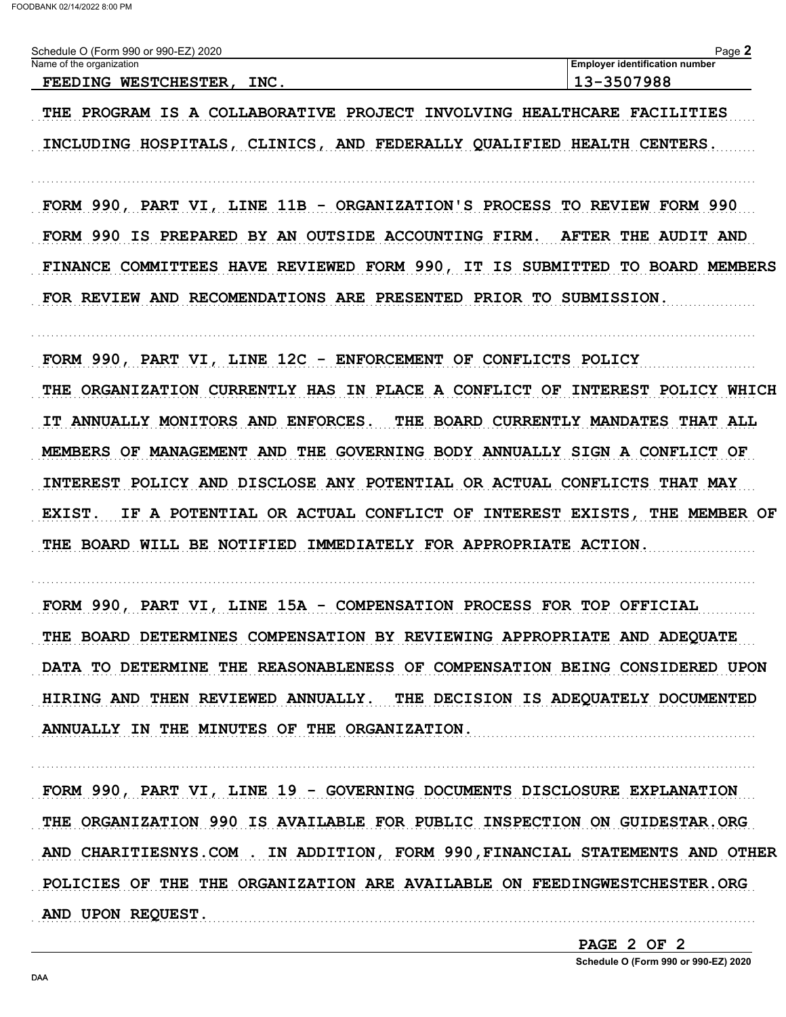THE PROGRAM IS A COLLABORATIVE PROJECT INVOLVING HEALTHCARE FACILITIES INCLUDING HOSPITALS, CLINICS, AND FEDERALLY QUALIFIED HEALTH CENTERS.

FORM 990, PART VI, LINE 11B - ORGANIZATION'S PROCESS TO REVIEW FORM 990 FORM 990 IS PREPARED BY AN OUTSIDE ACCOUNTING FIRM. AFTER THE AUDIT AND FINANCE COMMITTEES HAVE REVIEWED FORM 990, IT IS SUBMITTED TO BOARD MEMBERS FOR REVIEW AND RECOMENDATIONS ARE PRESENTED PRIOR TO SUBMISSION.

FORM 990, PART VI, LINE 12C - ENFORCEMENT OF CONFLICTS POLICY THE ORGANIZATION CURRENTLY HAS IN PLACE A CONFLICT OF INTEREST POLICY WHICH IT ANNUALLY MONITORS AND ENFORCES. THE BOARD CURRENTLY MANDATES THAT ALL MEMBERS OF MANAGEMENT AND THE GOVERNING BODY ANNUALLY SIGN A CONFLICT OF INTEREST POLICY AND DISCLOSE ANY POTENTIAL OR ACTUAL CONFLICTS THAT MAY EXIST. IF A POTENTIAL OR ACTUAL CONFLICT OF INTEREST EXISTS, THE MEMBER OF THE BOARD WILL BE NOTIFIED IMMEDIATELY FOR APPROPRIATE ACTION.

FORM 990, PART VI, LINE 15A - COMPENSATION PROCESS FOR TOP OFFICIAL THE BOARD DETERMINES COMPENSATION BY REVIEWING APPROPRIATE AND ADEQUATE DATA TO DETERMINE THE REASONABLENESS OF COMPENSATION BEING CONSIDERED UPON HIRING AND THEN REVIEWED ANNUALLY. THE DECISION IS ADEQUATELY DOCUMENTED ANNUALLY IN THE MINUTES OF THE ORGANIZATION.

FORM 990, PART VI, LINE 19 - GOVERNING DOCUMENTS DISCLOSURE EXPLANATION THE ORGANIZATION 990 IS AVAILABLE FOR PUBLIC INSPECTION ON GUIDESTAR.ORG AND CHARITIESNYS.COM . IN ADDITION, FORM 990, FINANCIAL STATEMENTS AND OTHER POLICIES OF THE THE ORGANIZATION ARE AVAILABLE ON FEEDINGWESTCHESTER.ORG AND UPON REQUEST.

> PAGE 2 OF 2 Schedule O (Form 990 or 990-EZ) 2020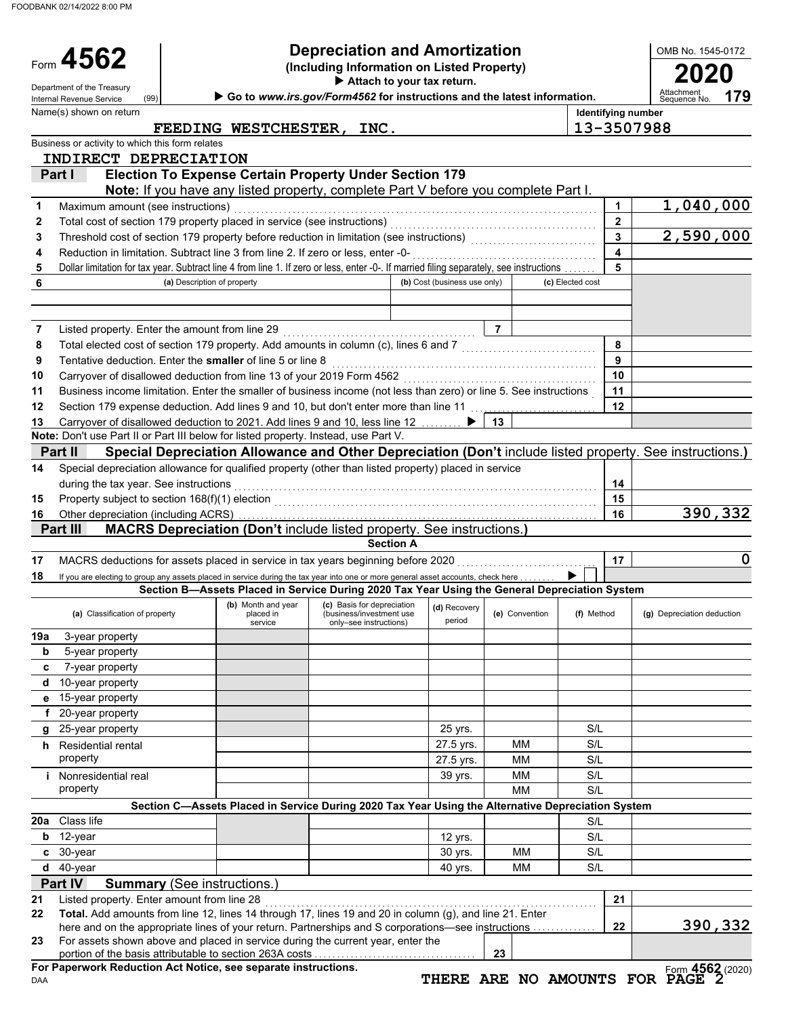FOODBANK 02/14/2022 8:00 PM

Department of the Treasury

Form 4562

#### **Depreciation and Amortization**

**(Including Information on Listed Property) <sup>2020</sup> <sup>4562</sup>**

 **Attach to your tax return.**

|              | (99)<br>Internal Revenue Service                                                                                                                                                                              |                                                                                                   | Go to www.irs.gov/Form4562 for instructions and the latest information. |                              |                |                  |                         | Attachment<br>179<br>Sequence No.                                                                        |
|--------------|---------------------------------------------------------------------------------------------------------------------------------------------------------------------------------------------------------------|---------------------------------------------------------------------------------------------------|-------------------------------------------------------------------------|------------------------------|----------------|------------------|-------------------------|----------------------------------------------------------------------------------------------------------|
|              | Name(s) shown on return                                                                                                                                                                                       |                                                                                                   |                                                                         |                              |                |                  |                         | Identifying number                                                                                       |
|              |                                                                                                                                                                                                               | FEEDING WESTCHESTER, INC.                                                                         |                                                                         |                              |                |                  |                         | 13-3507988                                                                                               |
|              | Business or activity to which this form relates                                                                                                                                                               |                                                                                                   |                                                                         |                              |                |                  |                         |                                                                                                          |
|              | INDIRECT DEPRECIATION                                                                                                                                                                                         |                                                                                                   |                                                                         |                              |                |                  |                         |                                                                                                          |
|              | Part I                                                                                                                                                                                                        | <b>Election To Expense Certain Property Under Section 179</b>                                     |                                                                         |                              |                |                  |                         |                                                                                                          |
|              |                                                                                                                                                                                                               | Note: If you have any listed property, complete Part V before you complete Part I.                |                                                                         |                              |                |                  |                         |                                                                                                          |
| $\mathbf{1}$ | Maximum amount (see instructions)                                                                                                                                                                             |                                                                                                   |                                                                         |                              |                |                  | 1                       | 1,040,000                                                                                                |
| 2            |                                                                                                                                                                                                               |                                                                                                   |                                                                         |                              |                |                  | $\overline{2}$          |                                                                                                          |
| 3            |                                                                                                                                                                                                               |                                                                                                   |                                                                         |                              |                |                  | $\overline{3}$          | 2,590,000                                                                                                |
| 4            | Reduction in limitation. Subtract line 3 from line 2. If zero or less, enter -0-                                                                                                                              |                                                                                                   |                                                                         |                              |                |                  | $\overline{\mathbf{4}}$ |                                                                                                          |
| 5            | Dollar limitation for tax year. Subtract line 4 from line 1. If zero or less, enter -0-. If married filing separately, see instructions                                                                       |                                                                                                   |                                                                         |                              |                |                  | 5                       |                                                                                                          |
| 6            |                                                                                                                                                                                                               | (a) Description of property                                                                       |                                                                         | (b) Cost (business use only) |                | (c) Elected cost |                         |                                                                                                          |
|              |                                                                                                                                                                                                               |                                                                                                   |                                                                         |                              |                |                  |                         |                                                                                                          |
|              |                                                                                                                                                                                                               |                                                                                                   |                                                                         |                              |                |                  |                         |                                                                                                          |
| 7            | Listed property. Enter the amount from line 29                                                                                                                                                                |                                                                                                   |                                                                         |                              | $\overline{7}$ |                  |                         |                                                                                                          |
| 8            | Total elected cost of section 179 property. Add amounts in column (c), lines 6 and 7 [[[[[[[[[[[[[[[[[[[[[[[[                                                                                                 |                                                                                                   |                                                                         |                              |                |                  | 8<br>9                  |                                                                                                          |
| 9            | Tentative deduction. Enter the smaller of line 5 or line 8                                                                                                                                                    |                                                                                                   |                                                                         |                              |                |                  | 10                      |                                                                                                          |
| 10           | Carryover of disallowed deduction from line 13 of your 2019 Form 4562                                                                                                                                         |                                                                                                   |                                                                         |                              |                |                  |                         |                                                                                                          |
| 11           | Business income limitation. Enter the smaller of business income (not less than zero) or line 5. See instructions                                                                                             |                                                                                                   |                                                                         |                              |                |                  | 11<br>12                |                                                                                                          |
| 12           | Section 179 expense deduction. Add lines 9 and 10, but don't enter more than line 11                                                                                                                          |                                                                                                   |                                                                         |                              |                |                  |                         |                                                                                                          |
| 13           | Carryover of disallowed deduction to 2021. Add lines 9 and 10, less line 12<br>Note: Don't use Part II or Part III below for listed property. Instead, use Part V.                                            |                                                                                                   |                                                                         |                              | 13             |                  |                         |                                                                                                          |
|              | Part II                                                                                                                                                                                                       |                                                                                                   |                                                                         |                              |                |                  |                         | Special Depreciation Allowance and Other Depreciation (Don't include listed property. See instructions.) |
| 14           | Special depreciation allowance for qualified property (other than listed property) placed in service                                                                                                          |                                                                                                   |                                                                         |                              |                |                  |                         |                                                                                                          |
|              | during the tax year. See instructions                                                                                                                                                                         |                                                                                                   |                                                                         |                              |                |                  | 14                      |                                                                                                          |
| 15           |                                                                                                                                                                                                               |                                                                                                   |                                                                         |                              |                |                  | 15                      |                                                                                                          |
| 16           | Other depreciation (including ACRS)                                                                                                                                                                           |                                                                                                   |                                                                         |                              |                |                  | 16                      | 390,332                                                                                                  |
|              | Part III                                                                                                                                                                                                      | <b>MACRS Depreciation (Don't include listed property. See instructions.)</b>                      |                                                                         |                              |                |                  |                         |                                                                                                          |
|              |                                                                                                                                                                                                               |                                                                                                   | <b>Section A</b>                                                        |                              |                |                  |                         |                                                                                                          |
| 17           | MACRS deductions for assets placed in service in tax years beginning before 2020                                                                                                                              |                                                                                                   |                                                                         |                              |                |                  | 17                      | $\mathbf 0$                                                                                              |
| 18           | If you are electing to group any assets placed in service during the tax year into one or more general asset accounts, check here                                                                             |                                                                                                   |                                                                         |                              |                |                  |                         |                                                                                                          |
|              |                                                                                                                                                                                                               | Section B-Assets Placed in Service During 2020 Tax Year Using the General Depreciation System     |                                                                         |                              |                |                  |                         |                                                                                                          |
|              |                                                                                                                                                                                                               | (b) Month and year                                                                                | (c) Basis for depreciation                                              | (d) Recovery                 |                |                  |                         |                                                                                                          |
|              | (a) Classification of property                                                                                                                                                                                | placed in<br>service                                                                              | (business/investment use<br>only-see instructions)                      | period                       | (e) Convention | (f) Method       |                         | (g) Depreciation deduction                                                                               |
| 19a          | 3-year property                                                                                                                                                                                               |                                                                                                   |                                                                         |                              |                |                  |                         |                                                                                                          |
| b            | 5-year property                                                                                                                                                                                               |                                                                                                   |                                                                         |                              |                |                  |                         |                                                                                                          |
|              | 7-year property                                                                                                                                                                                               |                                                                                                   |                                                                         |                              |                |                  |                         |                                                                                                          |
|              | d 10-year property                                                                                                                                                                                            |                                                                                                   |                                                                         |                              |                |                  |                         |                                                                                                          |
|              | e 15-year property                                                                                                                                                                                            |                                                                                                   |                                                                         |                              |                |                  |                         |                                                                                                          |
|              | f 20-year property                                                                                                                                                                                            |                                                                                                   |                                                                         |                              |                |                  |                         |                                                                                                          |
|              | g 25-year property                                                                                                                                                                                            |                                                                                                   |                                                                         | 25 yrs.                      |                | S/L              |                         |                                                                                                          |
|              | h Residential rental                                                                                                                                                                                          |                                                                                                   |                                                                         | 27.5 yrs.                    | МM             | S/L              |                         |                                                                                                          |
|              | property                                                                                                                                                                                                      |                                                                                                   |                                                                         | 27.5 yrs.                    | MM             | S/L              |                         |                                                                                                          |
| i.           | Nonresidential real                                                                                                                                                                                           |                                                                                                   |                                                                         | 39 yrs.                      | МM             | S/L              |                         |                                                                                                          |
|              | property                                                                                                                                                                                                      |                                                                                                   |                                                                         |                              | <b>MM</b>      | S/L              |                         |                                                                                                          |
|              |                                                                                                                                                                                                               | Section C-Assets Placed in Service During 2020 Tax Year Using the Alternative Depreciation System |                                                                         |                              |                |                  |                         |                                                                                                          |
|              | 20a Class life                                                                                                                                                                                                |                                                                                                   |                                                                         |                              |                | S/L              |                         |                                                                                                          |
|              | <b>b</b> 12-year                                                                                                                                                                                              |                                                                                                   |                                                                         | 12 yrs.                      |                | S/L              |                         |                                                                                                          |
|              | c 30-year                                                                                                                                                                                                     |                                                                                                   |                                                                         | 30 yrs.                      | <b>MM</b>      | S/L              |                         |                                                                                                          |
|              | $d$ 40-year                                                                                                                                                                                                   |                                                                                                   |                                                                         | 40 yrs.                      | <b>MM</b>      | S/L              |                         |                                                                                                          |
|              | <b>Summary (See instructions.)</b><br>Part IV                                                                                                                                                                 |                                                                                                   |                                                                         |                              |                |                  |                         |                                                                                                          |
| 21           | Listed property. Enter amount from line 28                                                                                                                                                                    |                                                                                                   |                                                                         |                              |                |                  | 21                      |                                                                                                          |
| 22           | Total. Add amounts from line 12, lines 14 through 17, lines 19 and 20 in column (g), and line 21. Enter<br>here and on the appropriate lines of your return. Partnerships and S corporations—see instructions |                                                                                                   |                                                                         |                              |                |                  | 22                      | <u>390,332</u>                                                                                           |
| 23           | For assets shown above and placed in service during the current year, enter the                                                                                                                               |                                                                                                   |                                                                         |                              |                |                  |                         |                                                                                                          |
|              | portion of the basis attributable to section 263A costs                                                                                                                                                       |                                                                                                   |                                                                         |                              | 23             |                  |                         |                                                                                                          |

|  | OMB No. 1545-0172 |
|--|-------------------|
|  |                   |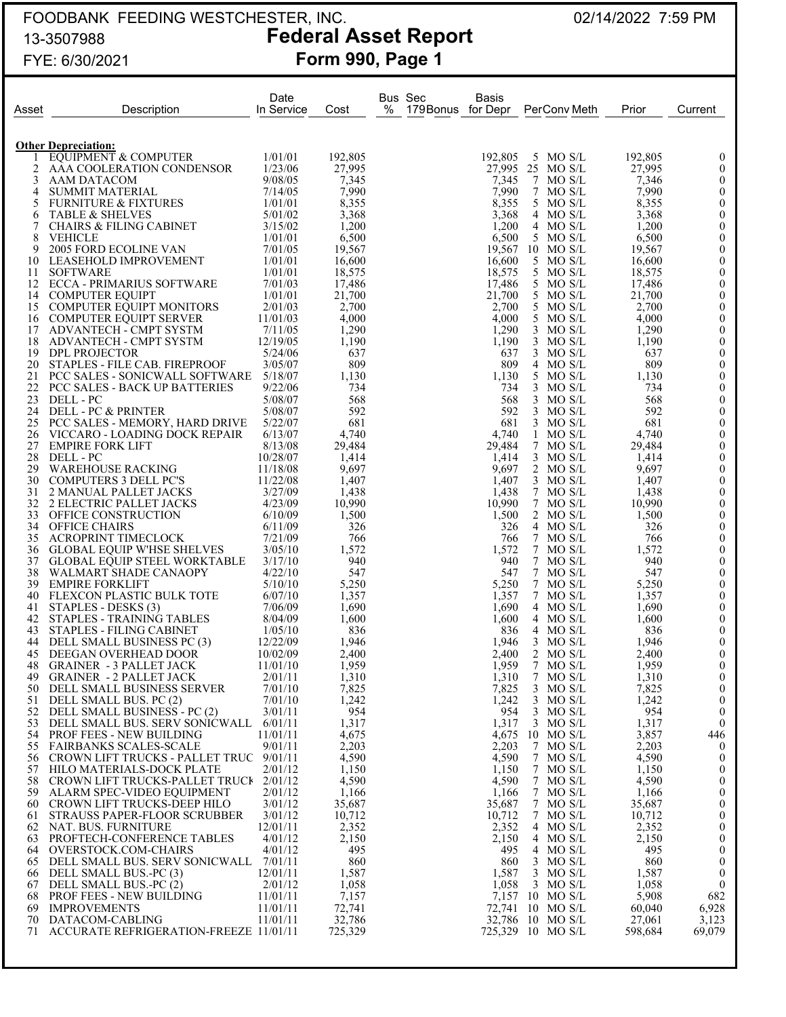## FOODBANK FEEDING WESTCHESTER, INC. 02/14/2022 7:59 PM 13-3507988 **Federal Asset Report** FYE: 6/30/2021 **Form 990, Page 1**

| 13-3507988<br>FYE: 6/30/2021       |                                                                                                       |                                          |                                              |                          |                                                                 |                                                                  |                                                       |
|------------------------------------|-------------------------------------------------------------------------------------------------------|------------------------------------------|----------------------------------------------|--------------------------|-----------------------------------------------------------------|------------------------------------------------------------------|-------------------------------------------------------|
| Description<br>Asset               | Date<br>In Service                                                                                    | Cost                                     | Bus Sec<br>%                                 | <b>Basis</b><br>for Depr | PerConv Meth                                                    | Prior                                                            | Current                                               |
| <b>Other Depreciation:</b>         |                                                                                                       |                                          |                                              |                          |                                                                 |                                                                  |                                                       |
|                                    |                                                                                                       |                                          |                                              |                          |                                                                 |                                                                  |                                                       |
|                                    |                                                                                                       |                                          |                                              |                          |                                                                 |                                                                  |                                                       |
|                                    |                                                                                                       |                                          |                                              |                          |                                                                 |                                                                  |                                                       |
|                                    |                                                                                                       |                                          |                                              |                          |                                                                 |                                                                  |                                                       |
| <b>FURNITURE &amp; FIXTURES</b>    | 1/01/01                                                                                               |                                          |                                              | 8.355                    | 5 MO S/L                                                        |                                                                  |                                                       |
| <b>TABLE &amp; SHELVES</b>         | 5/01/02                                                                                               | 3,368                                    |                                              | 3,368                    | 4 MO S/L                                                        | 3,368                                                            |                                                       |
| <b>CHAIRS &amp; FILING CABINET</b> | 3/15/02                                                                                               | 1,200                                    |                                              | 1.200                    | 4 MO S/L                                                        | 1,200                                                            |                                                       |
| VEHICLE                            | 1/01/01                                                                                               | 6,500                                    |                                              | 6.500                    | 5 MO S/L                                                        |                                                                  |                                                       |
| 2005 FORD ECOLINE VAN              | 7/01/05                                                                                               | 19,567                                   |                                              | 19.567                   | $10$ MO S/L                                                     | 19,567                                                           |                                                       |
|                                    | <b>EOUIPMENT &amp; COMPUTER</b><br>AAA COOLERATION CONDENSOR<br>AAM DATACOM<br><b>SUMMIT MATERIAL</b> | 1/01/01<br>1/23/06<br>9/08/05<br>7/14/05 | 192,805<br>27,995<br>7,345<br>7,990<br>8,355 | <b>Form 990, Page 1</b>  | ι συσιαι Αδδει περυτι<br>179 Bonus<br>192,805<br>7.345<br>7.990 | MO S/L<br>$\sim$<br>25<br>27.995<br>MO S/L<br>MO S/L<br>7 MO S/L | 192,805<br>27,995<br>7,346<br>7,990<br>8,355<br>6,500 |

|     | лшы выргызанон.                                                                            |          |         |         |                   |         |                  |
|-----|--------------------------------------------------------------------------------------------|----------|---------|---------|-------------------|---------|------------------|
|     | EQUIPMENT & COMPUTER 1/01/01<br>AAA COOLERATION CONDENSOR 1/23/06                          |          | 192,805 | 192,805 | 5 MO S/L          | 192,805 | $\mathbf{0}$     |
| 2   |                                                                                            |          | 27,995  |         | 27,995 25 MO S/L  | 27,995  | $\bf{0}$         |
| 3   | AAM DATACOM                                                                                | 9/08/05  | 7,345   | 7,345   | 7 MO S/L          | 7,346   | $\mathbf{0}$     |
|     |                                                                                            |          |         |         |                   |         |                  |
| 4   | <b>SUMMIT MATERIAL</b>                                                                     | 7/14/05  | 7,990   | 7,990   | 7 MO S/L          | 7,990   | $\mathbf{0}$     |
| 5   | FURNITURE & FIXTURES 1/01/01<br>TABLE & SHELVES 5/01/02<br>CHAIRS & FILING CABINET 3/15/02 |          | 8,355   | 8,355   | 5 MO S/L          | 8,355   | $\boldsymbol{0}$ |
| 6   |                                                                                            |          | 3,368   | 3,368   | 4 MO S/L          | 3,368   | $\boldsymbol{0}$ |
|     |                                                                                            |          |         |         |                   |         |                  |
| 7   |                                                                                            |          | 1,200   | 1,200   | 4 MO S/L          | 1,200   | $\bf{0}$         |
| 8   | <b>VEHICLE</b>                                                                             | 1/01/01  | 6,500   | 6,500   | 5 MO S/L          | 6,500   | $\boldsymbol{0}$ |
| 9   | VEHICLE<br>2005 FORD ECOLINE VAN                                                           | 7/01/05  | 19,567  |         | 19,567 10 MO S/L  | 19,567  | $\boldsymbol{0}$ |
|     | 10 LEASEHOLD IMPROVEMENT                                                                   |          |         |         |                   |         |                  |
|     |                                                                                            | 1/01/01  | 16,600  | 16,600  | 5 MO S/L          | 16,600  | $\boldsymbol{0}$ |
| 11  | SOFTWARE                                                                                   | 1/01/01  | 18,575  | 18,575  | 5 MO S/L          | 18,575  | $\boldsymbol{0}$ |
|     |                                                                                            |          |         |         |                   |         |                  |
|     | 12 ECCA - PRIMARIUS SOFTWARE                                                               | 7/01/03  | 17,486  | 17,486  | 5 MO S/L          | 17,486  | $\boldsymbol{0}$ |
|     | 14 COMPUTER EQUIPT                                                                         | 1/01/01  | 21,700  | 21,700  | 5 MO S/L          | 21,700  | $\boldsymbol{0}$ |
|     | 15 COMPUTER EQUIPT MONITORS                                                                | 2/01/03  | 2,700   | 2,700   | 5 MO S/L          | 2,700   | $\boldsymbol{0}$ |
|     |                                                                                            |          |         |         |                   |         |                  |
|     | 16 COMPUTER EQUIPT SERVER                                                                  | 11/01/03 | 4,000   | 4,000   | 5 MO S/L          | 4,000   | $\boldsymbol{0}$ |
|     | 17 ADVANTECH - CMPT SYSTM                                                                  | 7/11/05  | 1,290   | 1,290   | $3$ MO S/L        | 1,290   | $\boldsymbol{0}$ |
|     |                                                                                            |          |         | 1,190   | $3$ MO S/L        |         | $\boldsymbol{0}$ |
|     | 18 ADVANTECH - CMPT SYSTM                                                                  | 12/19/05 | 1,190   |         |                   | 1,190   |                  |
|     | 19 DPL PROJECTOR                                                                           | 5/24/06  | 637     | 637     | 3 MO S/L          | 637     | $\boldsymbol{0}$ |
|     | 20 STAPLES - FILE CAB. FIREPROOF                                                           | 3/05/07  | 809     | 809     | 4 MO S/L          | 809     | $\boldsymbol{0}$ |
|     |                                                                                            |          |         |         |                   |         |                  |
|     | 21 PCC SALES - SONICWALL SOFTWARE 5/18/07                                                  |          | 1,130   | 1,130   | 5 MO S/L          | 1,130   | $\boldsymbol{0}$ |
| 22  | PCC SALES - BACK UP BATTERIES                                                              | 9/22/06  | 734     | 734     | 3 MO S/L          | 734     | $\bf{0}$         |
|     | 23 DELL-PC                                                                                 | 5/08/07  | 568     | 568     | 3 MO S/L          | 568     | $\boldsymbol{0}$ |
|     |                                                                                            |          |         |         |                   |         |                  |
|     | 24 DELL - PC & PRINTER                                                                     | 5/08/07  | 592     | 592     | 3 MO S/L          | 592     | $\boldsymbol{0}$ |
|     | 25 PCC SALES - MEMORY, HARD DRIVE 5/22/07                                                  |          | 681     | 681     | 3 MO S/L          | 681     | $\boldsymbol{0}$ |
|     | 26 VICCARO - LOADING DOCK REPAIR 6/13/07                                                   |          | 4,740   |         |                   |         | $\bf{0}$         |
|     |                                                                                            |          |         | 4,740   | 1 MO S/L          | 4,740   |                  |
|     | 27 EMPIRE FORK LIFT                                                                        | 8/13/08  | 29,484  | 29,484  | 7 MO S/L          | 29,484  | $\boldsymbol{0}$ |
|     | 28 DELL-PC                                                                                 | 10/28/07 | 1,414   | 1,414   | $3$ MO S/L        | 1.414   | $\boldsymbol{0}$ |
|     |                                                                                            |          |         |         |                   |         |                  |
|     | 29 WAREHOUSE RACKING                                                                       | 11/18/08 | 9,697   | 9,697   | 2 MO S/L          | 9,697   | $\boldsymbol{0}$ |
|     | 30 COMPUTERS 3 DELL PC'S                                                                   | 11/22/08 | 1,407   | 1,407   | $3$ MO S/L        | 1,407   | $\boldsymbol{0}$ |
|     | 31 2 MANUAL PALLET JACKS                                                                   | 3/27/09  | 1,438   | 1,438   | 7 MO S/L          | 1,438   | $\boldsymbol{0}$ |
|     |                                                                                            |          |         |         |                   |         |                  |
|     | 32 2 ELECTRIC PALLET JACKS<br>33 OFFICE CONSTRUCTION                                       | 4/23/09  | 10,990  | 10,990  | 7 MO S/L          | 10,990  | $\boldsymbol{0}$ |
|     |                                                                                            | 6/10/09  | 1,500   | 1,500   | $2$ MO S/L        | 1,500   | $\boldsymbol{0}$ |
|     |                                                                                            |          |         |         |                   |         |                  |
|     | 34 OFFICE CHAIRS                                                                           | 6/11/09  | 326     | 326     | 4 MO S/L          | 326     | $\boldsymbol{0}$ |
|     | 35 ACROPRINT TIMECLOCK                                                                     | 7/21/09  | 766     | 766     | 7 MO S/L          | 766     | $\boldsymbol{0}$ |
|     | 36 GLOBAL EQUIP W'HSE SHELVES                                                              | 3/05/10  | 1,572   | 1,572   | 7 MO S/L          | 1,572   | $\boldsymbol{0}$ |
|     |                                                                                            |          |         |         |                   |         |                  |
|     | 37 GLOBAL EQUIP STEEL WORKTABLE 3/17/10                                                    |          | 940     | 940     | 7 MO S/L          | 940     | $\boldsymbol{0}$ |
| 38  | WALMART SHADE CANAOPY                                                                      | 4/22/10  | 547     | 547     | 7 MO S/L          | 547     | $\bf{0}$         |
|     | 39 EMPIRE FORKLIFT                                                                         | 5/10/10  | 5,250   | 5,250   | 7 MO S/L          | 5,250   | $\boldsymbol{0}$ |
|     |                                                                                            |          |         |         |                   |         |                  |
|     | 40 FLEXCON PLASTIC BULK TOTE                                                               | 6/07/10  | 1,357   | 1,357   | 7 MO S/L          | 1,357   | $\boldsymbol{0}$ |
| 41  | STAPLES - DESKS (3)                                                                        | 7/06/09  | 1,690   | 1,690   | 4 MO S/L          | 1,690   | $\boldsymbol{0}$ |
|     |                                                                                            | 8/04/09  |         |         |                   |         | $\bf{0}$         |
| 42  | STAPLES - TRAINING TABLES                                                                  |          | 1,600   | 1,600   | 4 MO S/L          | 1,600   |                  |
|     | 43 STAPLES - FILING CABINET                                                                | 1/05/10  | 836     | 836     | 4 MO S/L          | 836     | $\boldsymbol{0}$ |
|     | 44 DELL SMALL BUSINESS PC (3)                                                              | 12/22/09 | 1,946   | 1,946   | $3$ MO S/L        | 1,946   | $\boldsymbol{0}$ |
|     |                                                                                            |          |         |         |                   |         |                  |
|     | 45 DEEGAN OVERHEAD DOOR                                                                    | 10/02/09 | 2,400   | 2,400   | 2 MO S/L          | 2,400   | $\boldsymbol{0}$ |
| 48  | GRAINER - 3 PALLET JACK                                                                    | 11/01/10 | 1,959   | 1,959   | 7 MO S/L          | 1,959   | $\boldsymbol{0}$ |
|     | 49 GRAINER - 2 PALLET JACK                                                                 | 2/01/11  | 1,310   | 1,310   | 7 MO S/L          | 1,310   | $\boldsymbol{0}$ |
|     |                                                                                            |          |         |         |                   |         |                  |
|     | 50 DELL SMALL BUSINESS SERVER 7/01/10                                                      |          | 7,825   | 7,825   | $3$ MO S/L        | 7,825   | $\boldsymbol{0}$ |
|     | 51 DELL SMALL BUS. PC (2)                                                                  | 7/01/10  | 1,242   | 1,242   | 3 MO S/L          | 1,242   | $\bf{0}$         |
|     | 52 DELL SMALL BUSINESS - PC (2)                                                            | 3/01/11  | 954     | 954     | 3 MO S/L          | 954     | $\theta$         |
|     |                                                                                            |          |         |         |                   |         |                  |
|     | 53 DELL SMALL BUS. SERV SONICWALL 6/01/11                                                  |          | 1,317   |         | 1,317 3 MO S/L    | 1,317   | $\mathbf{0}$     |
|     | 54 PROF FEES - NEW BUILDING                                                                | 11/01/11 | 4,675   |         | 4,675 10 MO S/L   | 3,857   | 446              |
|     | 55 FAIRBANKS SCALES-SCALE                                                                  | 9/01/11  | 2,203   | 2,203   | 7 MO S/L          | 2,203   | $\overline{0}$   |
|     |                                                                                            |          |         |         |                   |         |                  |
|     | 56 CROWN LIFT TRUCKS - PALLET TRUC 9/01/11                                                 |          | 4,590   | 4,590   | 7 MO S/L          | 4,590   | $\overline{0}$   |
| 57  | HILO MATERIALS-DOCK PLATE                                                                  | 2/01/12  | 1,150   | 1,150   | 7 MO S/L          | 1,150   | $\overline{0}$   |
|     |                                                                                            |          |         |         | 7 MO S/L          |         | $\mathbf{0}$     |
| 58  | CROWN LIFT TRUCKS-PALLET TRUCK 2/01/12                                                     |          | 4,590   | 4,590   |                   | 4,590   |                  |
| 59. | ALARM SPEC-VIDEO EQUIPMENT                                                                 | 2/01/12  | 1,166   | 1,166   | 7 MO S/L          | 1,166   | $\boldsymbol{0}$ |
|     | 60 CROWN LIFT TRUCKS-DEEP HILO                                                             | 3/01/12  | 35,687  | 35,687  | 7 MO S/L          | 35,687  | $\theta$         |
|     |                                                                                            |          |         |         |                   |         |                  |
| 61  | STRAUSS PAPER-FLOOR SCRUBBER                                                               | 3/01/12  | 10,712  | 10,712  | 7 MO S/L          | 10,712  | $\boldsymbol{0}$ |
| 62  | NAT. BUS. FURNITURE                                                                        | 12/01/11 | 2,352   | 2,352   | 4 MO S/L          | 2,352   | $\mathbf{0}$     |
| 63  | <b>PROFTECH-CONFERENCE TABLES</b>                                                          | 4/01/12  | 2,150   | 2,150   | 4 MO S/L          | 2,150   | $\boldsymbol{0}$ |
|     |                                                                                            |          |         |         |                   |         |                  |
| 64  | OVERSTOCK.COM-CHAIRS                                                                       | 4/01/12  | 495     | 495     | 4 MO S/L          | 495     | $\mathbf{0}$     |
|     | 65 DELL SMALL BUS. SERV SONICWALL 7/01/11                                                  |          | 860     | 860     | $3$ MO S/L        | 860     | $\mathbf{0}$     |
|     | 66 DELL SMALL BUS.-PC (3)                                                                  | 12/01/11 | 1,587   | 1,587   | $3$ MO S/L        | 1,587   | $\mathbf{0}$     |
|     |                                                                                            |          |         |         |                   |         |                  |
| 67  | DELL SMALL BUS.-PC (2)                                                                     | 2/01/12  | 1,058   | 1,058   | 3 MO S/L          | 1,058   | $\overline{0}$   |
|     | 68 PROF FEES - NEW BUILDING                                                                | 11/01/11 | 7,157   |         | 7,157 10 MO S/L   | 5,908   | 682              |
| 69  | <b>IMPROVEMENTS</b>                                                                        | 11/01/11 | 72,741  |         | 72,741 10 MO S/L  | 60,040  | 6,928            |
|     |                                                                                            |          |         |         |                   |         |                  |
| 70  | DATACOM-CABLING                                                                            | 11/01/11 | 32,786  |         | 32,786 10 MO S/L  | 27,061  | 3,123            |
| 71  | <b>ACCURATE REFRIGERATION-FREEZE 11/01/11</b>                                              |          | 725,329 |         | 725,329 10 MO S/L | 598,684 | 69,079           |
|     |                                                                                            |          |         |         |                   |         |                  |
|     |                                                                                            |          |         |         |                   |         |                  |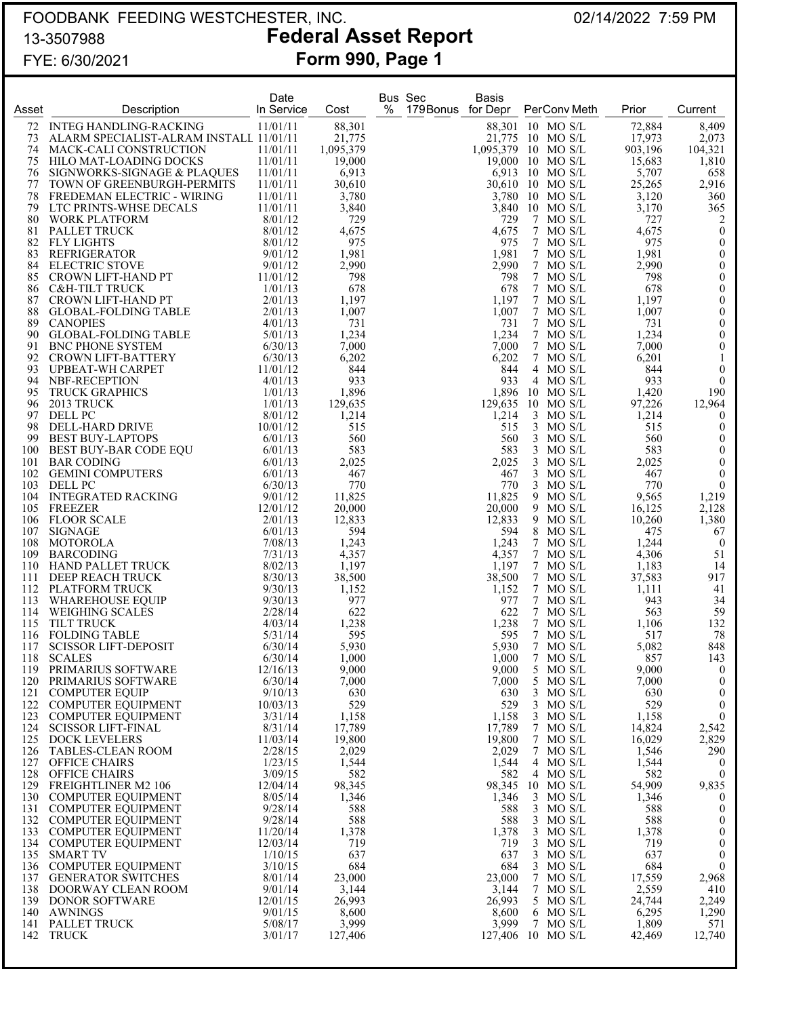### FOODBANK FEEDING WESTCHESTER, INC. 02/14/2022 7:59 PM 13-3507988 **Federal Asset Report** FYE: 6/30/2021 **Form 990, Page 1**

|       | FYE: 6/30/2021                          |                    | <b>Form 990, Page 1</b> |   |                                     |           |   |                  |         |                  |
|-------|-----------------------------------------|--------------------|-------------------------|---|-------------------------------------|-----------|---|------------------|---------|------------------|
| Asset | Description                             | Date<br>In Service | Cost                    | % | <b>Bus Sec</b><br>179Bonus for Depr | Basis     |   | PerConv Meth     | Prior   | Current          |
| 72    | <b>INTEG HANDLING-RACKING</b>           | 11/01/11           | 88,301                  |   |                                     |           |   | 88,301 10 MO S/L | 72,884  | 8,409            |
| 73    | ALARM SPECIALIST-ALRAM INSTALL 11/01/11 |                    | 21,775                  |   |                                     | 21,775    |   | $10$ MO S/L      | 17,973  | 2,073            |
| 74    | MACK-CALI CONSTRUCTION                  | 11/01/11           | 1,095,379               |   |                                     | 1,095,379 |   | $10$ MO S/L      | 903,196 | 104,321          |
| 75    | HILO MAT-LOADING DOCKS                  | 11/01/11           | 19,000                  |   |                                     | 19,000    |   | $10$ MO S/L      | 15,683  | 1,810            |
|       | 76 SIGNWORKS-SIGNAGE & PLAQUES          | 11/01/11           | 6,913                   |   |                                     | 6,913     |   | $10$ MO S/L      | 5,707   | 658              |
| 77    | TOWN OF GREENBURGH-PERMITS              | 11/01/11           | 30,610                  |   |                                     | 30,610    |   | $10$ MO S/L      | 25,265  | 2,916            |
| 78    | FREDEMAN ELECTRIC - WIRING              | 11/01/11           | 3,780                   |   |                                     |           |   | 3,780 10 MO S/L  | 3,120   | 360              |
| 79    | LTC PRINTS-WHSE DECALS                  | 11/01/11           | 3,840                   |   |                                     | 3,840     |   | $10$ MO S/L      | 3,170   | 365              |
| 80    | WORK PLATFORM                           | 8/01/12            | 729                     |   |                                     | 729       |   | 7 MO S/L         | 727     | 2                |
| 81    | PALLET TRUCK                            | 8/01/12            | 4,675                   |   |                                     | 4,675     |   | 7 MO S/L         | 4,675   | $\boldsymbol{0}$ |
| 82    | FLY LIGHTS                              | 8/01/12            | 975                     |   |                                     | 975       |   | 7 MO S/L         | 975     | $\theta$         |
| 83    | <b>REFRIGERATOR</b>                     | 9/01/12            | 1,981                   |   |                                     | 1,981     |   | 7 MO S/L         | 1,981   | $\boldsymbol{0}$ |
| 84    | <b>ELECTRIC STOVE</b>                   | 9/01/12            | 2,990                   |   |                                     | 2,990     |   | 7 MO S/L         | 2,990   | $\theta$         |
| 85    | CROWN LIFT-HAND PT                      | 11/01/12           | 798                     |   |                                     | 798       |   | 7 MO S/L         | 798     | $\boldsymbol{0}$ |
| 86    | C&H-TILT TRUCK                          | 1/01/13            | 678                     |   |                                     | 678       |   | 7 MO S/L         | 678     | $\boldsymbol{0}$ |
| 87    | CROWN LIFT-HAND PT                      | 2/01/13            | 1,197                   |   |                                     | 1,197     |   | 7 MO S/L         | 1,197   | $\boldsymbol{0}$ |
| 88    | <b>GLOBAL-FOLDING TABLE</b>             | 2/01/13            | 1,007                   |   |                                     | 1,007     |   | 7 MO S/L         | 1,007   | $\theta$         |
| 89    | <b>CANOPIES</b>                         | 4/01/13            | 731                     |   |                                     | 731       |   | 7 MO S/L         | 731     | $\theta$         |
| 90    | <b>GLOBAL-FOLDING TABLE</b>             | 5/01/13            | 1,234                   |   |                                     | 1,234     |   | 7 MO S/L         | 1,234   | $\theta$         |
| 91    | <b>BNC PHONE SYSTEM</b>                 | 6/30/13            | 7,000                   |   |                                     | 7,000     |   | 7 MO S/L         | 7,000   | $\boldsymbol{0}$ |
| 92    | CROWN LIFT-BATTERY                      | 6/30/13            | 6,202                   |   |                                     | 6,202     |   | 7 MO S/L         | 6,201   |                  |
| 93    | UPBEAT-WH CARPET                        | 11/01/12           | 844                     |   |                                     | 844       |   | 4 MO S/L         | 844     | $\theta$         |
| 94    | NBF-RECEPTION                           | 4/01/13            | 933                     |   |                                     | 933       |   | 4 MO S/L         | 933     | $\theta$         |
| 95    | <b>TRUCK GRAPHICS</b>                   | 1/01/13            | 1,896                   |   |                                     | 1,896     |   | 10 MO S/L        | 1,420   | 190              |
| 96    | 2013 TRUCK                              | 1/01/13            | 129,635                 |   |                                     | 129,635   |   | 10 MO S/L        | 97,226  | 12,964           |
| 97    | DELL PC                                 | 8/01/12            | 1,214                   |   |                                     | 1,214     |   | 3 MO S/L         | 1,214   | $\theta$         |
| 98    | DELL-HARD DRIVE                         | 10/01/12           | 515                     |   |                                     | 515       |   | $3$ MO S/L       | 515     | $\boldsymbol{0}$ |
| 99    | <b>BEST BUY-LAPTOPS</b>                 | 6/01/13            | 560                     |   |                                     | 560       | 3 | MO S/L           | 560     | $\theta$         |
| 100   | BEST BUY-BAR CODE EQU                   | 6/01/13            | 583                     |   |                                     | 583       |   | 3 MO S/L         | 583     | $\theta$         |
| 101   | <b>BAR CODING</b>                       | 6/01/13            | 2,025                   |   |                                     | 2,025     |   | 3 MO S/L         | 2,025   | $\theta$         |
| 102   | <b>GEMINI COMPUTERS</b>                 | 6/01/13            | 467                     |   |                                     | 467       |   | 3 MO S/L         | 467     | $\boldsymbol{0}$ |
| 103   | DELL PC                                 | 6/30/13            | 770                     |   |                                     | 770       |   | 3 MO S/L         | 770     | $\boldsymbol{0}$ |
| 104   | <b>INTEGRATED RACKING</b>               | 9/01/12            | 11.825                  |   |                                     | 11,825    |   | $9$ MO S/L       | 9,565   | 1,219            |
| 105   | FREEZER                                 | 12/01/12           | 20,000                  |   |                                     | 20,000    |   | 9 MO S/L         | 16,125  | 2,128            |
|       | 106 FLOOR SCALE                         | 2/01/13            | 12,833                  |   |                                     | 12,833    |   | 9 MO S/L         | 10,260  | 1,380            |
| 107   | <b>SIGNAGE</b>                          | 6/01/13            | 594                     |   |                                     | 594       |   | 8 MO S/L         | 475     | 67               |
| 108   | MOTOROLA                                | 7/08/13            | 1,243                   |   |                                     | 1,243     |   | 7 MO S/L         | 1,244   | $\boldsymbol{0}$ |
| 109   | <b>BARCODING</b>                        | 7/31/13            | 4,357                   |   |                                     | 4,357     |   | 7 MO S/L         | 4,306   | 51               |
|       | 110 HAND PALLET TRUCK                   | 8/02/13            | 1,197                   |   |                                     | 1,197     |   | 7 MO S/L         | 1,183   | 14               |
| 111   | DEEP REACH TRUCK                        | 8/30/13            | 38,500                  |   |                                     | 38,500    |   | 7 MO S/L         | 37,583  | 917              |
| 112   | PLATFORM TRUCK                          | 9/30/13            | 1,152                   |   |                                     | 1,152     |   | 7 MO S/L         | 1,111   | 41               |
| 113   | <b>WHAREHOUSE EQUIP</b>                 | 9/30/13            | 977                     |   |                                     | 977       |   | 7 MO S/L         | 943     | 34               |
| 114   | <b>WEIGHING SCALES</b>                  | 2/28/14            | 622                     |   |                                     | 622       |   | 7 MO S/L         | 563     | 59               |
|       | 115 TILT TRUCK                          | 4/03/14            | 1.238                   |   |                                     | 1.238     |   | 7 MO S/L         | 1.106   | 132              |

115 TILT TRUCK 132 4/03/14 1,238 1,238 7 MO S/L 1,106 132 116 FOLDING TABLE 5/31/14 595 595 7 MO S/L 517 78<br>117 SCISSOR LIFT-DEPOSIT 6/30/14 5,930 5,930 7 MO S/L 5,082 848 117 SCISSOR LIFT-DEPOSIT 6/30/14 5,930 5,930 7 MO S/L 5,082 848<br>118 SCALES 6/30/14 1,000 1 MO S/L 857 143 118 SCALES 6/30/14 1,000 1,000 7 MO S/L 857 143 119 PRIMARIUS SOFTWARE  $12/16/13$  9,000 9,000 9,000 5 MO S/L 9,000 9,000 0<br>120 PRIMARIUS SOFTWARE 6/30/14 7,000 7,000 5 MO S/L 7,000 0 120 PRIMARIUS SOFTWARE 6/30/14 7,000 7,000 5 MO S/L 7,000 0<br>121 COMPUTER EQUIP 9/10/13 630 630 630 3 MO S/L 630 0 121 COMPUTER EQUIP 9/10/13 630 630 3 MO S/L 630 0 122 COMPUTER EQUIPMENT 10/03/13 529 529 529 529 529 529 6<br>123 COMPUTER EQUIPMENT 3/31/14 1,158 1,158 3 MO S/L 1,158 0 123 COMPUTER EQUIPMENT 3/31/14 1,158 1,158 1,158 3 MO S/L 1,158 0<br>124 SCISSOR LIFT-FINAL 8/31/14 17,789 17,789 7 MO S/L 14,824 2,542 124 SCISSOR LIFT-FINAL 8/31/14 17,789 17,789 7 MO S/L 14,824 2,542 11/03/14 19,800 19,800 7 MO S/L 16,029 2,829<br>TABLES-CLEAN ROOM 2/28/15 2,029 2,029 7 MO S/L 1,546 290 126 TABLES-CLEAN ROOM 2/28/15 2,029 2,029 7 MO S/L 1,546 290<br>127 OFFICE CHAIRS 1/23/15 1,544 1,544 1,544 4 MO S/L 1,544 1 127 OFFICE CHAIRS 1/23/15 1,544 1,544 1,544 4 MO S/L 1,544 1<br>128 OFFICE CHAIRS 3/09/15 582 582 582 1 MO S/L 582 0 128 OFFICE CHAIRS 3/09/15 582 582 4 MO S/L 582 0 FREIGHTLINER M2 106 12/04/14 98,345 98,345 10 MO S/L 54,909 9,835<br>COMPUTER EQUIPMENT 8/05/14 1,346 1,346 1,346 3 MO S/L 1,346 0

130 COMPUTER EQUIPMENT 8/05/14 1,346 1,346 3 MO S/L 1,346 131 COMPUTER EQUIPMENT 9/28/14 588 3 MO S/L 588

131 COMPUTER EQUIPMENT 9/28/14 588 588 3 MO S/L 588 0 132 COMPUTER EQUIPMENT 9/28/14 588 588 3 MO S/L 588 6<br>133 COMPUTER EQUIPMENT 11/20/14 1,378 1,378 3 MO S/L 1,378 0 133 COMPUTER EQUIPMENT 11/20/14 1,378 1,378 1,378 3 MO S/L 1,378 0<br>134 COMPUTER EQUIPMENT 12/03/14 719 719 719 3 MO S/L 719 0 134 COMPUTER EQUIPMENT 12/03/14 719 719 719 3 MO S/L 719 0<br>135 SMART TV 110/15 637 637 637 3 MO S/L 637 0 135 SMART TV 1/10/15 637 637 637 637 637 637 0 136 COMPUTER EQUIPMENT 3/10/15 684 684 5 MO S/L 684 0<br>137 GENERATOR SWITCHES 8/01/14 23.000 23.000 7 MO S/L 17.559 2.968 137 GENERATOR SWITCHES 8/01/14 23,000 23,000 23,000 7 MO S/L 17,559 2,968<br>DOORWAY CLEAN ROOM 9/01/14 3,144 3,144 7 MO S/L 2,559 410 138 DOORWAY CLEAN ROOM 9/01/14 3,144 3,144 7 MO S/L 2,559 410<br>139 DONOR SOFTWARE 12/01/15 26,993 3 MO S/L 24,744 2,249 139 DONOR SOFTWARE 12/01/15 26,993 26,993 5 MO S/L 24,744 2,249<br>140 AWNINGS 19/01/15 8,600 8,600 6 MO S/L 6,295 1,290 140 AWNINGS 6.995 1,290 9/01/15 8,600 8,600 8,600 6 MO S/L 6,295 1,290 141 PALLET TRUCK 5/08/17 3,999 3,999 7 MO S/L 1,809 571<br>142 TRUCK 3/01/17 127,406 10 MO S/L 42,469 12,740

127,406 10 MO S/L